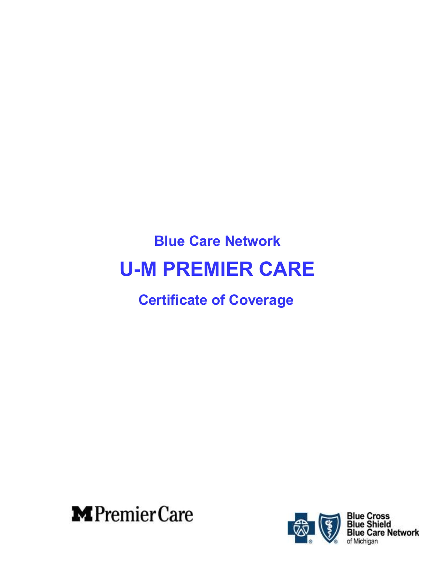# **Blue Care Network U-M PREMIER CARE**

# **Certificate of Coverage**



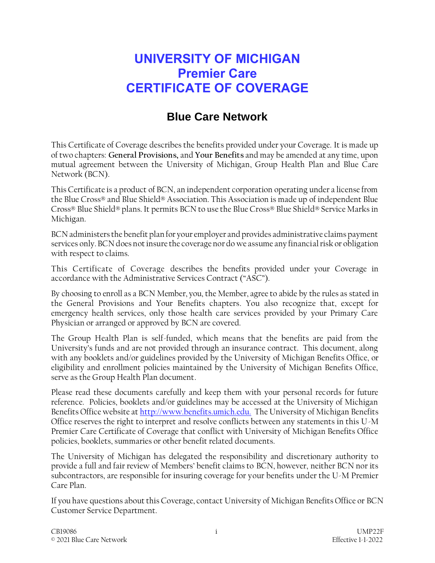# **UNIVERSITY OF MICHIGAN Premier Care CERTIFICATE OF COVERAGE**

# **Blue Care Network**

This Certificate of Coverage describes the benefits provided under your Coverage. It is made up of two chapters: **General Provisions,** and **Your Benefits** and may be amended at any time, upon mutual agreement between the University of Michigan, Group Health Plan and Blue Care Network (BCN).

This Certificate is a product of BCN, an independent corporation operating under a license from the Blue Cross® and Blue Shield® Association. This Association is made up of independent Blue Cross® Blue Shield® plans. It permits BCN to use the Blue Cross® Blue Shield® Service Marks in Michigan.

BCN administers the benefit plan for your employer and provides administrative claims payment services only. BCN does not insure the coverage nor do we assume any financial risk or obligation with respect to claims.

This Certificate of Coverage describes the benefits provided under your Coverage in accordance with the Administrative Services Contract ("ASC").

By choosing to enroll as a BCN Member, you, the Member, agree to abide by the rules as stated in the General Provisions and Your Benefits chapters. You also recognize that, except for emergency health services, only those health care services provided by your Primary Care Physician or arranged or approved by BCN are covered.

The Group Health Plan is self-funded, which means that the benefits are paid from the University's funds and are not provided through an insurance contract. This document, along with any booklets and/or guidelines provided by the University of Michigan Benefits Office, or eligibility and enrollment policies maintained by the University of Michigan Benefits Office, serve as the Group Health Plan document.

Please read these documents carefully and keep them with your personal records for future reference. Policies, booklets and/or guidelines may be accessed at the University of Michigan Benefits Office website at [http://www.benefits.umich.edu.](http://www.benefits.umich.edu./) The University of Michigan Benefits Office reserves the right to interpret and resolve conflicts between any statements in this U-M Premier Care Certificate of Coverage that conflict with University of Michigan Benefits Office policies, booklets, summaries or other benefit related documents.

The University of Michigan has delegated the responsibility and discretionary authority to provide a full and fair review of Members' benefit claims to BCN, however, neither BCN nor its subcontractors, are responsible for insuring coverage for your benefits under the U-M Premier Care Plan.

If you have questions about this Coverage, contact University of Michigan Benefits Office or BCN Customer Service Department.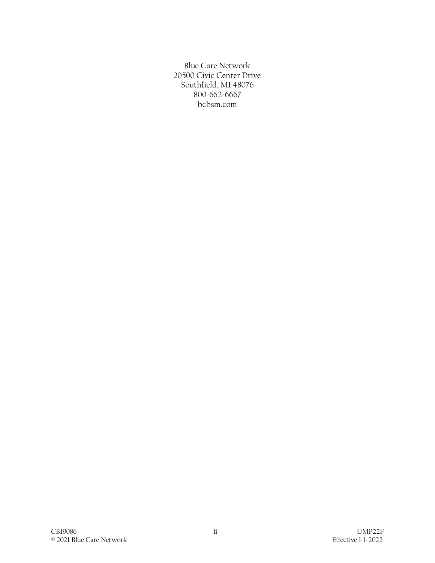Blue Care Network 20500 Civic Center Drive Southfield, MI 48076 800-662-6667 bcbsm.com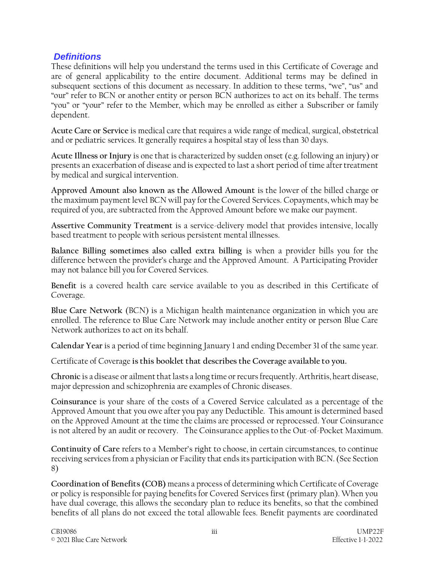#### *Definitions*

These definitions will help you understand the terms used in this Certificate of Coverage and are of general applicability to the entire document. Additional terms may be defined in subsequent sections of this document as necessary. In addition to these terms, "we", "us" and "our" refer to BCN or another entity or person BCN authorizes to act on its behalf. The terms "you" or "your" refer to the Member, which may be enrolled as either a Subscriber or family dependent.

**Acute Care or Service** is medical care that requires a wide range of medical, surgical, obstetrical and or pediatric services. It generally requires a hospital stay of less than 30 days.

**Acute Illness or Injury** is one that is characterized by sudden onset (e.g. following an injury) or presents an exacerbation of disease and is expected to last a short period of time after treatment by medical and surgical intervention.

**Approved Amount also known as the Allowed Amount** is the lower of the billed charge or the maximum payment level BCN will pay for the Covered Services. Copayments, which may be required of you, are subtracted from the Approved Amount before we make our payment.

**Assertive Community Treatment** is a service-delivery model that provides intensive, locally based treatment to people with serious persistent mental illnesses.

**Balance Billing sometimes also called extra billing** is when a provider bills you for the difference between the provider's charge and the Approved Amount. A Participating Provider may not balance bill you for Covered Services.

**Benefit** is a covered health care service available to you as described in this Certificate of Coverage.

**Blue Care Network** (BCN) is a Michigan health maintenance organization in which you are enrolled. The reference to Blue Care Network may include another entity or person Blue Care Network authorizes to act on its behalf.

**Calendar Year** is a period of time beginning January 1 and ending December 31 of the same year.

Certificate of Coverage **is this booklet that describes the Coverage available to you.**

**Chronic** is a disease or ailment that lasts a long time or recurs frequently. Arthritis, heart disease, major depression and schizophrenia are examples of Chronic diseases.

**Coinsurance** is your share of the costs of a Covered Service calculated as a percentage of the Approved Amount that you owe after you pay any Deductible. This amount is determined based on the Approved Amount at the time the claims are processed or reprocessed. Your Coinsurance is not altered by an audit or recovery. The Coinsurance applies to the Out-of-Pocket Maximum.

**Continuity of Care** refers to a Member's right to choose, in certain circumstances, to continue receiving services from a physician or Facility that ends its participation with BCN. (See Section 8)

**Coordination of Benefits (COB)** means a process of determining which Certificate of Coverage or policy is responsible for paying benefits for Covered Services first (primary plan). When you have dual coverage, this allows the secondary plan to reduce its benefits, so that the combined benefits of all plans do not exceed the total allowable fees. Benefit payments are coordinated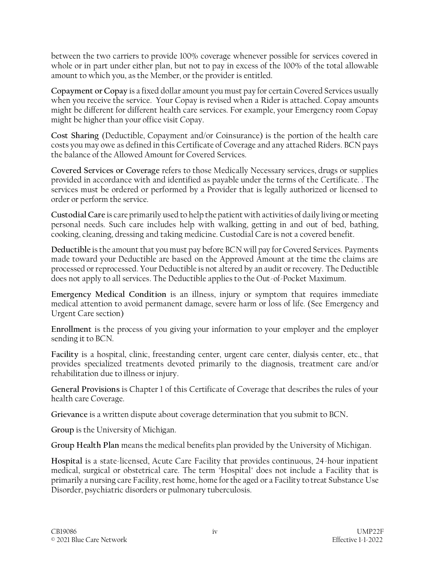between the two carriers to provide 100% coverage whenever possible for services covered in whole or in part under either plan, but not to pay in excess of the 100% of the total allowable amount to which you, as the Member, or the provider is entitled.

**Copayment or Copay** is a fixed dollar amount you must pay for certainCovered Services usually when you receive the service. Your Copay is revised when a Rider is attached. Copay amounts might be different for different health care services. For example, your Emergency room Copay might be higher than your office visit Copay.

**Cost Sharing** (Deductible, Copayment and/or Coinsurance) is the portion of the health care costs you may owe as defined in this Certificate of Coverage and any attached Riders. BCN pays the balance of the Allowed Amount for Covered Services.

**Covered Services or Coverage** refers to those Medically Necessary services, drugs or supplies provided in accordance with and identified as payable under the terms of the Certificate. . The services must be ordered or performed by a Provider that is legally authorized or licensed to order or perform the service.

**Custodial Care** is care primarily used to help the patient with activities of daily living or meeting personal needs. Such care includes help with walking, getting in and out of bed, bathing, cooking, cleaning, dressing and taking medicine. Custodial Care is not a covered benefit.

**Deductible** is the amount that you must pay before BCN will pay for Covered Services. Payments made toward your Deductible are based on the Approved Amount at the time the claims are processed or reprocessed. Your Deductible is not altered by an audit or recovery. The Deductible does not apply to all services. The Deductible applies to the Out-of-Pocket Maximum.

**Emergency Medical Condition** is an illness, injury or symptom that requires immediate medical attention to avoid permanent damage, severe harm or loss of life. (See Emergency and Urgent Care section)

**Enrollment** is the process of you giving your information to your employer and the employer sending it to BCN.

**Facility** is a hospital, clinic, freestanding center, urgent care center, dialysis center, etc., that provides specialized treatments devoted primarily to the diagnosis, treatment care and/or rehabilitation due to illness or injury.

**General Provisions** is Chapter 1 of this Certificate of Coverage that describes the rules of your health care Coverage.

**Grievance** is a written dispute about coverage determination that you submit to BCN**.**

**Group** is the University of Michigan.

**Group Health Plan** means the medical benefits plan provided by the University of Michigan.

**Hospital** is a state-licensed, Acute Care Facility that provides continuous, 24-hour inpatient medical, surgical or obstetrical care. The term "Hospital" does not include a Facility that is primarily a nursing care Facility, rest home, home for the aged or a Facility to treat Substance Use Disorder, psychiatric disorders or pulmonary tuberculosis.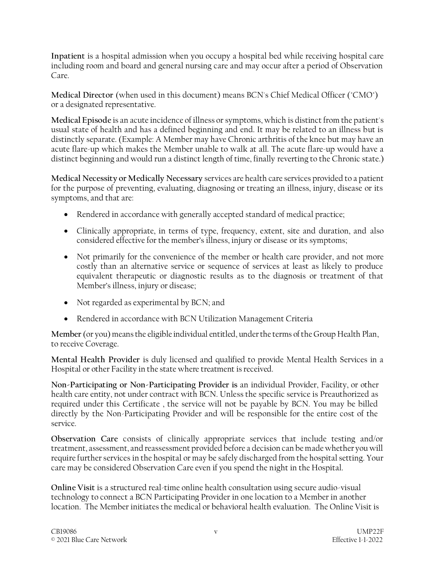**Inpatient** is a hospital admission when you occupy a hospital bed while receiving hospital care including room and board and general nursing care and may occur after a period of Observation Care.

**Medical Director** (when used in this document) means BCN's Chief Medical Officer ("CMO") or a designated representative.

**Medical Episode** is an acute incidence of illness or symptoms, which is distinct from the patient's usual state of health and has a defined beginning and end. It may be related to an illness but is distinctly separate. (Example: A Member may have Chronic arthritis of the knee but may have an acute flare-up which makes the Member unable to walk at all. The acute flare-up would have a distinct beginning and would run a distinct length of time, finally reverting to the Chronic state.)

**Medical Necessity or Medically Necessary** services are health care services provided to a patient for the purpose of preventing, evaluating, diagnosing or treating an illness, injury, disease or its symptoms, and that are:

- Rendered in accordance with generally accepted standard of medical practice;
- Clinically appropriate, in terms of type, frequency, extent, site and duration, and also considered effective for the member's illness, injury or disease or its symptoms;
- Not primarily for the convenience of the member or health care provider, and not more costly than an alternative service or sequence of services at least as likely to produce equivalent therapeutic or diagnostic results as to the diagnosis or treatment of that Member's illness, injury or disease;
- Not regarded as experimental by BCN; and
- Rendered in accordance with BCN Utilization Management Criteria

**Member** (or you) means the eligible individual entitled, under the terms of the Group Health Plan, to receive Coverage.

**Mental Health Provider** is duly licensed and qualified to provide Mental Health Services in a Hospital or other Facility in the state where treatment is received.

**Non-Participating or Non-Participating Provider is** an individual Provider, Facility, or other health care entity, not under contract with BCN. Unless the specific service is Preauthorized as required under this Certificate , the service will not be payable by BCN. You may be billed directly by the Non-Participating Provider and will be responsible for the entire cost of the service.

**Observation Care** consists of clinically appropriate services that include testing and/or treatment, assessment, and reassessment provided before a decision can be made whether you will require further services in the hospital or may be safely discharged from the hospital setting. Your care may be considered Observation Care even if you spend the night in the Hospital.

**Online Visit** is a structured real-time online health consultation using secure audio-visual technology to connect a BCN Participating Provider in one location to a Member in another location. The Member initiates the medical or behavioral health evaluation. The Online Visit is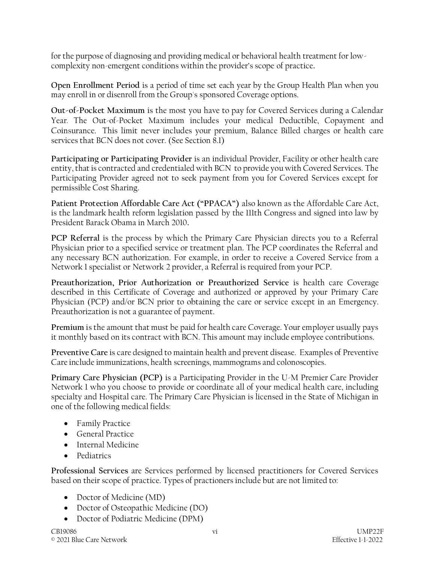for the purpose of diagnosing and providing medical or behavioral health treatment for lowcomplexity non-emergent conditions within the provider's scope of practice**.**

**Open Enrollment Period** is a period of time set each year by the Group Health Plan when you may enroll in or disenroll from the Group's sponsored Coverage options.

**Out-of-Pocket Maximum** is the most you have to pay for Covered Services during a Calendar Year*.* The Out-of-Pocket Maximum includes your medical Deductible, Copayment and Coinsurance. This limit never includes your premium, Balance Billed charges or health care services that BCN does not cover. (See Section 8.1)

**Participating or Participating Provider** is an individual Provider, Facility or other health care entity, that is contracted and credentialed with BCN to provide you with Covered Services. The Participating Provider agreed not to seek payment from you for Covered Services except for permissible Cost Sharing.

**Patient Protection Affordable Care Act ("PPACA")** also known as the Affordable Care Act, is the landmark health reform legislation passed by the 111th Congress and signed into law by President Barack Obama in March 2010**.**

**PCP Referral** is the process by which the Primary Care Physician directs you to a Referral Physician prior to a specified service or treatment plan. The PCP coordinates the Referral and any necessary BCN authorization. For example, in order to receive a Covered Service from a Network 1 specialist or Network 2 provider, a Referral is required from your PCP.

**Preauthorization, Prior Authorization or Preauthorized Service** is health care Coverage described in this Certificate of Coverage and authorized or approved by your Primary Care Physician (PCP) and/or BCN prior to obtaining the care or service except in an Emergency. Preauthorization is not a guarantee of payment.

**Premium** is the amount that must be paid for health care Coverage. Your employer usually pays it monthly based on its contract with BCN. This amount may include employee contributions.

**Preventive Care** is care designed to maintain health and prevent disease. Examples of Preventive Care include immunizations, health screenings, mammograms and colonoscopies.

**Primary Care Physician (PCP)** is a Participating Provider in the U-M Premier Care Provider Network 1 who you choose to provide or coordinate all of your medical health care, including specialty and Hospital care. The Primary Care Physician is licensed in the State of Michigan in one of the following medical fields:

- Family Practice
- General Practice
- Internal Medicine
- Pediatrics

**Professional Services** are Services performed by licensed practitioners for Covered Services based on their scope of practice. Types of practioners include but are not limited to:

- Doctor of Medicine (MD)
- Doctor of Osteopathic Medicine (DO)
- Doctor of Podiatric Medicine (DPM)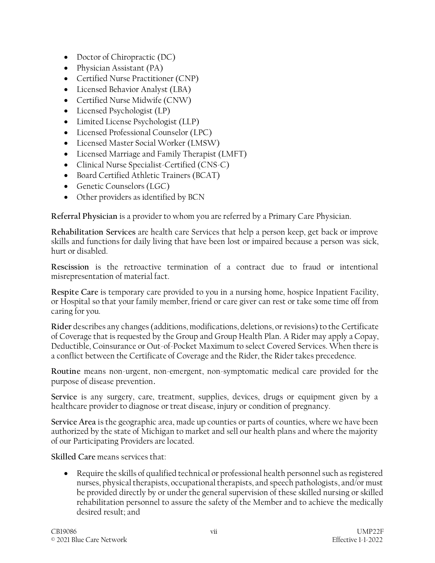- Doctor of Chiropractic (DC)
- Physician Assistant (PA)
- Certified Nurse Practitioner (CNP)
- Licensed Behavior Analyst (LBA)
- Certified Nurse Midwife (CNW)
- Licensed Psychologist (LP)
- Limited License Psychologist (LLP)
- Licensed Professional Counselor (LPC)
- Licensed Master Social Worker (LMSW)
- Licensed Marriage and Family Therapist (LMFT)
- Clinical Nurse Specialist-Certified (CNS-C)
- Board Certified Athletic Trainers (BCAT)
- Genetic Counselors (LGC)
- Other providers as identified by BCN

**Referral Physician** is a provider to whom you are referred by a Primary Care Physician.

**Rehabilitation Services** are health care Services that help a person keep, get back or improve skills and functions for daily living that have been lost or impaired because a person was sick, hurt or disabled.

**Rescission** is the retroactive termination of a contract due to fraud or intentional misrepresentation of material fact.

**Respite Care** is temporary care provided to you in a nursing home, hospice Inpatient Facility, or Hospital so that your family member, friend or care giver can rest or take some time off from caring for you.

**Rider** describes any changes (additions, modifications, deletions, or revisions) to the Certificate of Coverage that is requested by the Group and Group Health Plan. A Rider may apply a Copay, Deductible, Coinsurance or Out-of-Pocket Maximum to select Covered Services. When there is a conflict between the Certificate of Coverage and the Rider, the Rider takes precedence.

**Routine** means non-urgent, non-emergent, non-symptomatic medical care provided for the purpose of disease prevention**.**

**Service** is any surgery, care, treatment, supplies, devices, drugs or equipment given by a healthcare provider to diagnose or treat disease, injury or condition of pregnancy.

**Service Area** is the geographic area, made up counties or parts of counties, where we have been authorized by the state of Michigan to market and sell our health plans and where the majority of our Participating Providers are located.

**Skilled Care** means services that:

• Require the skills of qualified technical or professional health personnel such as registered nurses, physical therapists, occupational therapists, and speech pathologists, and/or must be provided directly by or under the general supervision of these skilled nursing or skilled rehabilitation personnel to assure the safety of the Member and to achieve the medically desired result; and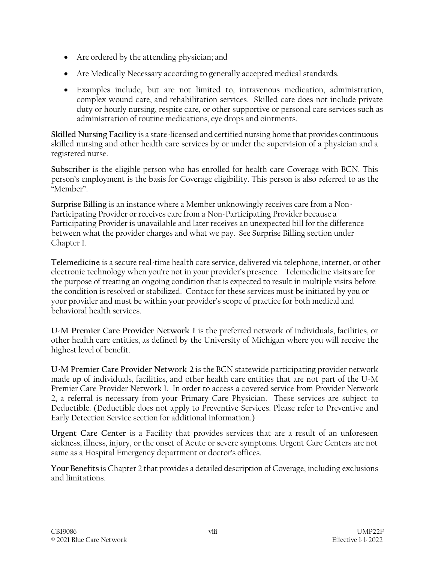- Are ordered by the attending physician; and
- Are Medically Necessary according to generally accepted medical standards.
- Examples include, but are not limited to, intravenous medication, administration, complex wound care, and rehabilitation services. Skilled care does not include private duty or hourly nursing, respite care, or other supportive or personal care services such as administration of routine medications, eye drops and ointments.

**Skilled Nursing Facility** is a state-licensed and certified nursing home that provides continuous skilled nursing and other health care services by or under the supervision of a physician and a registered nurse.

**Subscriber** is the eligible person who has enrolled for health care Coverage with BCN. This person's employment is the basis for Coverage eligibility. This person is also referred to as the "Member".

**Surprise Billing** is an instance where a Member unknowingly receives care from a Non-Participating Provider or receives care from a Non-Participating Provider because a Participating Provider is unavailable and later receives an unexpected bill for the difference between what the provider charges and what we pay. See Surprise Billing section under Chapter 1.

**Telemedicine** is a secure real-time health care service, delivered via telephone, internet, or other electronic technology when you're not in your provider's presence. Telemedicine visits are for the purpose of treating an ongoing condition that is expected to result in multiple visits before the condition is resolved or stabilized. Contact for these services must be initiated by you or your provider and must be within your provider's scope of practice for both medical and behavioral health services.

**U-M Premier Care Provider Network 1** is the preferred network of individuals, facilities, or other health care entities, as defined by the University of Michigan where you will receive the highest level of benefit.

**U-M Premier Care Provider Network 2** is the BCN statewide participating provider network made up of individuals, facilities, and other health care entities that are not part of the U-M Premier Care Provider Network 1. In order to access a covered service from Provider Network 2, a referral is necessary from your Primary Care Physician. These services are subject to Deductible. (Deductible does not apply to Preventive Services. Please refer to Preventive and Early Detection Service section for additional information.)

**Urgent Care Center** is a Facility that provides services that are a result of an unforeseen sickness, illness, injury, or the onset of Acute or severe symptoms. Urgent Care Centers are not same as a Hospital Emergency department or doctor's offices.

**Your Benefits** is Chapter 2 that provides a detailed description of Coverage, including exclusions and limitations.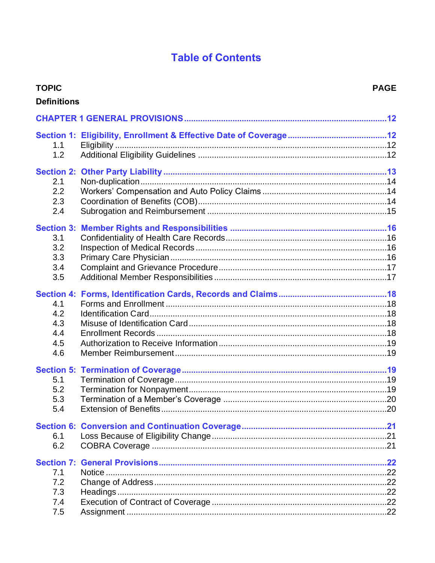# **Table of Contents**

| <b>TOPIC</b>       | <b>PAGE</b> |
|--------------------|-------------|
| <b>Definitions</b> |             |
|                    |             |
|                    |             |
| 1.1                |             |
| 1.2                |             |
|                    |             |
| 2.1                |             |
| 2.2                |             |
| 2.3                |             |
| 2.4                |             |
|                    |             |
| 3.1                |             |
| 3.2                |             |
| 3.3                |             |
| 3.4                |             |
| 3.5                |             |
|                    |             |
| 4.1                |             |
| 4.2                |             |
| 4.3<br>4.4         |             |
| 4.5                |             |
| 4.6                |             |
|                    |             |
|                    |             |
| 5.1                |             |
| 5.2                |             |
| 5.3                |             |
| 5.4                |             |
|                    |             |
| 6.1                |             |
| 6.2                |             |
|                    |             |
| 7.1                |             |
| 7.2                |             |
| 7.3                |             |
| 7.4                |             |
| 7.5                |             |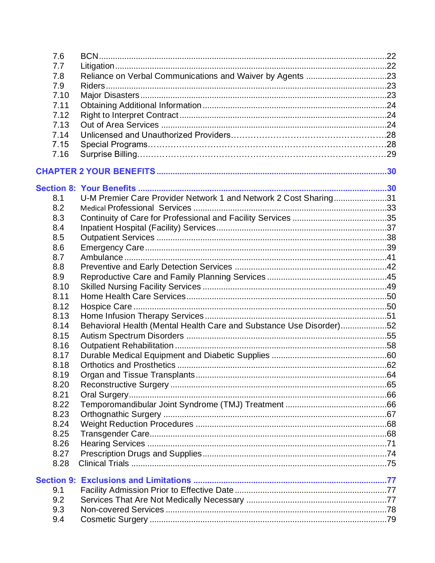| 7.6          |                                                                     |  |
|--------------|---------------------------------------------------------------------|--|
| 7.7          |                                                                     |  |
| 7.8          |                                                                     |  |
| 7.9          |                                                                     |  |
| 7.10         |                                                                     |  |
| 7.11         |                                                                     |  |
| 7.12<br>7.13 |                                                                     |  |
| 7.14         |                                                                     |  |
| 7.15         |                                                                     |  |
| 7.16         |                                                                     |  |
|              |                                                                     |  |
|              |                                                                     |  |
|              |                                                                     |  |
| 8.1          | U-M Premier Care Provider Network 1 and Network 2 Cost Sharing31    |  |
| 8.2          |                                                                     |  |
| 8.3          |                                                                     |  |
| 8.4          |                                                                     |  |
| 8.5          |                                                                     |  |
| 8.6          |                                                                     |  |
| 8.7          |                                                                     |  |
| 8.8          |                                                                     |  |
| 8.9          |                                                                     |  |
| 8.10         |                                                                     |  |
| 8.11         |                                                                     |  |
| 8.12         |                                                                     |  |
| 8.13         |                                                                     |  |
| 8.14         | Behavioral Health (Mental Health Care and Substance Use Disorder)52 |  |
| 8.15         |                                                                     |  |
| 8.16         |                                                                     |  |
| 8.17         |                                                                     |  |
| 8.18         |                                                                     |  |
| 8.19         |                                                                     |  |
| 8.20         |                                                                     |  |
| 8.21         |                                                                     |  |
| 8.22         |                                                                     |  |
| 8.23<br>8.24 |                                                                     |  |
| 8.25         |                                                                     |  |
| 8.26         |                                                                     |  |
| 8.27         |                                                                     |  |
| 8.28         |                                                                     |  |
|              |                                                                     |  |
| 9.1          |                                                                     |  |
| 9.2          |                                                                     |  |
| 9.3          |                                                                     |  |
| 9.4          |                                                                     |  |
|              |                                                                     |  |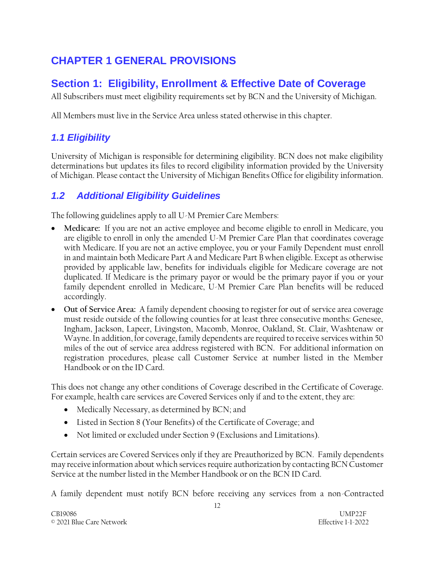# <span id="page-12-0"></span>**CHAPTER 1 GENERAL PROVISIONS**

# <span id="page-12-1"></span>**Section 1: Eligibility, Enrollment & Effective Date of Coverage**

All Subscribers must meet eligibility requirements set by BCN and the University of Michigan.

All Members must live in the Service Area unless stated otherwise in this chapter.

# <span id="page-12-2"></span>*1.1 Eligibility*

University of Michigan is responsible for determining eligibility. BCN does not make eligibility determinations but updates its files to record eligibility information provided by the University of Michigan. Please contact the University of Michigan Benefits Office for eligibility information.

# <span id="page-12-3"></span>*1.2 Additional Eligibility Guidelines*

The following guidelines apply to all U-M Premier Care Members:

- **Medicare:** If you are not an active employee and become eligible to enroll in Medicare, you are eligible to enroll in only the amended U-M Premier Care Plan that coordinates coverage with Medicare. If you are not an active employee, you or your Family Dependent must enroll in and maintain both Medicare Part A and Medicare Part B when eligible. Except as otherwise provided by applicable law, benefits for individuals eligible for Medicare coverage are not duplicated. If Medicare is the primary payor or would be the primary payor if you or your family dependent enrolled in Medicare, U-M Premier Care Plan benefits will be reduced accordingly.
- **Out of Service Area:** A family dependent choosing to register for out of service area coverage must reside outside of the following counties for at least three consecutive months: Genesee, Ingham, Jackson, Lapeer, Livingston, Macomb, Monroe, Oakland, St. Clair, Washtenaw or Wayne. In addition, for coverage, family dependents are required to receive services within 50 miles of the out of service area address registered with BCN. For additional information on registration procedures, please call Customer Service at number listed in the Member Handbook or on the ID Card.

This does not change any other conditions of Coverage described in the Certificate of Coverage. For example, health care services are Covered Services only if and to the extent, they are:

- Medically Necessary, as determined by BCN; and
- Listed in Section 8 (Your Benefits) of the Certificate of Coverage; and
- Not limited or excluded under Section 9 (Exclusions and Limitations).

Certain services are Covered Services only if they are Preauthorized by BCN. Family dependents may receive information about which services require authorization by contacting BCN Customer Service at the number listed in the Member Handbook or on the BCN ID Card.

A family dependent must notify BCN before receiving any services from a non-Contracted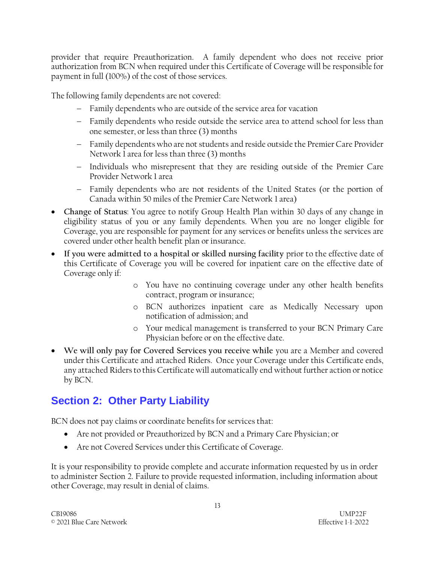provider that require Preauthorization. A family dependent who does not receive prior authorization from BCN when required under this Certificate of Coverage will be responsible for payment in full (100%) of the cost of those services.

The following family dependents are not covered:

- − Family dependents who are outside of the service area for vacation
- − Family dependents who reside outside the service area to attend school for less than one semester, or less than three (3) months
- − Family dependents who are not students and reside outside the Premier Care Provider Network 1 area for less than three (3) months
- − Individuals who misrepresent that they are residing outside of the Premier Care Provider Network 1 area
- − Family dependents who are not residents of the United States (or the portion of Canada within 50 miles of the Premier Care Network 1 area)
- **Change of Status**: You agree to notify Group Health Plan within 30 days of any change in eligibility status of you or any family dependents. When you are no longer eligible for Coverage, you are responsible for payment for any services or benefits unless the services are covered under other health benefit plan or insurance.
- **If you were admitted to a hospital or skilled nursing facility** prior to the effective date of this Certificate of Coverage you will be covered for inpatient care on the effective date of Coverage only if:
	- o You have no continuing coverage under any other health benefits contract, program or insurance;
	- o BCN authorizes inpatient care as Medically Necessary upon notification of admission; and
	- o Your medical management is transferred to your BCN Primary Care Physician before or on the effective date.
- **We will only pay for Covered Services you receive while** you are a Member and covered under this Certificate and attached Riders. Once your Coverage under this Certificate ends, any attached Riders to this Certificate will automatically end without further action or notice by BCN.

# <span id="page-13-0"></span>**Section 2: Other Party Liability**

BCN does not pay claims or coordinate benefits for services that:

- Are not provided or Preauthorized by BCN and a Primary Care Physician; or
- Are not Covered Services under this Certificate of Coverage.

It is your responsibility to provide complete and accurate information requested by us in order to administer Section 2. Failure to provide requested information, including information about other Coverage, may result in denial of claims.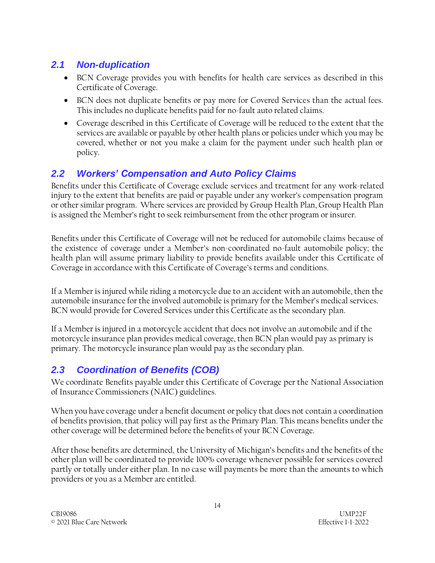### <span id="page-14-0"></span>*2.1 Non-duplication*

- BCN Coverage provides you with benefits for health care services as described in this Certificate of Coverage.
- BCN does not duplicate benefits or pay more for Covered Services than the actual fees. This includes no duplicate benefits paid for no-fault auto related claims.
- Coverage described in this Certificate of Coverage will be reduced to the extent that the services are available or payable by other health plans or policies under which you may be covered, whether or not you make a claim for the payment under such health plan or policy.

# <span id="page-14-1"></span>*2.2 Workers' Compensation and Auto Policy Claims*

Benefits under this Certificate of Coverage exclude services and treatment for any work-related injury to the extent that benefits are paid or payable under any worker's compensation program or other similar program. Where services are provided by Group Health Plan, Group Health Plan is assigned the Member's right to seek reimbursement from the other program or insurer.

Benefits under this Certificate of Coverage will not be reduced for automobile claims because of the existence of coverage under a Member's non-coordinated no-fault automobile policy; the health plan will assume primary liability to provide benefits available under this Certificate of Coverage in accordance with this Certificate of Coverage's terms and conditions.

If a Member is injured while riding a motorcycle due to an accident with an automobile, then the automobile insurance for the involved automobile is primary for the Member's medical services. BCN would provide for Covered Services under this Certificate as the secondary plan.

If a Member is injured in a motorcycle accident that does not involve an automobile and if the motorcycle insurance plan provides medical coverage, then BCN plan would pay as primary is primary. The motorcycle insurance plan would pay as the secondary plan.

# <span id="page-14-2"></span>*2.3 Coordination of Benefits (COB)*

We coordinate Benefits payable under this Certificate of Coverage per the National Association of Insurance Commissioners (NAIC) guidelines.

When you have coverage under a benefit document or policy that does not contain a coordination of benefits provision, that policy will pay first as the Primary Plan. This means benefits under the other coverage will be determined before the benefits of your BCN Coverage.

After those benefits are determined, the University of Michigan's benefits and the benefits of the other plan will be coordinated to provide 100% coverage whenever possible for services covered partly or totally under either plan. In no case will payments be more than the amounts to which providers or you as a Member are entitled.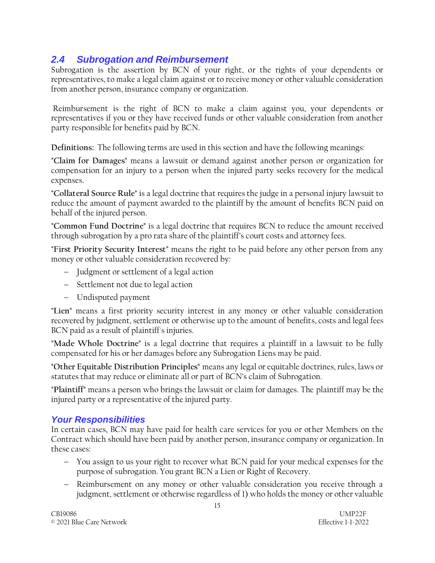#### <span id="page-15-0"></span>*2.4 Subrogation and Reimbursement*

Subrogation is the assertion by BCN of your right, or the rights of your dependents or representatives, to make a legal claim against or to receive money or other valuable consideration from another person, insurance company or organization.

Reimbursement is the right of BCN to make a claim against you, your dependents or representatives if you or they have received funds or other valuable consideration from another party responsible for benefits paid by BCN.

**Definitions:** The following terms are used in this section and have the following meanings:

**"Claim for Damages"** means a lawsuit or demand against another person or organization for compensation for an injury to a person when the injured party seeks recovery for the medical expenses.

**"Collateral Source Rule"** is a legal doctrine that requires the judge in a personal injury lawsuit to reduce the amount of payment awarded to the plaintiff by the amount of benefits BCN paid on behalf of the injured person.

**"Common Fund Doctrine"** is a legal doctrine that requires BCN to reduce the amount received through subrogation by a pro rata share of the plaintiff's court costs and attorney fees.

**"First Priority Security Interest"** means the right to be paid before any other person from any money or other valuable consideration recovered by:

- − Judgment or settlement of a legal action
- − Settlement not due to legal action
- − Undisputed payment

**"Lien"** means a first priority security interest in any money or other valuable consideration recovered by judgment, settlement or otherwise up to the amount of benefits, costs and legal fees BCN paid as a result of plaintiff's injuries.

**"Made Whole Doctrine"** is a legal doctrine that requires a plaintiff in a lawsuit to be fully compensated for his or her damages before any Subrogation Liens may be paid.

**"Other Equitable Distribution Principles"** means any legal or equitable doctrines, rules, laws or statutes that may reduce or eliminate all or part of BCN's claim of Subrogation.

**"Plaintiff"** means a person who brings the lawsuit or claim for damages. The plaintiff may be the injured party or a representative of the injured party.

#### *Your Responsibilities*

In certain cases, BCN may have paid for health care services for you or other Members on the Contract which should have been paid by another person, insurance company or organization. In these cases:

- − You assign to us your right to recover what BCN paid for your medical expenses for the purpose of subrogation. You grant BCN a Lien or Right of Recovery.
- − Reimbursement on any money or other valuable consideration you receive through a judgment, settlement or otherwise regardless of 1) who holds the money or other valuable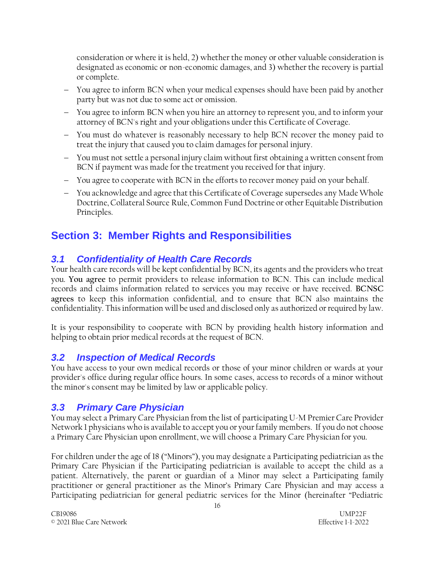consideration or where it is held, 2) whether the money or other valuable consideration is designated as economic or non-economic damages, and 3) whether the recovery is partial or complete.

- − You agree to inform BCN when your medical expenses should have been paid by another party but was not due to some act or omission.
- − You agree to inform BCN when you hire an attorney to represent you, and to inform your attorney of BCN's right and your obligations under this Certificate of Coverage.
- − You must do whatever is reasonably necessary to help BCN recover the money paid to treat the injury that caused you to claim damages for personal injury.
- − You must not settle a personal injury claim without first obtaining a written consent from BCN if payment was made for the treatment you received for that injury.
- − You agree to cooperate with BCN in the efforts to recover money paid on your behalf.
- − You acknowledge and agree that this Certificate of Coverage supersedes any Made Whole Doctrine, Collateral Source Rule, Common Fund Doctrine or other Equitable Distribution Principles.

# <span id="page-16-0"></span>**Section 3: Member Rights and Responsibilities**

# <span id="page-16-1"></span>*3.1 Confidentiality of Health Care Records*

Your health care records will be kept confidential by BCN, its agents and the providers who treat you. **You agree** to permit providers to release information to BCN. This can include medical records and claims information related to services you may receive or have received. **BCNSC agrees** to keep this information confidential, and to ensure that BCN also maintains the confidentiality. This information will be used and disclosed only as authorized or required by law.

It is your responsibility to cooperate with BCN by providing health history information and helping to obtain prior medical records at the request of BCN.

#### <span id="page-16-2"></span>*3.2 Inspection of Medical Records*

You have access to your own medical records or those of your minor children or wards at your provider's office during regular office hours. In some cases, access to records of a minor without the minor's consent may be limited by law or applicable policy.

# <span id="page-16-3"></span>*3.3 Primary Care Physician*

You may select a Primary Care Physician from the list of participating U-M Premier Care Provider Network 1 physicians who is available to accept you or your family members. If you do not choose a Primary Care Physician upon enrollment, we will choose a Primary Care Physician for you.

For children under the age of 18 ("Minors"), you may designate a Participating pediatrician as the Primary Care Physician if the Participating pediatrician is available to accept the child as a patient. Alternatively, the parent or guardian of a Minor may select a Participating family practitioner or general practitioner as the Minor's Primary Care Physician and may access a Participating pediatrician for general pediatric services for the Minor (hereinafter "Pediatric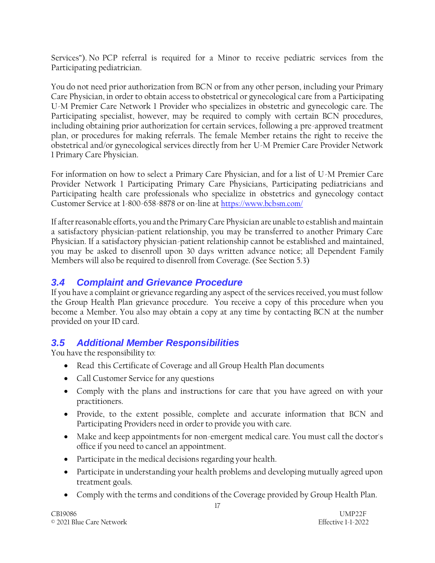Services"). No PCP referral is required for a Minor to receive pediatric services from the Participating pediatrician.

You do not need prior authorization from BCN or from any other person, including your Primary Care Physician, in order to obtain access to obstetrical or gynecological care from a Participating U-M Premier Care Network 1 Provider who specializes in obstetric and gynecologic care. The Participating specialist, however, may be required to comply with certain BCN procedures, including obtaining prior authorization for certain services, following a pre-approved treatment plan, or procedures for making referrals. The female Member retains the right to receive the obstetrical and/or gynecological services directly from her U-M Premier Care Provider Network 1 Primary Care Physician.

For information on how to select a Primary Care Physician, and for a list of U-M Premier Care Provider Network 1 Participating Primary Care Physicians, Participating pediatricians and Participating health care professionals who specialize in obstetrics and gynecology contact Customer Service at 1-800-658-8878 or on-line at <https://www.bcbsm.com/>

If after reasonable efforts, you and the Primary Care Physician are unable to establish and maintain a satisfactory physician-patient relationship, you may be transferred to another Primary Care Physician. If a satisfactory physician-patient relationship cannot be established and maintained, you may be asked to disenroll upon 30 days written advance notice; all Dependent Family Members will also be required to disenroll from Coverage. (See Section 5.3)

#### <span id="page-17-0"></span>*3.4 Complaint and Grievance Procedure*

If you have a complaint or grievance regarding any aspect of the services received, you must follow the Group Health Plan grievance procedure. You receive a copy of this procedure when you become a Member. You also may obtain a copy at any time by contacting BCN at the number provided on your ID card.

#### <span id="page-17-1"></span>*3.5 Additional Member Responsibilities*

You have the responsibility to:

- Read this Certificate of Coverage and all Group Health Plan documents
- Call Customer Service for any questions
- Comply with the plans and instructions for care that you have agreed on with your practitioners.
- Provide, to the extent possible, complete and accurate information that BCN and Participating Providers need in order to provide you with care.
- Make and keep appointments for non-emergent medical care. You must call the doctor's office if you need to cancel an appointment.
- Participate in the medical decisions regarding your health.
- Participate in understanding your health problems and developing mutually agreed upon treatment goals.
- Comply with the terms and conditions of the Coverage provided by Group Health Plan.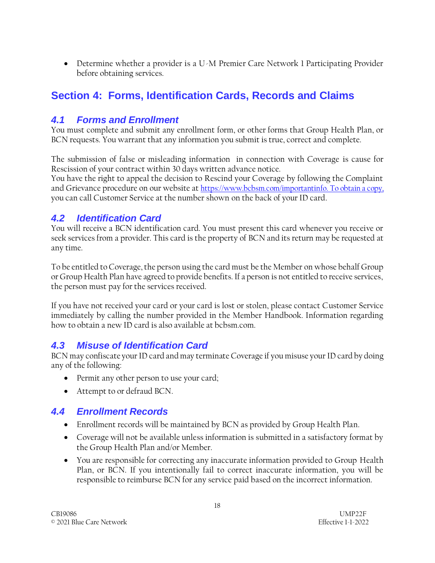• Determine whether a provider is a U-M Premier Care Network 1 Participating Provider before obtaining services.

# <span id="page-18-0"></span>**Section 4: Forms, Identification Cards, Records and Claims**

#### <span id="page-18-1"></span>*4.1 Forms and Enrollment*

You must complete and submit any enrollment form, or other forms that Group Health Plan, or BCN requests. You warrant that any information you submit is true, correct and complete.

The submission of false or misleading information in connection with Coverage is cause for Rescission of your contract within 30 days written advance notice.

You have the right to appeal the decision to Rescind your Coverage by following the Complaint and Grievance procedure on our website at [https://www.bcbsm.com/importantinfo.](https://www.bcbsm.com/importantinfo) To obtain a copy, you can call Customer Service at the number shown on the back of your ID card.

### <span id="page-18-2"></span>*4.2 Identification Card*

You will receive a BCN identification card. You must present this card whenever you receive or seek services from a provider. This card is the property of BCN and its return may be requested at any time.

To be entitled to Coverage, the person using the card must be the Member on whose behalf Group or Group Health Plan have agreed to provide benefits. If a person is not entitled to receive services, the person must pay for the services received.

If you have not received your card or your card is lost or stolen, please contact Customer Service immediately by calling the number provided in the Member Handbook. Information regarding how to obtain a new ID card is also available at bcbsm.com.

#### <span id="page-18-3"></span>*4.3 Misuse of Identification Card*

BCN may confiscate your ID card and may terminate Coverage if you misuse your ID card by doing any of the following:

- Permit any other person to use your card;
- Attempt to or defraud BCN.

#### <span id="page-18-4"></span>*4.4 Enrollment Records*

- Enrollment records will be maintained by BCN as provided by Group Health Plan.
- Coverage will not be available unless information is submitted in a satisfactory format by the Group Health Plan and/or Member.
- You are responsible for correcting any inaccurate information provided to Group Health Plan, or BCN. If you intentionally fail to correct inaccurate information, you will be responsible to reimburse BCN for any service paid based on the incorrect information.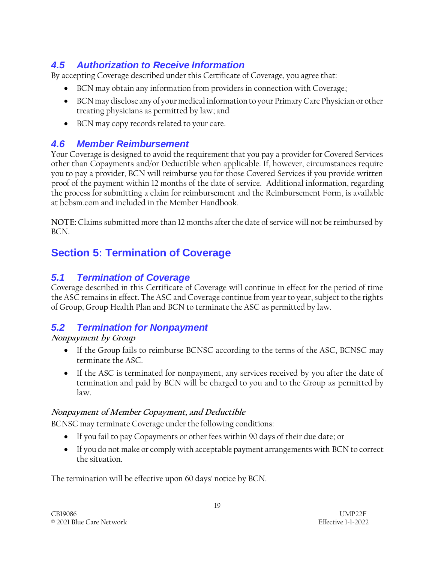# <span id="page-19-0"></span>*4.5 Authorization to Receive Information*

By accepting Coverage described under this Certificate of Coverage, you agree that:

- BCN may obtain any information from providers in connection with Coverage;
- BCN may disclose any of your medical information to your Primary Care Physician or other treating physicians as permitted by law; and
- BCN may copy records related to your care.

# <span id="page-19-1"></span>*4.6 Member Reimbursement*

Your Coverage is designed to avoid the requirement that you pay a provider for Covered Services other than Copayments and/or Deductible when applicable. If, however, circumstances require you to pay a provider, BCN will reimburse you for those Covered Services if you provide written proof of the payment within 12 months of the date of service. Additional information, regarding the process for submitting a claim for reimbursement and the Reimbursement Form, is available at bcbsm.com and included in the Member Handbook.

**NOTE:** Claims submitted more than 12 months after the date of service will not be reimbursed by BCN.

# <span id="page-19-2"></span>**Section 5: Termination of Coverage**

# <span id="page-19-3"></span>*5.1 Termination of Coverage*

Coverage described in this Certificate of Coverage will continue in effect for the period of time the ASC remains in effect. The ASC and Coverage continue from year to year, subject to the rights of Group, Group Health Plan and BCN to terminate the ASC as permitted by law.

# <span id="page-19-4"></span>*5.2 Termination for Nonpayment*

#### **Nonpayment by Group**

- If the Group fails to reimburse BCNSC according to the terms of the ASC, BCNSC may terminate the ASC.
- If the ASC is terminated for nonpayment, any services received by you after the date of termination and paid by BCN will be charged to you and to the Group as permitted by law.

#### **Nonpayment of Member Copayment, and Deductible**

BCNSC may terminate Coverage under the following conditions:

- If you fail to pay Copayments or other fees within 90 days of their due date; or
- If you do not make or comply with acceptable payment arrangements with BCN to correct the situation.

The termination will be effective upon 60 days' notice by BCN.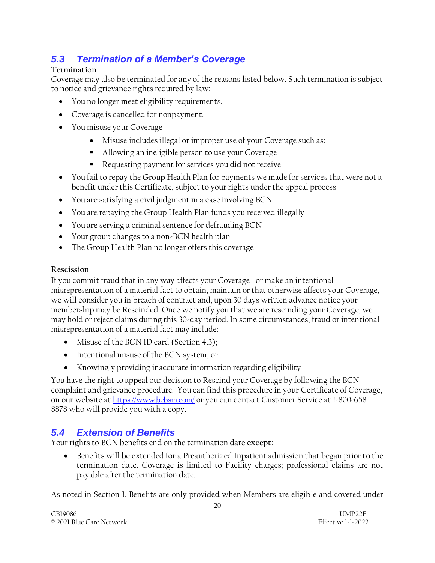# <span id="page-20-0"></span>*5.3 Termination of a Member's Coverage*

#### **Termination**

Coverage may also be terminated for any of the reasons listed below. Such termination is subject to notice and grievance rights required by law:

- You no longer meet eligibility requirements.
- Coverage is cancelled for nonpayment.
- You misuse your Coverage
	- Misuse includes illegal or improper use of your Coverage such as:
	- Allowing an ineligible person to use your Coverage
	- Requesting payment for services you did not receive
- You fail to repay the Group Health Plan for payments we made for services that were not a benefit under this Certificate, subject to your rights under the appeal process
- You are satisfying a civil judgment in a case involving BCN
- You are repaying the Group Health Plan funds you received illegally
- You are serving a criminal sentence for defrauding BCN
- Your group changes to a non-BCN health plan
- The Group Health Plan no longer offers this coverage

#### **Rescission**

If you commit fraud that in any way affects your Coverage or make an intentional misrepresentation of a material fact to obtain, maintain or that otherwise affects your Coverage, we will consider you in breach of contract and, upon 30 days written advance notice your membership may be Rescinded. Once we notify you that we are rescinding your Coverage, we may hold or reject claims during this 30-day period. In some circumstances, fraud or intentional misrepresentation of a material fact may include:

- Misuse of the BCN ID card (Section 4.3);
- Intentional misuse of the BCN system; or
- Knowingly providing inaccurate information regarding eligibility

You have the right to appeal our decision to Rescind your Coverage by following the BCN complaint and grievance procedure. You can find this procedure in your Certificate of Coverage, on our website at <https://www.bcbsm.com/> or you can contact Customer Service at 1-800-658- 8878 who will provide you with a copy.

# <span id="page-20-1"></span>*5.4 Extension of Benefits*

Your rights to BCN benefits end on the termination date **except**:

• Benefits will be extended for a Preauthorized Inpatient admission that began prior to the termination date. Coverage is limited to Facility charges; professional claims are not payable after the termination date.

As noted in Section 1, Benefits are only provided when Members are eligible and covered under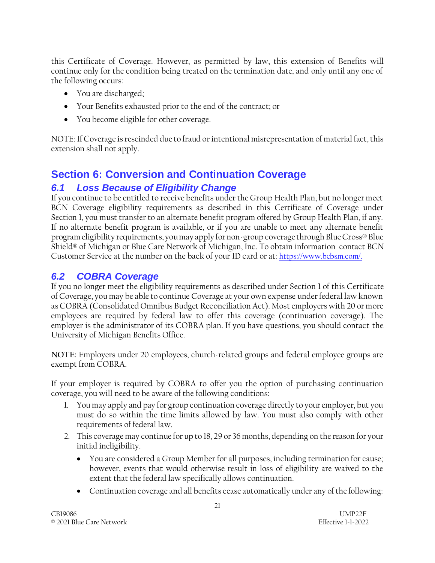this Certificate of Coverage. However, as permitted by law, this extension of Benefits will continue only for the condition being treated on the termination date, and only until any one of the following occurs:

- You are discharged;
- Your Benefits exhausted prior to the end of the contract; or
- You become eligible for other coverage.

NOTE: If Coverage is rescinded due to fraud or intentional misrepresentation of material fact, this extension shall not apply.

# <span id="page-21-0"></span>**Section 6: Conversion and Continuation Coverage**

#### <span id="page-21-1"></span>*6.1 Loss Because of Eligibility Change*

If you continue to be entitled to receive benefits under the Group Health Plan, but no longer meet BCN Coverage eligibility requirements as described in this Certificate of Coverage under Section 1, you must transfer to an alternate benefit program offered by Group Health Plan, if any. If no alternate benefit program is available, or if you are unable to meet any alternate benefit program eligibility requirements, you may apply for non-group coverage through BlueCross® Blue Shield® of Michigan or Blue Care Network of Michigan, Inc. To obtain information contact BCN Customer Service at the number on the back of your ID card or at: [https://www.bcbsm.com/.](https://www.bcbsm.com/)

### <span id="page-21-2"></span>*6.2 COBRA Coverage*

If you no longer meet the eligibility requirements as described under Section 1 of this Certificate of Coverage, you may be able to continue Coverage at your own expense under federal law known as COBRA (Consolidated Omnibus Budget Reconciliation Act). Most employers with 20 or more employees are required by federal law to offer this coverage (continuation coverage). The employer is the administrator of its COBRA plan. If you have questions, you should contact the University of Michigan Benefits Office.

**NOTE:** Employers under 20 employees, church-related groups and federal employee groups are exempt from COBRA.

If your employer is required by COBRA to offer you the option of purchasing continuation coverage, you will need to be aware of the following conditions:

- 1. You may apply and pay for group continuation coverage directly to your employer, but you must do so within the time limits allowed by law. You must also comply with other requirements of federal law.
- 2. This coverage may continue for up to 18, 29 or 36 months, depending on the reason for your initial ineligibility.
	- You are considered a Group Member for all purposes, including termination for cause; however, events that would otherwise result in loss of eligibility are waived to the extent that the federal law specifically allows continuation.
	- Continuation coverage and all benefits cease automatically under any of the following: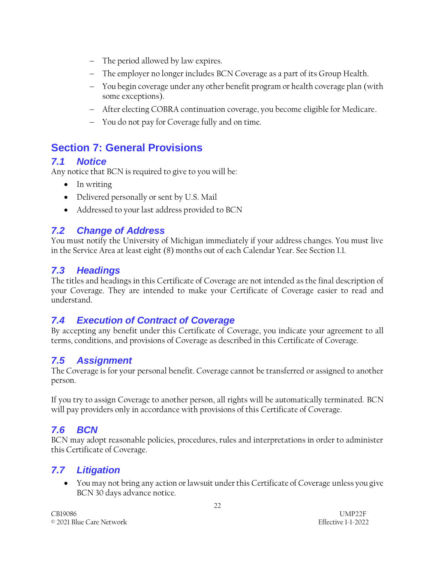- − The period allowed by law expires.
- − The employer no longer includes BCN Coverage as a part of its Group Health.
- − You begin coverage under any other benefit program or health coverage plan (with some exceptions).
- − After electing COBRA continuation coverage, you become eligible for Medicare.
- − You do not pay for Coverage fully and on time.

# <span id="page-22-0"></span>**Section 7: General Provisions**

# <span id="page-22-1"></span>*7.1 Notice*

Any notice that BCN is required to give to you will be:

- In writing
- Delivered personally or sent by U.S. Mail
- Addressed to your last address provided to BCN

# <span id="page-22-2"></span>*7.2 Change of Address*

You must notify the University of Michigan immediately if your address changes. You must live in the Service Area at least eight (8) months out of each Calendar Year. See Section 1.1.

# <span id="page-22-3"></span>*7.3 Headings*

The titles and headings in this Certificate of Coverage are not intended as the final description of your Coverage. They are intended to make your Certificate of Coverage easier to read and understand.

# <span id="page-22-4"></span>*7.4 Execution of Contract of Coverage*

By accepting any benefit under this Certificate of Coverage, you indicate your agreement to all terms, conditions, and provisions of Coverage as described in this Certificate of Coverage.

# <span id="page-22-5"></span>*7.5 Assignment*

The Coverage is for your personal benefit. Coverage cannot be transferred or assigned to another person.

If you try to assign Coverage to another person, all rights will be automatically terminated. BCN will pay providers only in accordance with provisions of this Certificate of Coverage.

# <span id="page-22-6"></span>*7.6 BCN*

BCN may adopt reasonable policies, procedures, rules and interpretations in order to administer this Certificate of Coverage.

# <span id="page-22-7"></span>*7.7 Litigation*

• You may not bring any action or lawsuit under this Certificate of Coverage unless you give BCN 30 days advance notice.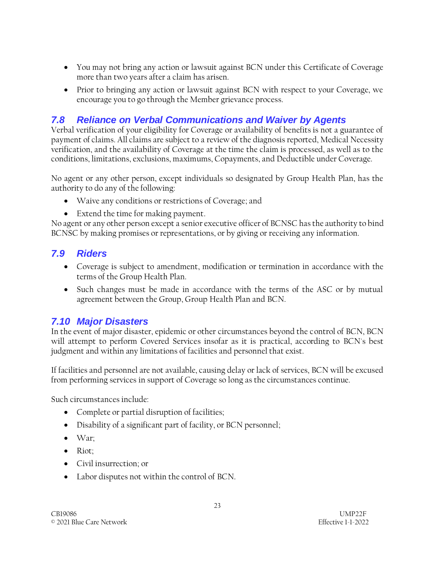- You may not bring any action or lawsuit against BCN under this Certificate of Coverage more than two years after a claim has arisen.
- Prior to bringing any action or lawsuit against BCN with respect to your Coverage, we encourage you to go through the Member grievance process.

### <span id="page-23-0"></span>*7.8 Reliance on Verbal Communications and Waiver by Agents*

Verbal verification of your eligibility for Coverage or availability of benefits is not a guarantee of payment of claims. All claims are subject to a review of the diagnosis reported, Medical Necessity verification, and the availability of Coverage at the time the claim is processed, as well as to the conditions, limitations, exclusions, maximums, Copayments, and Deductible under Coverage.

No agent or any other person, except individuals so designated by Group Health Plan, has the authority to do any of the following:

- Waive any conditions or restrictions of Coverage; and
- Extend the time for making payment.

No agent or any other person except a senior executive officer of BCNSC has the authority to bind BCNSC by making promises or representations, or by giving or receiving any information.

#### <span id="page-23-1"></span>*7.9 Riders*

- Coverage is subject to amendment, modification or termination in accordance with the terms of the Group Health Plan.
- Such changes must be made in accordance with the terms of the ASC or by mutual agreement between the Group, Group Health Plan and BCN.

#### <span id="page-23-2"></span>*7.10 Major Disasters*

In the event of major disaster, epidemic or other circumstances beyond the control of BCN, BCN will attempt to perform Covered Services insofar as it is practical, according to BCN's best judgment and within any limitations of facilities and personnel that exist.

If facilities and personnel are not available, causing delay or lack of services, BCN will be excused from performing services in support of Coverage so long as the circumstances continue.

Such circumstances include:

- Complete or partial disruption of facilities;
- Disability of a significant part of facility, or BCN personnel;
- War;
- Riot:
- Civil insurrection; or
- Labor disputes not within the control of BCN.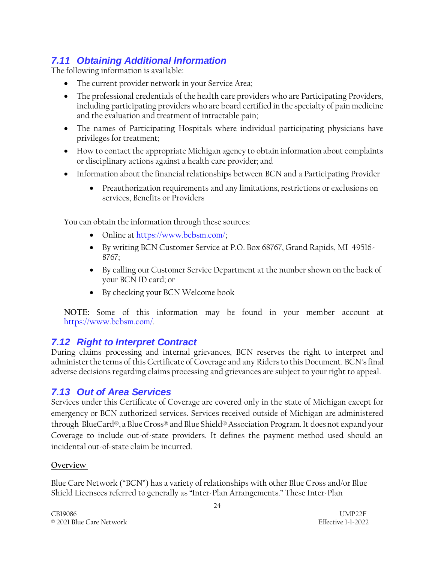# <span id="page-24-0"></span>*7.11 Obtaining Additional Information*

The following information is available:

- The current provider network in your Service Area;
- The professional credentials of the health care providers who are Participating Providers, including participating providers who are board certified in the specialty of pain medicine and the evaluation and treatment of intractable pain;
- The names of Participating Hospitals where individual participating physicians have privileges for treatment;
- How to contact the appropriate Michigan agency to obtain information about complaints or disciplinary actions against a health care provider; and
- Information about the financial relationships between BCN and a Participating Provider
	- Preauthorization requirements and any limitations, restrictions or exclusions on services, Benefits or Providers

You can obtain the information through these sources:

- Online at [https://www.bcbsm.com/;](https://www.bcbsm.com/)
- By writing BCN Customer Service at P.O. Box 68767, Grand Rapids, MI 49516- 8767;
- By calling our Customer Service Department at the number shown on the back of your BCN ID card; or
- By checking your BCN Welcome book

**NOTE:** Some of this information may be found in your member account at [https://www.bcbsm.com/.](https://www.bcbsm.com/)

#### <span id="page-24-1"></span>*7.12 Right to Interpret Contract*

During claims processing and internal grievances, BCN reserves the right to interpret and administer the terms of this Certificate of Coverage and any Riders to this Document. BCN's final adverse decisions regarding claims processing and grievances are subject to your right to appeal.

#### <span id="page-24-2"></span>*7.13 Out of Area Services*

Services under this Certificate of Coverage are covered only in the state of Michigan except for emergency or BCN authorized services. Services received outside of Michigan are administered through BlueCard®, a Blue Cross® and Blue Shield® Association Program. It does not expand your Coverage to include out-of-state providers. It defines the payment method used should an incidental out-of-state claim be incurred.

#### **Overview**

Blue Care Network ("BCN") has a variety of relationships with other Blue Cross and/or Blue Shield Licensees referred to generally as "Inter-Plan Arrangements." These Inter-Plan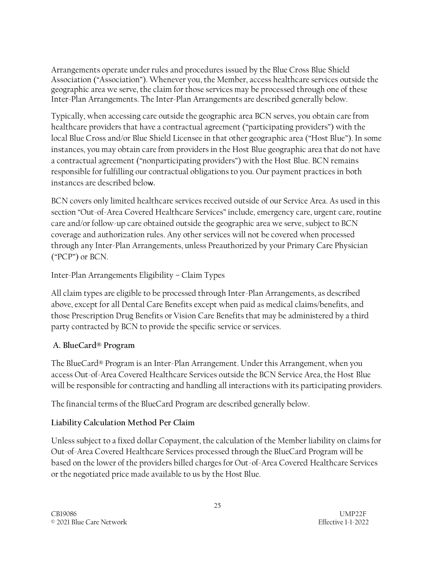Arrangements operate under rules and procedures issued by the Blue Cross Blue Shield Association ("Association"). Whenever you, the Member, access healthcare services outside the geographic area we serve, the claim for those services may be processed through one of these Inter-Plan Arrangements. The Inter-Plan Arrangements are described generally below.

Typically, when accessing care outside the geographic area BCN serves, you obtain care from healthcare providers that have a contractual agreement ("participating providers") with the local Blue Cross and/or Blue Shield Licensee in that other geographic area ("Host Blue"). In some instances, you may obtain care from providers in the Host Blue geographic area that do not have a contractual agreement ("nonparticipating providers") with the Host Blue. BCN remains responsible for fulfilling our contractual obligations to you. Our payment practices in both instances are described below.

BCN covers only limited healthcare services received outside of our Service Area. As used in this section "Out-of-Area Covered Healthcare Services" include, emergency care, urgent care, routine care and/or follow-up care obtained outside the geographic area we serve, subject to BCN coverage and authorization rules. Any other services will not be covered when processed through any Inter-Plan Arrangements, unless Preauthorized by your Primary Care Physician ("PCP") or BCN.

#### Inter-Plan Arrangements Eligibility – Claim Types

All claim types are eligible to be processed through Inter-Plan Arrangements, as described above, except for all Dental Care Benefits except when paid as medical claims/benefits, and those Prescription Drug Benefits or Vision Care Benefits that may be administered by a third party contracted by BCN to provide the specific service or services.

#### **A. BlueCard® Program**

The BlueCard® Program is an Inter-Plan Arrangement. Under this Arrangement, when you access Out-of-Area Covered Healthcare Services outside the BCN Service Area, the Host Blue will be responsible for contracting and handling all interactions with its participating providers.

The financial terms of the BlueCard Program are described generally below.

#### **Liability Calculation Method Per Claim**

Unless subject to a fixed dollar Copayment, the calculation of the Member liability on claims for Out-of-Area Covered Healthcare Services processed through the BlueCard Program will be based on the lower of the providers billed charges for Out-of-Area Covered Healthcare Services or the negotiated price made available to us by the Host Blue.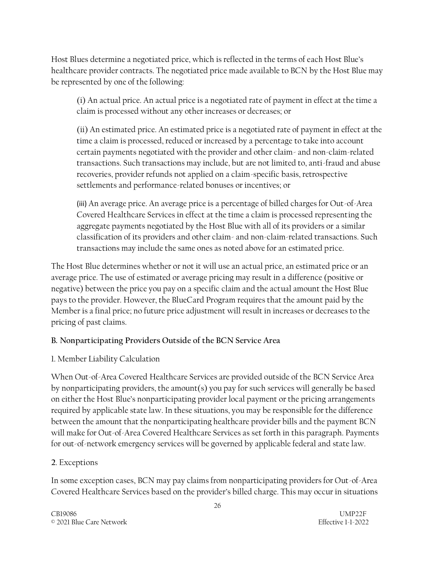Host Blues determine a negotiated price, which is reflected in the terms of each Host Blue's healthcare provider contracts. The negotiated price made available to BCN by the Host Blue may be represented by one of the following:

(i) An actual price. An actual price is a negotiated rate of payment in effect at the time a claim is processed without any other increases or decreases; or

(ii) An estimated price. An estimated price is a negotiated rate of payment in effect at the time a claim is processed, reduced or increased by a percentage to take into account certain payments negotiated with the provider and other claim- and non-claim-related transactions. Such transactions may include, but are not limited to, anti-fraud and abuse recoveries, provider refunds not applied on a claim-specific basis, retrospective settlements and performance-related bonuses or incentives; or

(iii) An average price. An average price is a percentage of billed charges for Out-of-Area Covered Healthcare Services in effect at the time a claim is processed representing the aggregate payments negotiated by the Host Blue with all of its providers or a similar classification of its providers and other claim- and non-claim-related transactions. Such transactions may include the same ones as noted above for an estimated price.

The Host Blue determines whether or not it will use an actual price, an estimated price or an average price. The use of estimated or average pricing may result in a difference (positive or negative) between the price you pay on a specific claim and the actual amount the Host Blue pays to the provider. However, the BlueCard Program requires that the amount paid by the Member is a final price; no future price adjustment will result in increases or decreases to the pricing of past claims.

#### **B. Nonparticipating Providers Outside of the BCN Service Area**

#### 1. Member Liability Calculation

When Out-of-Area Covered Healthcare Services are provided outside of the BCN Service Area by nonparticipating providers, the amount(s) you pay for such services will generally be based on either the Host Blue's nonparticipating provider local payment or the pricing arrangements required by applicable state law. In these situations, you may be responsible for the difference between the amount that the nonparticipating healthcare provider bills and the payment BCN will make for Out-of-Area Covered Healthcare Services as set forth in this paragraph. Payments for out-of-network emergency services will be governed by applicable federal and state law.

#### **2**. Exceptions

In some exception cases, BCN may pay claims from nonparticipating providers for Out-of-Area Covered Healthcare Services based on the provider's billed charge. This may occur in situations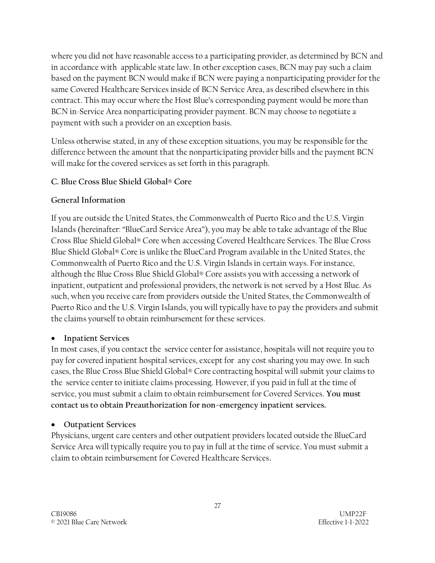where you did not have reasonable access to a participating provider, as determined by BCN and in accordance with applicable state law. In other exception cases, BCN may pay such a claim based on the payment BCN would make if BCN were paying a nonparticipating provider for the same Covered Healthcare Services inside of BCN Service Area, as described elsewhere in this contract. This may occur where the Host Blue's corresponding payment would be more than BCN in-Service Area nonparticipating provider payment. BCN may choose to negotiate a payment with such a provider on an exception basis.

Unless otherwise stated, in any of these exception situations, you may be responsible for the difference between the amount that the nonparticipating provider bills and the payment BCN will make for the covered services as set forth in this paragraph.

#### **C. Blue Cross Blue Shield Global**® **Core**

#### **General Information**

If you are outside the United States, the Commonwealth of Puerto Rico and the U.S. Virgin Islands (hereinafter: "BlueCard Service Area"), you may be able to take advantage of the Blue Cross Blue Shield Global® Core when accessing Covered Healthcare Services. The Blue Cross Blue Shield Global® Core is unlike the BlueCard Program available in the United States, the Commonwealth of Puerto Rico and the U.S. Virgin Islands in certain ways. For instance, although the Blue Cross Blue Shield Global® Core assists you with accessing a network of inpatient, outpatient and professional providers, the network is not served by a Host Blue. As such, when you receive care from providers outside the United States, the Commonwealth of Puerto Rico and the U.S. Virgin Islands, you will typically have to pay the providers and submit the claims yourself to obtain reimbursement for these services.

#### • **Inpatient Services**

In most cases, if you contact the service center for assistance, hospitals will not require you to pay for covered inpatient hospital services, except for any cost sharing you may owe. In such cases, the Blue Cross Blue Shield Global® Core contracting hospital will submit your claims to the service center to initiate claims processing. However, if you paid in full at the time of service, you must submit a claim to obtain reimbursement for Covered Services. **You must contact us to obtain Preauthorization for non-emergency inpatient services.** 

#### • **Outpatient Services**

Physicians, urgent care centers and other outpatient providers located outside the BlueCard Service Area will typically require you to pay in full at the time of service. You must submit a claim to obtain reimbursement for Covered Healthcare Services.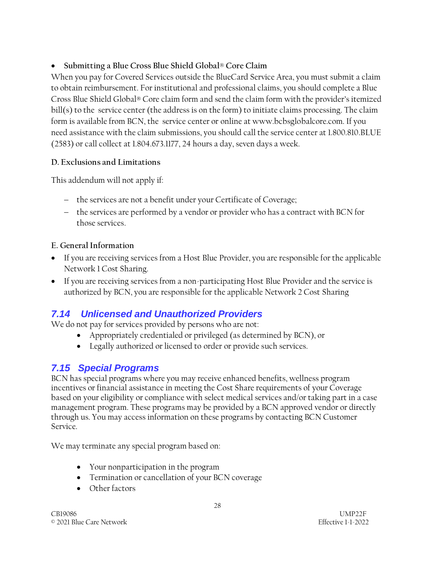#### • **Submitting a Blue Cross Blue Shield Global**® **Core Claim**

When you pay for Covered Services outside the BlueCard Service Area, you must submit a claim to obtain reimbursement. For institutional and professional claims, you should complete a Blue Cross Blue Shield Global® Core claim form and send the claim form with the provider's itemized bill(s) to the service center (the address is on the form) to initiate claims processing. The claim form is available from BCN, the service center or online at www.bcbsglobalcore.com. If you need assistance with the claim submissions, you should call the service center at 1.800.810.BLUE (2583) or call collect at 1.804.673.1177, 24 hours a day, seven days a week.

#### **D. Exclusions and Limitations**

This addendum will not apply if:

- − the services are not a benefit under your Certificate of Coverage;
- − the services are performed by a vendor or provider who has a contract with BCN for those services.

#### **E. General Information**

- If you are receiving services from a Host Blue Provider, you are responsible for the applicable Network 1 Cost Sharing.
- If you are receiving services from a non-participating Host Blue Provider and the service is authorized by BCN, you are responsible for the applicable Network 2 Cost Sharing

# *7.14 Unlicensed and Unauthorized Providers*

We do not pay for services provided by persons who are not:

- Appropriately credentialed or privileged (as determined by BCN), or
- Legally authorized or licensed to order or provide such services.

# *7.15 Special Programs*

BCN has special programs where you may receive enhanced benefits, wellness program incentives or financial assistance in meeting the Cost Share requirements of your Coverage based on your eligibility or compliance with select medical services and/or taking part in a case management program. These programs may be provided by a BCN approved vendor or directly through us. You may access information on these programs by contacting BCN Customer Service.

We may terminate any special program based on:

- Your nonparticipation in the program
- Termination or cancellation of your BCN coverage
- Other factors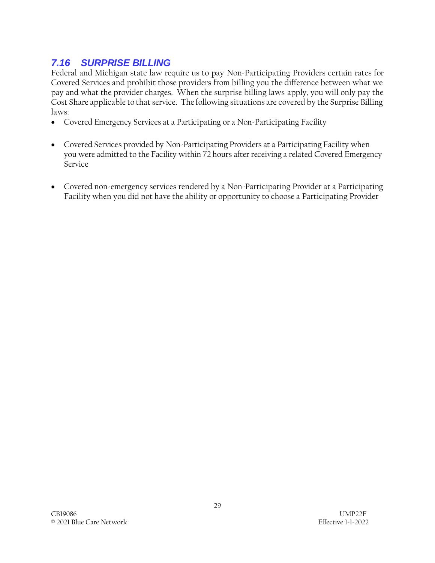# *7.16 SURPRISE BILLING*

Federal and Michigan state law require us to pay Non-Participating Providers certain rates for Covered Services and prohibit those providers from billing you the difference between what we pay and what the provider charges. When the surprise billing laws apply, you will only pay the Cost Share applicable to that service. The following situations are covered by the Surprise Billing laws:

- Covered Emergency Services at a Participating or a Non-Participating Facility
- Covered Services provided by Non-Participating Providers at a Participating Facility when you were admitted to the Facility within 72 hours after receiving a related Covered Emergency Service
- Covered non-emergency services rendered by a Non-Participating Provider at a Participating Facility when you did not have the ability or opportunity to choose a Participating Provider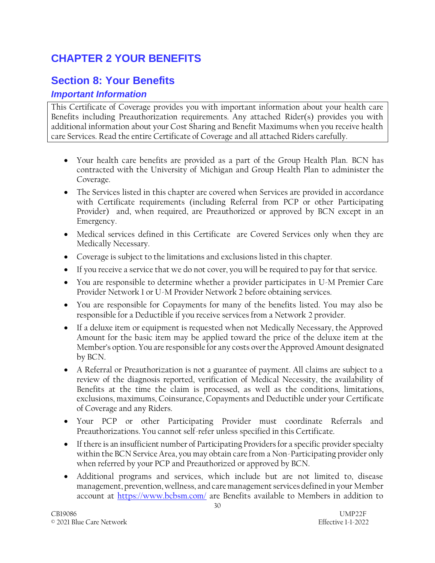# <span id="page-30-0"></span>**CHAPTER 2 YOUR BENEFITS**

# <span id="page-30-1"></span>**Section 8: Your Benefits**

#### *Important Information*

This Certificate of Coverage provides you with important information about your health care Benefits including Preauthorization requirements. Any attached Rider(s) provides you with additional information about your Cost Sharing and Benefit Maximums when you receive health care Services. Read the entire Certificate of Coverage and all attached Riders carefully.

- Your health care benefits are provided as a part of the Group Health Plan. BCN has contracted with the University of Michigan and Group Health Plan to administer the Coverage.
- The Services listed in this chapter are covered when Services are provided in accordance with Certificate requirements (including Referral from PCP or other Participating Provider) and, when required, are Preauthorized or approved by BCN except in an Emergency.
- Medical services defined in this Certificate are Covered Services only when they are Medically Necessary.
- Coverage is subject to the limitations and exclusions listed in this chapter.
- If you receive a service that we do not cover, you will be required to pay for that service.
- You are responsible to determine whether a provider participates in U-M Premier Care Provider Network 1 or U-M Provider Network 2 before obtaining services.
- You are responsible for Copayments for many of the benefits listed. You may also be responsible for a Deductible if you receive services from a Network 2 provider.
- If a deluxe item or equipment is requested when not Medically Necessary, the Approved Amount for the basic item may be applied toward the price of the deluxe item at the Member's option. You are responsible for any costs over the Approved Amount designated by BCN.
- A Referral or Preauthorization is not a guarantee of payment. All claims are subject to a review of the diagnosis reported, verification of Medical Necessity, the availability of Benefits at the time the claim is processed, as well as the conditions, limitations, exclusions, maximums, Coinsurance, Copayments and Deductible under your Certificate of Coverage and any Riders.
- Your PCP or other Participating Provider must coordinate Referrals and Preauthorizations. You cannot self-refer unless specified in this Certificate.
- If there is an insufficient number of Participating Providers for a specific provider specialty within the BCN Service Area, you may obtain care from a Non-Participating provider only when referred by your PCP and Preauthorized or approved by BCN.
- Additional programs and services, which include but are not limited to, disease management, prevention, wellness, and care management services defined in your Member account at<https://www.bcbsm.com/> are Benefits available to Members in addition to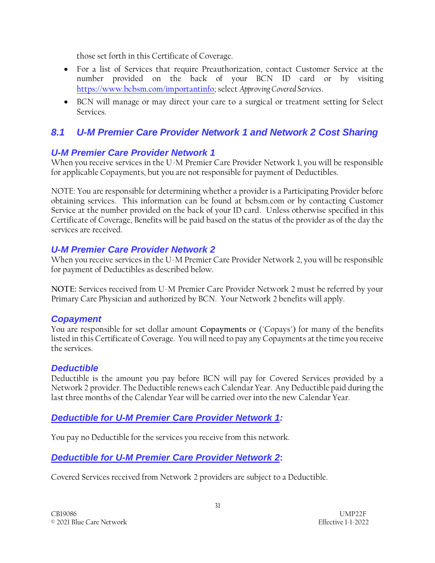those set forth in this Certificate of Coverage.

- For a list of Services that require Preauthorization, contact Customer Service at the number provided on the back of your BCN ID card or by visiting [https://www.bcbsm.com/importantinfo;](https://www.bcbsm.com/importantinfo) select *Approving Covered Services*.
- BCN will manage or may direct your care to a surgical or treatment setting for Select Services.

# <span id="page-31-0"></span>*8.1 U-M Premier Care Provider Network 1 and Network 2 Cost Sharing*

#### *U-M Premier Care Provider Network 1*

When you receive services in the U-M Premier Care Provider Network 1, you will be responsible for applicable Copayments, but you are not responsible for payment of Deductibles.

NOTE: You are responsible for determining whether a provider is a Participating Provider before obtaining services. This information can be found at bcbsm.com or by contacting Customer Service at the number provided on the back of your ID card. Unless otherwise specified in this Certificate of Coverage, Benefits will be paid based on the status of the provider as of the day the services are received.

#### *U-M Premier Care Provider Network 2*

When you receive services in the U-M Premier Care Provider Network 2, you will be responsible for payment of Deductibles as described below.

**NOTE:** Services received from U-M Premier Care Provider Network 2 must be referred by your Primary Care Physician and authorized by BCN.Your Network 2 benefits will apply.

#### *Copayment*

You are responsible for set dollar amount **Copayments** or ("Copays") for many of the benefits listed in this Certificate of Coverage. You will need to pay any Copayments at the time you receive the services.

#### *Deductible*

Deductible is the amount you pay before BCN will pay for Covered Services provided by a Network 2 provider. The Deductible renews each Calendar Year. Any Deductible paid during the last three months of the Calendar Year will be carried over into the new Calendar Year.

#### *Deductible for U-M Premier Care Provider Network 1:*

You pay no Deductible for the services you receive from this network.

# *Deductible for U-M Premier Care Provider Network 2***:**

Covered Services received from Network 2 providers are subject to a Deductible.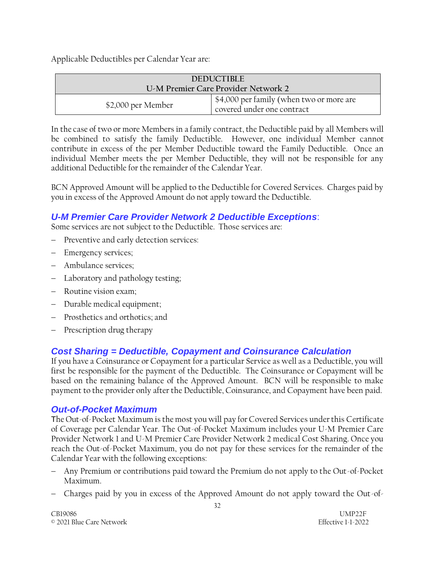Applicable Deductibles per Calendar Year are:

| DEDUCTIBLE<br>U-M Premier Care Provider Network 2 |                                                                        |  |
|---------------------------------------------------|------------------------------------------------------------------------|--|
| \$2,000 per Member                                | \$4,000 per family (when two or more are<br>covered under one contract |  |

In the case of two or more Members in a family contract, the Deductible paid by all Members will be combined to satisfy the family Deductible. However, one individual Member cannot contribute in excess of the per Member Deductible toward the Family Deductible. Once an individual Member meets the per Member Deductible, they will not be responsible for any additional Deductible for the remainder of the Calendar Year.

BCN Approved Amount will be applied to the Deductible for Covered Services. Charges paid by you in excess of the Approved Amount do not apply toward the Deductible.

#### *U-M Premier Care Provider Network 2 Deductible Exceptions*:

Some services are not subject to the Deductible. Those services are:

- − Preventive and early detection services:
- Emergency services;
- − Ambulance services;
- − Laboratory and pathology testing;
- − Routine vision exam;
- − Durable medical equipment;
- − Prosthetics and orthotics; and
- − Prescription drug therapy

#### *Cost Sharing = Deductible, Copayment and Coinsurance Calculation*

If you have a Coinsurance or Copayment for a particular Service as well as a Deductible, you will first be responsible for the payment of the Deductible. The Coinsurance or Copayment will be based on the remaining balance of the Approved Amount. BCN will be responsible to make payment to the provider only after the Deductible, Coinsurance, and Copayment have been paid.

#### *Out-of-Pocket Maximum*

The Out-of-Pocket Maximum is the most you will pay for Covered Services under this Certificate of Coverage per Calendar Year. The Out-of-Pocket Maximum includes your U-M Premier Care Provider Network 1 and U-M Premier Care Provider Network 2 medical Cost Sharing. Once you reach the Out-of-Pocket Maximum, you do not pay for these services for the remainder of the Calendar Year with the following exceptions:

- − Any Premium or contributions paid toward the Premium do not apply to the Out-of-Pocket Maximum.
- − Charges paid by you in excess of the Approved Amount do not apply toward the Out-of-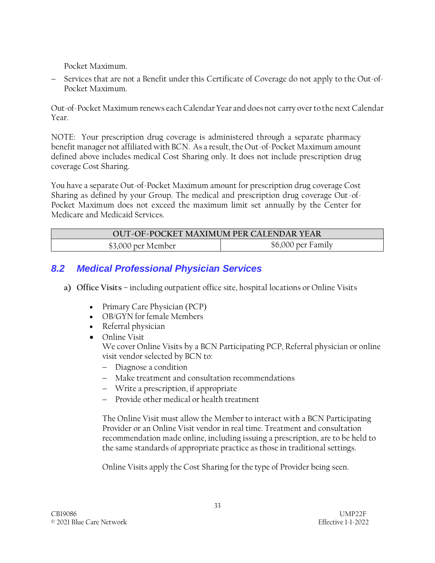Pocket Maximum.

− Services that are not a Benefit under this Certificate of Coverage do not apply to the Out-of-Pocket Maximum.

Out-of-Pocket Maximum renews each Calendar Year and does not carry over to the next Calendar Year.

NOTE: Your prescription drug coverage is administered through a separate pharmacy benefit manager not affiliated with BCN. As a result, the Out-of-Pocket Maximum amount defined above includes medical Cost Sharing only. It does not include prescription drug coverage Cost Sharing.

You have a separate Out-of-Pocket Maximum amount for prescription drug coverage Cost Sharing as defined by your Group. The medical and prescription drug coverage Out-of-Pocket Maximum does not exceed the maximum limit set annually by the Center for Medicare and Medicaid Services.

| OUT-OF-POCKET MAXIMUM PER CALENDAR YEAR |                    |  |
|-----------------------------------------|--------------------|--|
| \$3,000 per Member                      | \$6,000 per Family |  |

### <span id="page-33-0"></span>*8.2 Medical Professional Physician Services*

- **a) Office Visits** including outpatient office site, hospital locations or Online Visits
	- Primary Care Physician (PCP)
	- OB/GYN for female Members
	- Referral physician
	- Online Visit We cover Online Visits by a BCN Participating PCP, Referral physician or online visit vendor selected by BCN to:
		- − Diagnose a condition
		- − Make treatment and consultation recommendations
		- − Write a prescription, if appropriate
		- − Provide other medical or health treatment

The Online Visit must allow the Member to interact with a BCN Participating Provider or an Online Visit vendor in real time. Treatment and consultation recommendation made online, including issuing a prescription, are to be held to the same standards of appropriate practice as those in traditional settings.

Online Visits apply the Cost Sharing for the type of Provider being seen.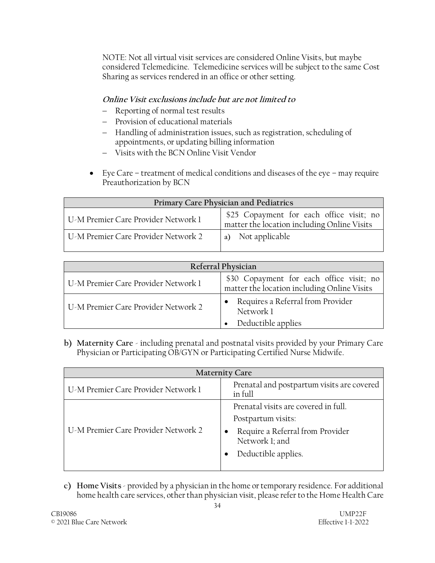NOTE: Not all virtual visit services are considered Online Visits, but maybe considered Telemedicine. Telemedicine services will be subject to the same Cost Sharing as services rendered in an office or other setting.

#### **Online Visit exclusions include but are not limited to**

- − Reporting of normal test results
- − Provision of educational materials
- − Handling of administration issues, such as registration, scheduling of appointments, or updating billing information
- − Visits with the BCN Online Visit Vendor
- Eye Care treatment of medical conditions and diseases of the eye may require Preauthorization by BCN

| Primary Care Physician and Pediatrics |                                                                                         |  |
|---------------------------------------|-----------------------------------------------------------------------------------------|--|
| U-M Premier Care Provider Network 1   | \$25 Copayment for each office visit; no<br>matter the location including Online Visits |  |
| U-M Premier Care Provider Network 2   | a) Not applicable                                                                       |  |

| Referral Physician                  |                                                                                         |  |
|-------------------------------------|-----------------------------------------------------------------------------------------|--|
| U-M Premier Care Provider Network 1 | \$30 Copayment for each office visit; no<br>matter the location including Online Visits |  |
| U-M Premier Care Provider Network 2 | Requires a Referral from Provider<br>Network 1                                          |  |
|                                     | Deductible applies                                                                      |  |

**b) Maternity Care** - including prenatal and postnatal visits provided by your Primary Care Physician or Participating OB/GYN or Participating Certified Nurse Midwife.

| <b>Maternity Care</b>               |                                                                                                                                                      |  |
|-------------------------------------|------------------------------------------------------------------------------------------------------------------------------------------------------|--|
| U-M Premier Care Provider Network 1 | Prenatal and postpartum visits are covered<br>in full                                                                                                |  |
| U-M Premier Care Provider Network 2 | Prenatal visits are covered in full.<br>Postpartum visits:<br>Require a Referral from Provider<br>$\bullet$<br>Network 1; and<br>Deductible applies. |  |

**c) Home Visits** - provided by a physician in the home or temporary residence. For additional home health care services, other than physician visit, please refer to the Home Health Care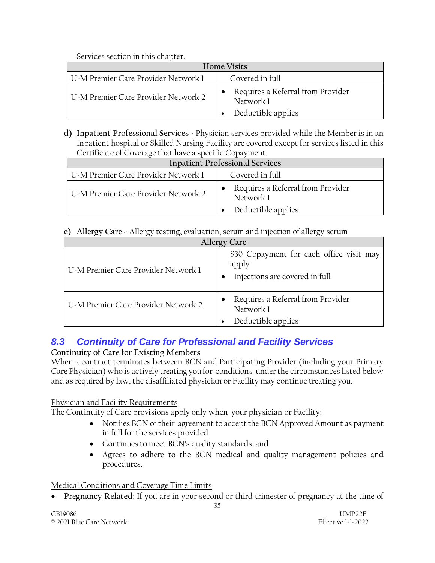Services section in this chapter.

| Home Visits                         |                                                |  |
|-------------------------------------|------------------------------------------------|--|
| U-M Premier Care Provider Network 1 | Covered in full                                |  |
| U-M Premier Care Provider Network 2 | Requires a Referral from Provider<br>Network 1 |  |
|                                     | Deductible applies                             |  |

**d) Inpatient Professional Services** - Physician services provided while the Member is in an Inpatient hospital or Skilled Nursing Facility are covered except for services listed in this Certificate of Coverage that have a specific Copayment.

| <b>Inpatient Professional Services</b> |                                                                      |  |
|----------------------------------------|----------------------------------------------------------------------|--|
| U-M Premier Care Provider Network 1    | Covered in full                                                      |  |
| U-M Premier Care Provider Network 2    | Requires a Referral from Provider<br>Network 1<br>Deductible applies |  |

#### **e) Allergy Care -** Allergy testing, evaluation, serum and injection of allergy serum

| <b>Allergy Care</b>                 |                                                                                     |  |
|-------------------------------------|-------------------------------------------------------------------------------------|--|
| U-M Premier Care Provider Network 1 | \$30 Copayment for each office visit may<br>apply<br>Injections are covered in full |  |
| U-M Premier Care Provider Network 2 | Requires a Referral from Provider<br>$\bullet$<br>Network 1<br>Deductible applies   |  |

# <span id="page-35-0"></span>*8.3 Continuity of Care for Professional and Facility Services*

#### **Continuity of Care for Existing Members**

When a contract terminates between BCN and Participating Provider (including your Primary Care Physician) who is actively treating you for conditions under the circumstances listed below and as required by law, the disaffiliated physician or Facility may continue treating you.

#### Physician and Facility Requirements

The Continuity of Care provisions apply only when your physician or Facility:

- Notifies BCN of their agreement to accept the BCN Approved Amount as payment in full for the services provided
- Continues to meet BCN's quality standards; and
- Agrees to adhere to the BCN medical and quality management policies and procedures.

#### Medical Conditions and Coverage Time Limits

• **Pregnancy Related**: If you are in your second or third trimester of pregnancy at the time of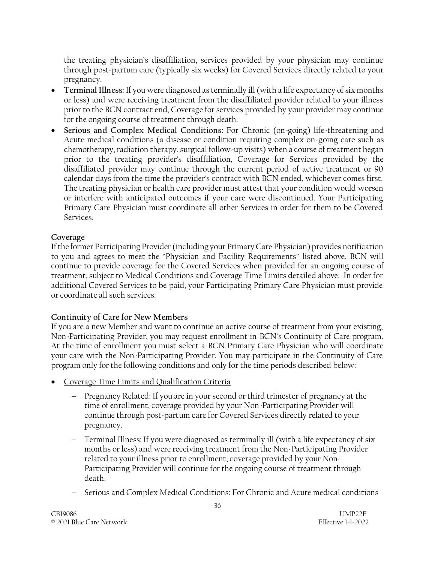the treating physician's disaffiliation, services provided by your physician may continue through post-partum care (typically six weeks) for Covered Services directly related to your pregnancy.

- **Terminal Illness:** If you were diagnosed as terminally ill (with a life expectancy of six months or less) and were receiving treatment from the disaffiliated provider related to your illness prior to the BCN contract end, Coverage for services provided by your provider may continue for the ongoing course of treatment through death.
- **Serious and Complex Medical Conditions**: For Chronic (on-going) life-threatening and Acute medical conditions (a disease or condition requiring complex on-going care such as chemotherapy, radiation therapy, surgical follow-up visits) when a course of treatment began prior to the treating provider's disaffiliation, Coverage for Services provided by the disaffiliated provider may continue through the current period of active treatment or 90 calendar days from the time the provider's contract with BCN ended, whichever comes first. The treating physician or health care provider must attest that your condition would worsen or interfere with anticipated outcomes if your care were discontinued. Your Participating Primary Care Physician must coordinate all other Services in order for them to be Covered Services.

#### **Coverage**

If the former Participating Provider (including your Primary Care Physician) provides notification to you and agrees to meet the "Physician and Facility Requirements" listed above, BCN will continue to provide coverage for the Covered Services when provided for an ongoing course of treatment, subject to Medical Conditions and Coverage Time Limits detailed above. In order for additional Covered Services to be paid, your Participating Primary Care Physician must provide or coordinate all such services.

#### **Continuity of Care for New Members**

If you are a new Member and want to continue an active course of treatment from your existing, Non-Participating Provider, you may request enrollment in BCN's Continuity of Care program. At the time of enrollment you must select a BCN Primary Care Physician who will coordinate your care with the Non-Participating Provider. You may participate in the Continuity of Care program only for the following conditions and only for the time periods described below:

- Coverage Time Limits and Qualification Criteria
	- − Pregnancy Related: If you are in your second or third trimester of pregnancy at the time of enrollment, coverage provided by your Non-Participating Provider will continue through post-partum care for Covered Services directly related to your pregnancy.
	- − Terminal Illness: If you were diagnosed as terminally ill (with a life expectancy of six months or less) and were receiving treatment from the Non-Participating Provider related to your illness prior to enrollment, coverage provided by your Non-Participating Provider will continue for the ongoing course of treatment through death.
		- Serious and Complex Medical Conditions: For Chronic and Acute medical conditions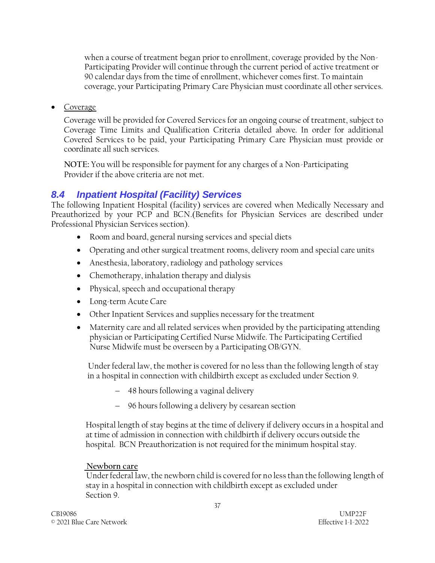when a course of treatment began prior to enrollment, coverage provided by the Non-Participating Provider will continue through the current period of active treatment or 90 calendar days from the time of enrollment, whichever comes first. To maintain coverage, your Participating Primary Care Physician must coordinate all other services.

• Coverage

Coverage will be provided for Covered Services for an ongoing course of treatment, subject to Coverage Time Limits and Qualification Criteria detailed above. In order for additional Covered Services to be paid, your Participating Primary Care Physician must provide or coordinate all such services.

**NOTE:** You will be responsible for payment for any charges of a Non-Participating Provider if the above criteria are not met.

# *8.4 Inpatient Hospital (Facility) Services*

The following Inpatient Hospital (facility) services are covered when Medically Necessary and Preauthorized by your PCP and BCN.(Benefits for Physician Services are described under Professional Physician Services section).

- Room and board, general nursing services and special diets
- Operating and other surgical treatment rooms, delivery room and special care units
- Anesthesia, laboratory, radiology and pathology services
- Chemotherapy, inhalation therapy and dialysis
- Physical, speech and occupational therapy
- Long-term Acute Care
- Other Inpatient Services and supplies necessary for the treatment
- Maternity care and all related services when provided by the participating attending physician or Participating Certified Nurse Midwife. The Participating Certified Nurse Midwife must be overseen by a Participating OB/GYN.

Under federal law, the mother is covered for no less than the following length of stay in a hospital in connection with childbirth except as excluded under Section 9.

- − 48 hours following a vaginal delivery
- − 96 hours following a delivery by cesarean section

 Hospital length of stay begins at the time of delivery if delivery occurs in a hospital and at time of admission in connection with childbirth if delivery occurs outside the hospital. BCN Preauthorization is not required for the minimum hospital stay.

#### **Newborn care**

Under federal law, the newborn child is covered for no less than the following length of stay in a hospital in connection with childbirth except as excluded under Section 9.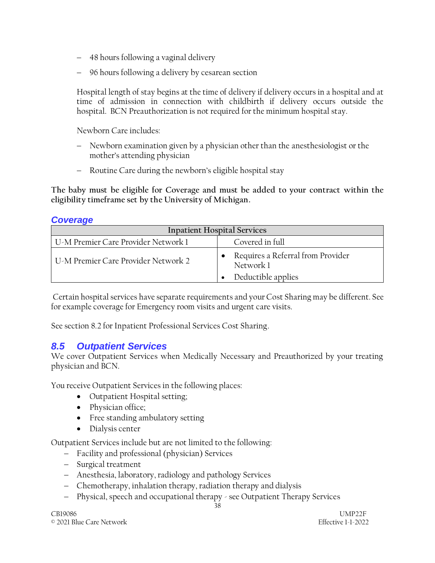- − 48 hours following a vaginal delivery
- − 96 hours following a delivery by cesarean section

Hospital length of stay begins at the time of delivery if delivery occurs in a hospital and at time of admission in connection with childbirth if delivery occurs outside the hospital. BCN Preauthorization is not required for the minimum hospital stay.

Newborn Care includes:

- − Newborn examination given by a physician other than the anesthesiologist or the mother's attending physician
- − Routine Care during the newborn's eligible hospital stay

**The baby must be eligible for Coverage and must be added to your contract within the eligibility timeframe set by the University of Michigan.** 

*Coverage*

| <b>Inpatient Hospital Services</b>  |                                                |
|-------------------------------------|------------------------------------------------|
| U-M Premier Care Provider Network 1 | Covered in full                                |
| U-M Premier Care Provider Network 2 | Requires a Referral from Provider<br>Network 1 |
|                                     | Deductible applies                             |

Certain hospital services have separate requirements and your Cost Sharing may be different. See for example coverage for Emergency room visits and urgent care visits.

See section 8.2 for Inpatient Professional Services Cost Sharing.

### *8.5 Outpatient Services*

We cover Outpatient Services when Medically Necessary and Preauthorized by your treating physician and BCN.

You receive Outpatient Services in the following places:

- Outpatient Hospital setting;
- Physician office;
- Free standing ambulatory setting
- Dialysis center

Outpatient Services include but are not limited to the following:

- − Facility and professional (physician) Services
- − Surgical treatment
- − Anesthesia, laboratory, radiology and pathology Services
- − Chemotherapy, inhalation therapy, radiation therapy and dialysis
- − Physical, speech and occupational therapy see Outpatient Therapy Services

CB19086 UMP22F © 2021 Blue Care Network Effective 1-1-2022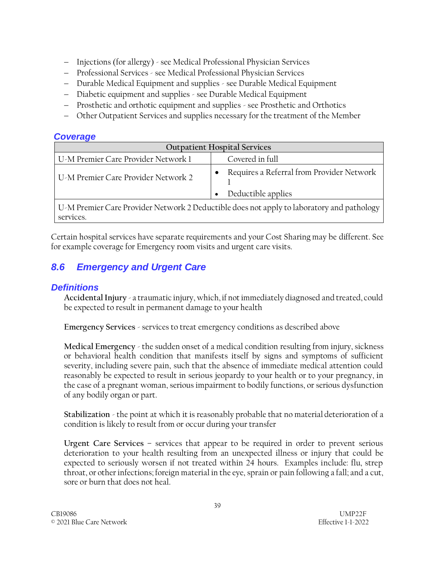- − Injections (for allergy) see Medical Professional Physician Services
- − Professional Services see Medical Professional Physician Services
- − Durable Medical Equipment and supplies see Durable Medical Equipment
- − Diabetic equipment and supplies see Durable Medical Equipment
- − Prosthetic and orthotic equipment and supplies see Prosthetic and Orthotics
- − Other Outpatient Services and supplies necessary for the treatment of the Member

#### *Coverage*

| <b>Outpatient Hospital Services</b>                                                                    |                                                                 |
|--------------------------------------------------------------------------------------------------------|-----------------------------------------------------------------|
| U-M Premier Care Provider Network 1                                                                    | Covered in full                                                 |
| U-M Premier Care Provider Network 2                                                                    | Requires a Referral from Provider Network<br>Deductible applies |
| U-M Premier Care Provider Network 2 Deductible does not apply to laboratory and pathology<br>services. |                                                                 |

Certain hospital services have separate requirements and your Cost Sharing may be different. See for example coverage for Emergency room visits and urgent care visits.

# *8.6 Emergency and Urgent Care*

### *Definitions*

**Accidental Injury** - a traumatic injury, which, if not immediately diagnosed and treated, could be expected to result in permanent damage to your health

**Emergency Services** - services to treat emergency conditions as described above

**Medical Emergency** - the sudden onset of a medical condition resulting from injury, sickness or behavioral health condition that manifests itself by signs and symptoms of sufficient severity, including severe pain, such that the absence of immediate medical attention could reasonably be expected to result in serious jeopardy to your health or to your pregnancy, in the case of a pregnant woman, serious impairment to bodily functions, or serious dysfunction of any bodily organ or part.

**Stabilization** - the point at which it is reasonably probable that no material deterioration of a condition is likely to result from or occur during your transfer

**Urgent Care Services** – services that appear to be required in order to prevent serious deterioration to your health resulting from an unexpected illness or injury that could be expected to seriously worsen if not treated within 24 hours. Examples include: flu, strep throat, or other infections; foreign material in the eye, sprain or pain following a fall; and a cut, sore or burn that does not heal.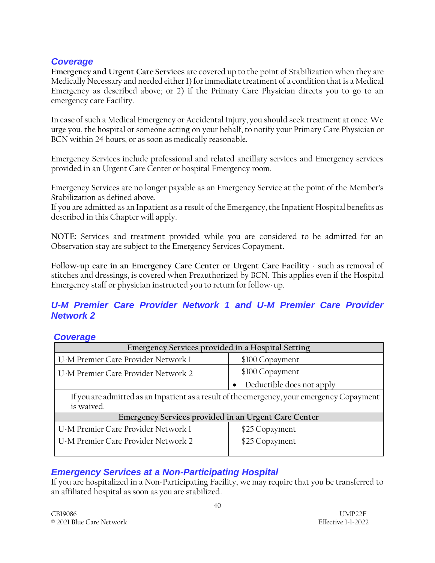#### *Coverage*

**Emergency and Urgent Care Services** are covered up to the point of Stabilization when they are Medically Necessary and needed either 1) for immediate treatment of a condition that is a Medical Emergency as described above; or 2) if the Primary Care Physician directs you to go to an emergency care Facility.

In case of such a Medical Emergency or Accidental Injury, you should seek treatment at once. We urge you, the hospital or someone acting on your behalf, to notify your Primary Care Physician or BCN within 24 hours, or as soon as medically reasonable.

Emergency Services include professional and related ancillary services and Emergency services provided in an Urgent Care Center or hospital Emergency room.

Emergency Services are no longer payable as an Emergency Service at the point of the Member's Stabilization as defined above.

If you are admitted as an Inpatient as a result of the Emergency, the Inpatient Hospital benefits as described in this Chapter will apply.

**NOTE:** Services and treatment provided while you are considered to be admitted for an Observation stay are subject to the Emergency Services Copayment.

**Follow-up care in an Emergency Care Center or Urgent Care Facility** - such as removal of stitches and dressings, is covered when Preauthorized by BCN. This applies even if the Hospital Emergency staff or physician instructed you to return for follow-up.

### *U-M Premier Care Provider Network 1 and U-M Premier Care Provider Network 2*

### *Coverage*

| Emergency Services provided in a Hospital Setting                                                        |                           |  |
|----------------------------------------------------------------------------------------------------------|---------------------------|--|
| U-M Premier Care Provider Network 1                                                                      | \$100 Copayment           |  |
| U-M Premier Care Provider Network 2                                                                      | \$100 Copayment           |  |
|                                                                                                          | Deductible does not apply |  |
| If you are admitted as an Inpatient as a result of the emergency, your emergency Copayment<br>is waived. |                           |  |
| Emergency Services provided in an Urgent Care Center                                                     |                           |  |
| U-M Premier Care Provider Network 1                                                                      | \$25 Copayment            |  |
| U-M Premier Care Provider Network 2                                                                      | \$25 Copayment            |  |
|                                                                                                          |                           |  |

# *Emergency Services at a Non-Participating Hospital*

If you are hospitalized in a Non-Participating Facility, we may require that you be transferred to an affiliated hospital as soon as you are stabilized.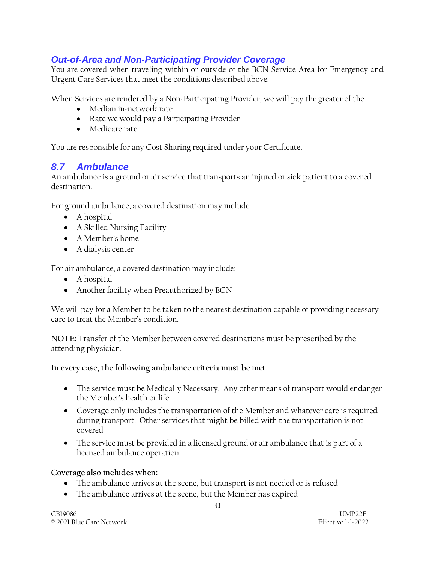# *Out-of-Area and Non-Participating Provider Coverage*

You are covered when traveling within or outside of the BCN Service Area for Emergency and Urgent Care Services that meet the conditions described above.

When Services are rendered by a Non-Participating Provider, we will pay the greater of the:

- Median in-network rate
- Rate we would pay a Participating Provider
- Medicare rate

You are responsible for any Cost Sharing required under your Certificate.

# *8.7 Ambulance*

An ambulance is a ground or air service that transports an injured or sick patient to a covered destination.

For ground ambulance, a covered destination may include:

- A hospital
- A Skilled Nursing Facility
- A Member's home
- A dialysis center

For air ambulance, a covered destination may include:

- A hospital
- Another facility when Preauthorized by BCN

We will pay for a Member to be taken to the nearest destination capable of providing necessary care to treat the Member's condition.

**NOTE:** Transfer of the Member between covered destinations must be prescribed by the attending physician.

#### **In every case, the following ambulance criteria must be met:**

- The service must be Medically Necessary. Any other means of transport would endanger the Member's health or life
- Coverage only includes the transportation of the Member and whatever care is required during transport. Other services that might be billed with the transportation is not covered
- The service must be provided in a licensed ground or air ambulance that is part of a licensed ambulance operation

### **Coverage also includes when:**

- The ambulance arrives at the scene, but transport is not needed or is refused
- The ambulance arrives at the scene, but the Member has expired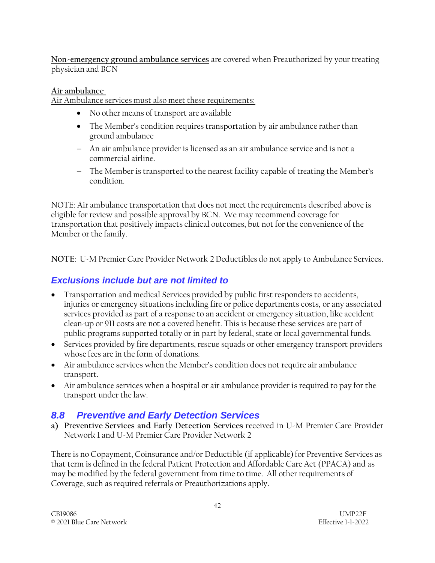**Non-emergency ground ambulance services** are covered when Preauthorized by your treating physician and BCN

#### **Air ambulance**

Air Ambulance services must also meet these requirements:

- No other means of transport are available
- The Member's condition requires transportation by air ambulance rather than ground ambulance
- − An air ambulance provider is licensed as an air ambulance service and is not a commercial airline.
- − The Member is transported to the nearest facility capable of treating the Member's condition.

NOTE: Air ambulance transportation that does not meet the requirements described above is eligible for review and possible approval by BCN. We may recommend coverage for transportation that positively impacts clinical outcomes, but not for the convenience of the Member or the family.

**NOTE**: U-M Premier Care Provider Network 2Deductibles do not apply to Ambulance Services.

### *Exclusions include but are not limited to*

- Transportation and medical Services provided by public first responders to accidents, injuries or emergency situations including fire or police departments costs, or any associated services provided as part of a response to an accident or emergency situation, like accident clean-up or 911 costs are not a covered benefit. This is because these services are part of public programs supported totally or in part by federal, state or local governmental funds.
- Services provided by fire departments, rescue squads or other emergency transport providers whose fees are in the form of donations.
- Air ambulance services when the Member's condition does not require air ambulance transport.
- Air ambulance services when a hospital or air ambulance provider is required to pay for the transport under the law.

# *8.8 Preventive and Early Detection Services*

**a) Preventive Services and Early Detection Services** received in U-M Premier Care Provider Network 1 and U-M Premier Care Provider Network 2

There is no Copayment, Coinsurance and/or Deductible (if applicable) for Preventive Services as that term is defined in the federal Patient Protection and Affordable Care Act (PPACA) and as may be modified by the federal government from time to time. All other requirements of Coverage, such as required referrals or Preauthorizations apply.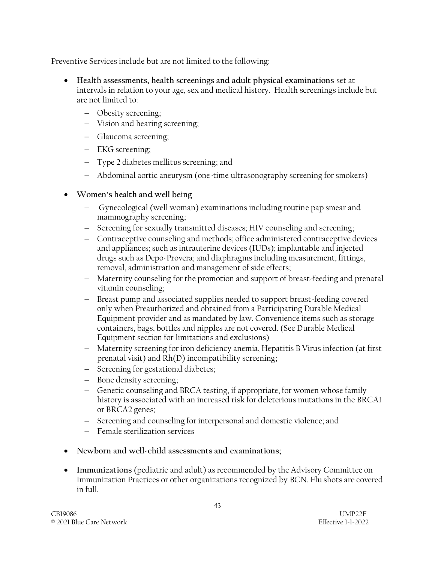Preventive Services include but are not limited to the following:

- **Health assessments, health screenings and adult physical examinations** set at intervals in relation to your age, sex and medical history. Health screenings include but are not limited to:
	- − Obesity screening;
	- − Vision and hearing screening;
	- − Glaucoma screening;
	- − EKG screening;
	- − Type 2 diabetes mellitus screening; and
	- − Abdominal aortic aneurysm (one-time ultrasonography screening for smokers)
- **Women's health and well being**
	- − Gynecological (well woman) examinations including routine pap smear and mammography screening;
	- − Screening for sexually transmitted diseases; HIV counseling and screening;
	- − Contraceptive counseling and methods; office administered contraceptive devices and appliances; such as intrauterine devices (IUDs); implantable and injected drugs such as Depo-Provera; and diaphragms including measurement, fittings, removal, administration and management of side effects;
	- − Maternity counseling for the promotion and support of breast-feeding and prenatal vitamin counseling;
	- − Breast pump and associated supplies needed to support breast-feeding covered only when Preauthorized and obtained from a Participating Durable Medical Equipment provider and as mandated by law. Convenience items such as storage containers, bags, bottles and nipples are not covered. (See Durable Medical Equipment section for limitations and exclusions)
	- − Maternity screening for iron deficiency anemia, Hepatitis B Virus infection (at first prenatal visit) and Rh(D) incompatibility screening;
	- − Screening for gestational diabetes;
	- − Bone density screening;
	- − Genetic counseling and BRCA testing, if appropriate, for women whose family history is associated with an increased risk for deleterious mutations in the BRCA1 or BRCA2 genes;
	- − Screening and counseling for interpersonal and domestic violence; and
	- − Female sterilization services
- **Newborn and well-child assessments and examinations;**
- **Immunizations** (pediatric and adult) as recommended by the Advisory Committee on Immunization Practices or other organizations recognized by BCN. Flu shots are covered in full.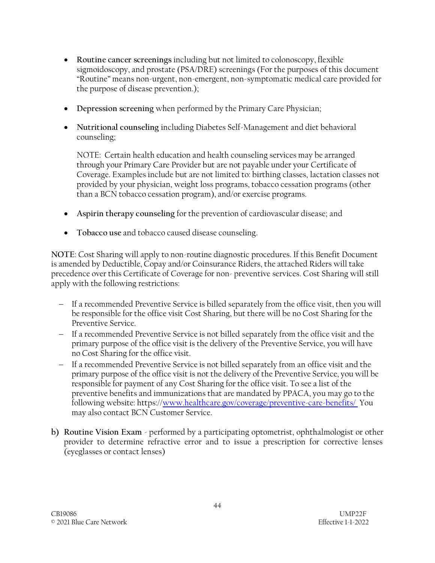- **Routine cancer screenings** including but not limited to colonoscopy, flexible sigmoidoscopy, and prostate (PSA/DRE) screenings (For the purposes of this document "Routine" means non-urgent, non-emergent, non-symptomatic medical care provided for the purpose of disease prevention.);
- **Depression screening** when performed by the Primary Care Physician;
- **Nutritional counseling** including Diabetes Self-Management and diet behavioral counseling;

NOTE: Certain health education and health counseling services may be arranged through your Primary Care Provider but are not payable under your Certificate of Coverage. Examples include but are not limited to: birthing classes, lactation classes not provided by your physician, weight loss programs, tobacco cessation programs (other than a BCN tobacco cessation program), and/or exercise programs.

- **Aspirin therapy counseling** for the prevention of cardiovascular disease; and
- **Tobacco use** and tobacco caused disease counseling.

**NOTE**: Cost Sharing will apply to non-routine diagnostic procedures. If this Benefit Document is amended by Deductible, Copay and/or Coinsurance Riders, the attached Riders will take precedence over this Certificate of Coverage for non- preventive services. Cost Sharing will still apply with the following restrictions:

- − If a recommended Preventive Service is billed separately from the office visit, then you will be responsible for the office visit Cost Sharing, but there will be no Cost Sharing for the Preventive Service.
- − If a recommended Preventive Service is not billed separately from the office visit and the primary purpose of the office visit is the delivery of the Preventive Service, you will have no Cost Sharing for the office visit.
- − If a recommended Preventive Service is not billed separately from an office visit and the primary purpose of the office visit is not the delivery of the Preventive Service, you will be responsible for payment of any Cost Sharing for the office visit. To see a list of the preventive benefits and immunizations that are mandated by PPACA, you may go to the following website: https:/[/www.healthcare.gov/coverage/preventive-care-benefits/](http://www.healthcare.gov/coverage/preventive-care-benefits/) You may also contact BCN Customer Service.
- **b) Routine Vision Exam** performed by a participating optometrist, ophthalmologist or other provider to determine refractive error and to issue a prescription for corrective lenses (eyeglasses or contact lenses)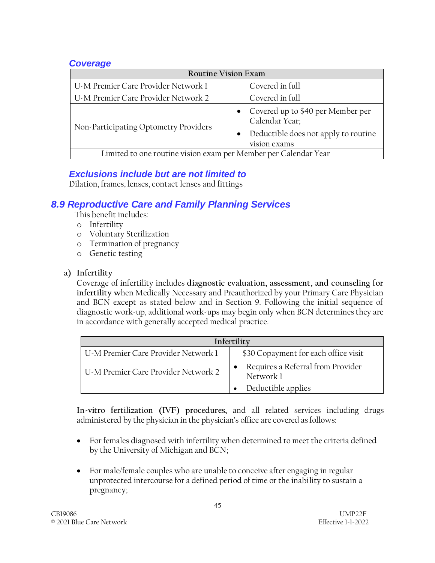### *Coverage*

| <b>Routine Vision Exam</b>                                      |                                                                                                               |
|-----------------------------------------------------------------|---------------------------------------------------------------------------------------------------------------|
| U-M Premier Care Provider Network 1                             | Covered in full                                                                                               |
| U-M Premier Care Provider Network 2                             | Covered in full                                                                                               |
| Non-Participating Optometry Providers                           | • Covered up to \$40 per Member per<br>Calendar Year;<br>Deductible does not apply to routine<br>vision exams |
| Limited to one routine vision exam per Member per Calendar Year |                                                                                                               |

# *Exclusions include but are not limited to*

Dilation, frames, lenses, contact lenses and fittings

# *8.9 Reproductive Care and Family Planning Services*

This benefit includes:

- o Infertility
- o Voluntary Sterilization
- o Termination of pregnancy
- o Genetic testing
- **a) Infertility**

Coverage of infertility includes **diagnostic evaluation, assessment, and counseling for infertility w**hen Medically Necessary and Preauthorized by your Primary Care Physician and BCN except as stated below and in Section 9. Following the initial sequence of diagnostic work-up, additional work-ups may begin only when BCN determines they are in accordance with generally accepted medical practice.

| Infertility                         |                                                |
|-------------------------------------|------------------------------------------------|
| U-M Premier Care Provider Network 1 | \$30 Copayment for each office visit           |
| U-M Premier Care Provider Network 2 | Requires a Referral from Provider<br>Network 1 |
|                                     | Deductible applies                             |

**In-vitro fertilization (IVF) procedures,** and all related services including drugs administered by the physician in the physician's office are covered asfollows:

- For females diagnosed with infertility when determined to meet the criteria defined by the University of Michigan and BCN;
- For male/female couples who are unable to conceive after engaging in regular unprotected intercourse for a defined period of time or the inability to sustain a pregnancy;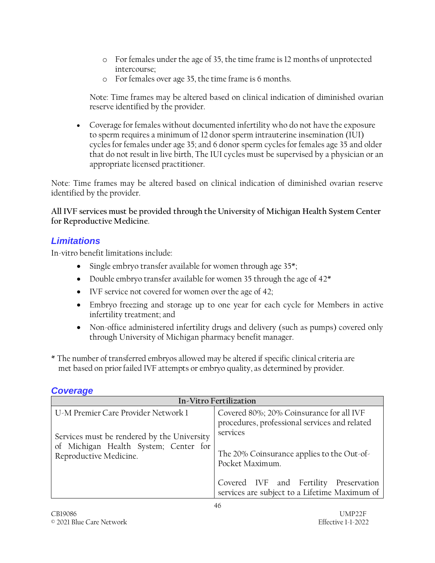- o For females under the age of 35, the time frame is 12 months of unprotected intercourse;
- o For females over age 35, the time frame is 6 months.

Note: Time frames may be altered based on clinical indication of diminished ovarian reserve identified by the provider.

• Coverage for females without documented infertility who do not have the exposure to sperm requires a minimum of 12 donor sperm intrauterine insemination (IUI) cycles for females under age 35; and 6 donor sperm cycles for females age 35 and older that do not result in live birth, The IUI cycles must be supervised by a physician or an appropriate licensed practitioner.

Note: Time frames may be altered based on clinical indication of diminished ovarian reserve identified by the provider.

**All IVF services must be provided through the University of Michigan Health System Center for Reproductive Medicine**.

# *Limitations*

In-vitro benefit limitations include:

- Single embryo transfer available for women through age 35<sup>\*</sup>;
- Double embryo transfer available for women 35 through the age of  $42^*$
- IVF service not covered for women over the age of 42;
- Embryo freezing and storage up to one year for each cycle for Members in active infertility treatment; and
- Non-office administered infertility drugs and delivery (such as pumps) covered only through University of Michigan pharmacy benefit manager.
- \* The number of transferred embryos allowed may be altered if specific clinical criteria are met based on prior failed IVF attempts or embryo quality, as determined by provider.

| -------                                                                            |                                                                                                       |
|------------------------------------------------------------------------------------|-------------------------------------------------------------------------------------------------------|
| In-Vitro Fertilization                                                             |                                                                                                       |
| U-M Premier Care Provider Network 1<br>Services must be rendered by the University | Covered 80%; 20% Coinsurance for all IVF<br>procedures, professional services and related<br>services |
| of Michigan Health System; Center for<br>Reproductive Medicine.                    | The 20% Coinsurance applies to the Out-of-<br>Pocket Maximum.                                         |
|                                                                                    | Covered IVF and Fertility Preservation<br>services are subject to a Lifetime Maximum of               |

#### *Coverage*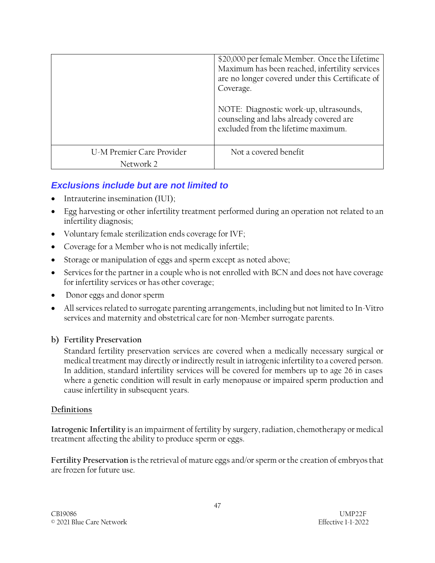|                           | \$20,000 per female Member. Once the Lifetime<br>Maximum has been reached, infertility services<br>are no longer covered under this Certificate of<br>Coverage.<br>NOTE: Diagnostic work-up, ultrasounds,<br>counseling and labs already covered are<br>excluded from the lifetime maximum. |
|---------------------------|---------------------------------------------------------------------------------------------------------------------------------------------------------------------------------------------------------------------------------------------------------------------------------------------|
| U-M Premier Care Provider | Not a covered benefit                                                                                                                                                                                                                                                                       |
| Network 2                 |                                                                                                                                                                                                                                                                                             |

#### *Exclusions include but are not limited to*

- Intrauterine insemination (IUI);
- Egg harvesting or other infertility treatment performed during an operation not related to an infertility diagnosis;
- Voluntary female sterilization ends coverage for IVF;
- Coverage for a Member who is not medically infertile;
- Storage or manipulation of eggs and sperm except as noted above;
- Services for the partner in a couple who is not enrolled with BCN and does not have coverage for infertility services or has other coverage;
- Donor eggs and donor sperm
- All services related to surrogate parenting arrangements, including but not limited to In-Vitro services and maternity and obstetrical care for non-Member surrogate parents.

#### **b) Fertility Preservation**

Standard fertility preservation services are covered when a medically necessary surgical or medical treatment may directly or indirectly result in iatrogenic infertility to a covered person. In addition, standard infertility services will be covered for members up to age 26 in cases where a genetic condition will result in early menopause or impaired sperm production and cause infertility in subsequent years.

#### **Definitions**

**Iatrogenic Infertility** is an impairment of fertility by surgery, radiation, chemotherapy or medical treatment affecting the ability to produce sperm or eggs.

 **Fertility Preservation** is the retrieval of mature eggs and/or sperm or the creation of embryos that are frozen for future use.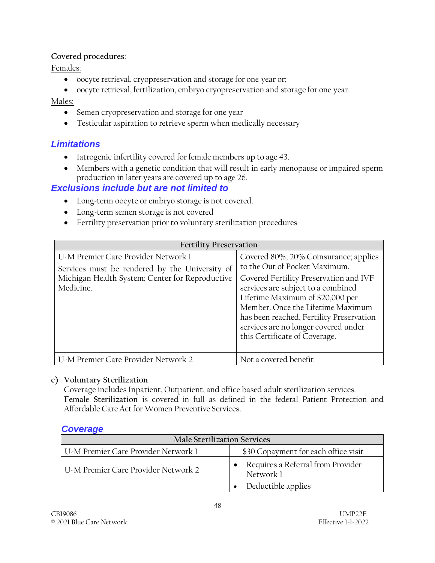#### **Covered procedures**:

Females:

- oocyte retrieval, cryopreservation and storage for one year or;
- oocyte retrieval, fertilization, embryo cryopreservation and storage for one year.

### Males:

- Semen cryopreservation and storage for one year
- Testicular aspiration to retrieve sperm when medically necessary

# *Limitations*

- Iatrogenic infertility covered for female members up to age 43.
- Members with a genetic condition that will result in early menopause or impaired sperm production in later years are covered up to age 26.

# *Exclusions include but are not limited to*

- Long-term oocyte or embryo storage is not covered.
- Long-term semen storage is not covered
- Fertility preservation prior to voluntary sterilization procedures

| <b>Fertility Preservation</b>                                                                                                                         |                                                                                                                                                                                                                                                                                                                                                      |  |
|-------------------------------------------------------------------------------------------------------------------------------------------------------|------------------------------------------------------------------------------------------------------------------------------------------------------------------------------------------------------------------------------------------------------------------------------------------------------------------------------------------------------|--|
| U-M Premier Care Provider Network 1<br>Services must be rendered by the University of<br>Michigan Health System; Center for Reproductive<br>Medicine. | Covered 80%; 20% Coinsurance; applies<br>to the Out of Pocket Maximum.<br>Covered Fertility Preservation and IVF<br>services are subject to a combined<br>Lifetime Maximum of \$20,000 per<br>Member. Once the Lifetime Maximum<br>has been reached, Fertility Preservation<br>services are no longer covered under<br>this Certificate of Coverage. |  |
| U-M Premier Care Provider Network 2                                                                                                                   | Not a covered benefit                                                                                                                                                                                                                                                                                                                                |  |

# **c) Voluntary Sterilization**

Coverage includes Inpatient, Outpatient, and office based adult sterilization services. **Female Sterilization** is covered in full as defined in the federal Patient Protection and Affordable Care Act for Women Preventive Services.

# *Coverage*

| Male Sterilization Services         |                                                                      |  |
|-------------------------------------|----------------------------------------------------------------------|--|
| U-M Premier Care Provider Network 1 | \$30 Copayment for each office visit                                 |  |
| U-M Premier Care Provider Network 2 | Requires a Referral from Provider<br>Network 1<br>Deductible applies |  |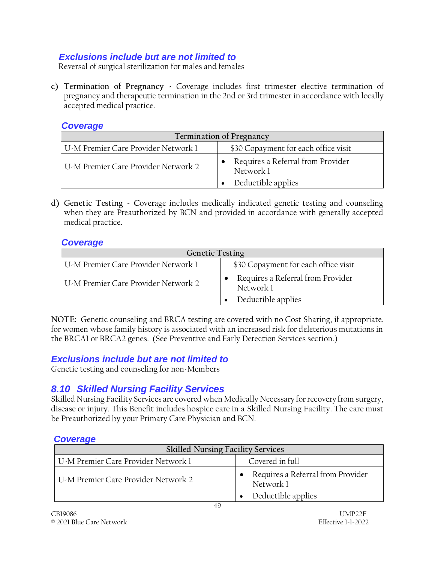### *Exclusions include but are not limited to*

Reversal of surgical sterilization for males and females

**c) Termination of Pregnancy -** Coverage includes first trimester elective termination of pregnancy and therapeutic termination in the 2nd or 3rd trimester in accordance with locally accepted medical practice.

#### *Coverage*

| <b>Termination of Pregnancy</b>     |                                                                        |
|-------------------------------------|------------------------------------------------------------------------|
| U-M Premier Care Provider Network 1 | \$30 Copayment for each office visit                                   |
| U-M Premier Care Provider Network 2 | Requires a Referral from Provider<br>Network 1<br>• Deductible applies |

**d) Genetic Testing - C**overage includes medically indicated genetic testing and counseling when they are Preauthorized by BCN and provided in accordance with generally accepted medical practice.

#### *Coverage*

| <b>Genetic Testing</b>              |                                                |
|-------------------------------------|------------------------------------------------|
| U-M Premier Care Provider Network 1 | \$30 Copayment for each office visit           |
| U-M Premier Care Provider Network 2 | Requires a Referral from Provider<br>Network 1 |
|                                     | Deductible applies                             |

**NOTE:** Genetic counseling and BRCA testing are covered with no Cost Sharing, if appropriate, for women whose family history is associated with an increased risk for deleterious mutations in the BRCA1 or BRCA2 genes. (See Preventive and Early Detection Services section.)

### *Exclusions include but are not limited to*

Genetic testing and counseling for non-Members

# *8.10 Skilled Nursing Facility Services*

Skilled Nursing Facility Services are covered when Medically Necessary for recovery from surgery, disease or injury. This Benefit includes hospice care in a Skilled Nursing Facility. The care must be Preauthorized by your Primary Care Physician and BCN.

#### *Coverage*

| <b>Skilled Nursing Facility Services</b> |                                                |
|------------------------------------------|------------------------------------------------|
| U-M Premier Care Provider Network 1      | Covered in full                                |
| U-M Premier Care Provider Network 2      | Requires a Referral from Provider<br>Network 1 |
|                                          | Deductible applies                             |
| $\Lambda$                                |                                                |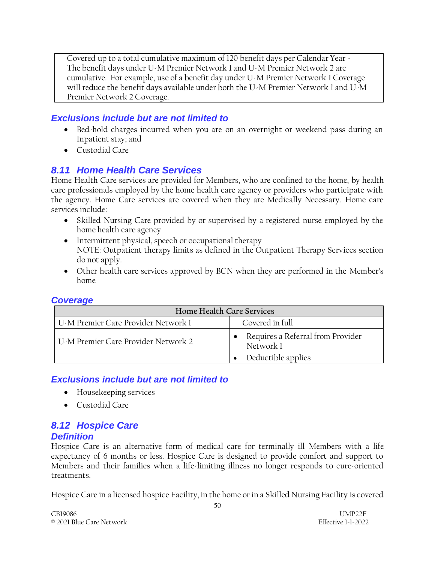Covered up to a total cumulative maximum of 120 benefit days per Calendar Year - The benefit days under U-M Premier Network 1 and U-M Premier Network 2 are cumulative. For example, use of a benefit day under U-M Premier Network 1 Coverage will reduce the benefit days available under both the U-M Premier Network 1 and U-M Premier Network 2 Coverage.

#### *Exclusions include but are not limited to*

- Bed-hold charges incurred when you are on an overnight or weekend pass during an Inpatient stay; and
- Custodial Care

### *8.11 Home Health Care Services*

Home Health Care services are provided for Members, who are confined to the home, by health care professionals employed by the home health care agency or providers who participate with the agency. Home Care services are covered when they are Medically Necessary. Home care services include:

- Skilled Nursing Care provided by or supervised by a registered nurse employed by the home health care agency
- Intermittent physical, speech or occupational therapy NOTE: Outpatient therapy limits as defined in the Outpatient Therapy Services section do not apply.
- Other health care services approved by BCN when they are performed in the Member's home

#### *Coverage*

| Home Health Care Services           |                                                                      |
|-------------------------------------|----------------------------------------------------------------------|
| U-M Premier Care Provider Network 1 | Covered in full                                                      |
| U-M Premier Care Provider Network 2 | Requires a Referral from Provider<br>Network 1<br>Deductible applies |

### *Exclusions include but are not limited to*

- Housekeeping services
- Custodial Care

# *8.12 Hospice Care*

#### *Definition*

Hospice Care is an alternative form of medical care for terminally ill Members with a life expectancy of 6 months or less. Hospice Care is designed to provide comfort and support to Members and their families when a life-limiting illness no longer responds to cure-oriented treatments.

Hospice Care in a licensed hospice Facility, in the home or in a Skilled Nursing Facility is covered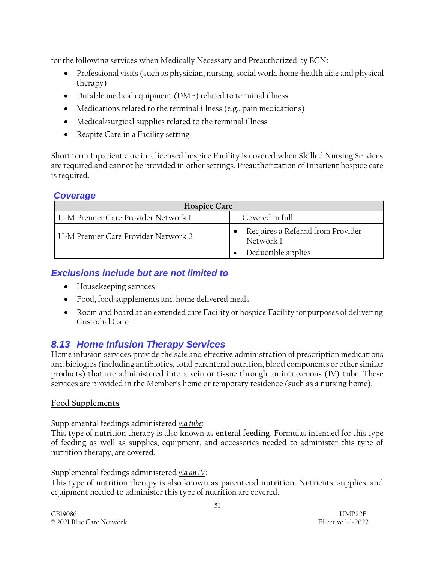for the following services when Medically Necessary and Preauthorized by BCN:

- Professional visits (such as physician, nursing, social work, home-health aide and physical therapy)
- Durable medical equipment (DME) related to terminal illness
- Medications related to the terminal illness (e.g., pain medications)
- Medical/surgical supplies related to the terminal illness
- Respite Care in a Facility setting

Short term Inpatient care in a licensed hospice Facility is covered when Skilled Nursing Services are required and cannot be provided in other settings. Preauthorization of Inpatient hospice care is required.

### *Coverage*

| Hospice Care                        |                                                |
|-------------------------------------|------------------------------------------------|
| U-M Premier Care Provider Network 1 | Covered in full                                |
| U-M Premier Care Provider Network 2 | Requires a Referral from Provider<br>Network 1 |
|                                     | Deductible applies                             |

# *Exclusions include but are not limited to*

- Housekeeping services
- Food, food supplements and home delivered meals
- Room and board at an extended care Facility or hospice Facility for purposes of delivering Custodial Care

# *8.13 Home Infusion Therapy Services*

Home infusion services provide the safe and effective administration of prescription medications and biologics (including antibiotics, total parenteral nutrition, blood components or other similar products) that are administered into a vein or tissue through an intravenous (IV) tube. These services are provided in the Member's home or temporary residence (such as a nursing home).

#### **Food Supplements**

Supplemental feedings administered *via tube:*

This type of nutrition therapy is also known as **enteral feeding**. Formulas intended for this type of feeding as well as supplies, equipment, and accessories needed to administer this type of nutrition therapy, are covered.

Supplemental feedings administered *via an IV:* 

This type of nutrition therapy is also known as **parenteral nutrition**. Nutrients, supplies, and equipment needed to administer this type of nutrition are covered.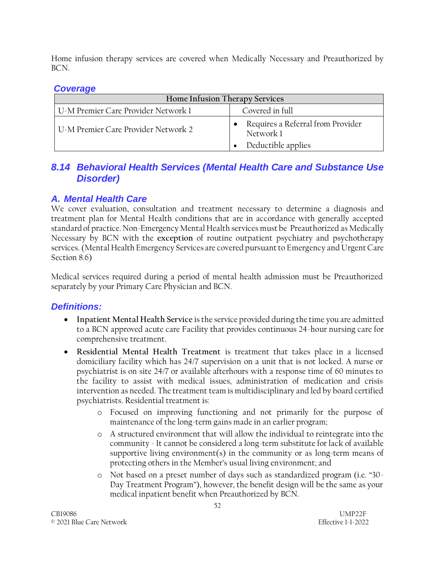Home infusion therapy services are covered when Medically Necessary and Preauthorized by BCN.

### *Coverage*

| Home Infusion Therapy Services      |                                                                      |
|-------------------------------------|----------------------------------------------------------------------|
| U-M Premier Care Provider Network 1 | Covered in full                                                      |
| U-M Premier Care Provider Network 2 | Requires a Referral from Provider<br>Network 1<br>Deductible applies |

# *8.14 Behavioral Health Services (Mental Health Care and Substance Use Disorder)*

### *A. Mental Health Care*

We cover evaluation, consultation and treatment necessary to determine a diagnosis and treatment plan for Mental Health conditions that are in accordance with generally accepted standard of practice. Non-Emergency Mental Health services must be Preauthorized as Medically Necessary by BCN with the **exception** of routine outpatient psychiatry and psychotherapy services. (Mental Health Emergency Services are covered pursuant to Emergency and Urgent Care Section 8.6)

Medical services required during a period of mental health admission must be Preauthorized separately by your Primary Care Physician and BCN.

# *Definitions:*

- **Inpatient Mental Health Service** is the service provided during the time you are admitted to a BCN approved acute care Facility that provides continuous 24-hour nursing care for comprehensive treatment.
- **Residential Mental Health Treatment** is treatment that takes place in a licensed domiciliary facility which has 24/7 supervision on a unit that is not locked. A nurse or psychiatrist is on site 24/7 or available afterhours with a response time of 60 minutes to the facility to assist with medical issues, administration of medication and crisis intervention as needed. The treatment team is multidisciplinary and led by board certified psychiatrists. Residential treatment is:
	- o Focused on improving functioning and not primarily for the purpose of maintenance of the long-term gains made in an earlier program;
	- o A structured environment that will allow the individual to reintegrate into the community - It cannot be considered a long-term substitute for lack of available supportive living environment(s) in the community or as long-term means of protecting others in the Member's usual living environment; and
	- o Not based on a preset number of days such as standardized program (i.e. "30- Day Treatment Program"), however, the benefit design will be the same as your medical inpatient benefit when Preauthorized by BCN.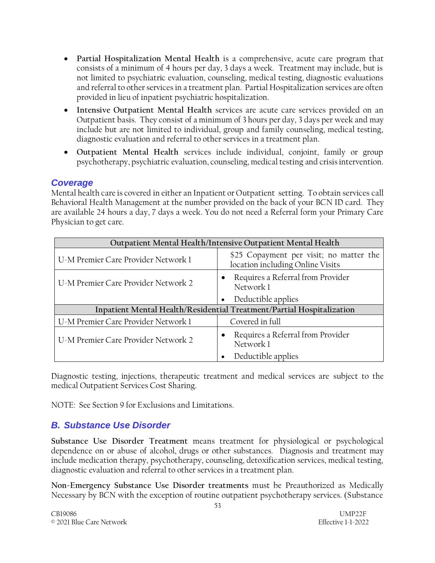- **Partial Hospitalization Mental Health** is a comprehensive, acute care program that consists of a minimum of 4 hours per day, 3 days a week. Treatment may include, but is not limited to psychiatric evaluation, counseling, medical testing, diagnostic evaluations and referral to other services in a treatment plan. Partial Hospitalization services are often provided in lieu of inpatient psychiatric hospitalization.
- **Intensive Outpatient Mental Health** services are acute care services provided on an Outpatient basis. They consist of a minimum of 3 hours per day, 3 days per week and may include but are not limited to individual, group and family counseling, medical testing, diagnostic evaluation and referral to other services in a treatment plan.
- **Outpatient Mental Health** services include individual, conjoint, family or group psychotherapy, psychiatric evaluation, counseling, medical testing and crisis intervention.

#### *Coverage*

Mental health care is covered in either an Inpatient or Outpatient setting. To obtain services call Behavioral Health Management at the number provided on the back of your BCN ID card. They are available 24 hours a day, 7 days a week. You do not need a Referral form your Primary Care Physician to get care.

| Outpatient Mental Health/Intensive Outpatient Mental Health           |                                                                             |
|-----------------------------------------------------------------------|-----------------------------------------------------------------------------|
| U-M Premier Care Provider Network 1                                   | \$25 Copayment per visit; no matter the<br>location including Online Visits |
| U-M Premier Care Provider Network 2                                   | Requires a Referral from Provider<br>Network 1                              |
|                                                                       | Deductible applies                                                          |
| Inpatient Mental Health/Residential Treatment/Partial Hospitalization |                                                                             |
| U-M Premier Care Provider Network 1                                   | Covered in full                                                             |
| U-M Premier Care Provider Network 2                                   | Requires a Referral from Provider<br>Network 1                              |
|                                                                       | Deductible applies                                                          |

Diagnostic testing, injections, therapeutic treatment and medical services are subject to the medical Outpatient Services Cost Sharing.

NOTE: See Section 9 for Exclusions and Limitations.

# *B. Substance Use Disorder*

**Substance Use Disorder Treatment** means treatment for physiological or psychological dependence on or abuse of alcohol, drugs or other substances. Diagnosis and treatment may include medication therapy, psychotherapy, counseling, detoxification services, medical testing, diagnostic evaluation and referral to other services in a treatment plan.

**Non-Emergency Substance Use Disorder treatments** must be Preauthorized as Medically Necessary by BCN with the exception of routine outpatient psychotherapy services. (Substance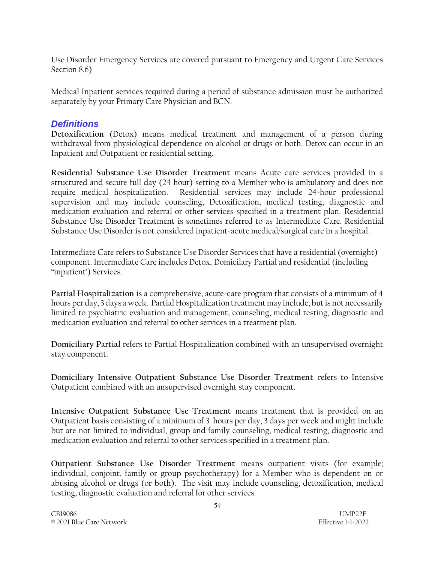Use Disorder Emergency Services are covered pursuant to Emergency and Urgent Care Services Section 8.6)

Medical Inpatient services required during a period of substance admission must be authorized separately by your Primary Care Physician and BCN.

#### *Definitions*

**Detoxification** (Detox) means medical treatment and management of a person during withdrawal from physiological dependence on alcohol or drugs or both. Detox can occur in an Inpatient and Outpatient or residential setting.

**Residential Substance Use Disorder Treatment** means Acute care services provided in a structured and secure full day (24 hour) setting to a Member who is ambulatory and does not require medical hospitalization. Residential services may include 24-hour professional supervision and may include counseling, Detoxification, medical testing, diagnostic and medication evaluation and referral or other services specified in a treatment plan. Residential Substance Use Disorder Treatment is sometimes referred to as Intermediate Care. Residential Substance Use Disorder is not considered inpatient-acute medical/surgical care in a hospital.

Intermediate Care refers to Substance Use Disorder Services that have a residential (overnight) component. Intermediate Care includes Detox, Domicilary Partial and residential (including "inpatient') Services.

**Partial Hospitalization** is a comprehensive, acute-care program that consists of a minimum of 4 hours per day, 3 days a week. Partial Hospitalization treatment may include, but is not necessarily limited to psychiatric evaluation and management, counseling, medical testing, diagnostic and medication evaluation and referral to other services in a treatment plan.

**Domiciliary Partial** refers to Partial Hospitalization combined with an unsupervised overnight stay component.

**Domiciliary Intensive Outpatient Substance Use Disorder Treatment** refers to Intensive Outpatient combined with an unsupervised overnight stay component.

**Intensive Outpatient Substance Use Treatment** means treatment that is provided on an Outpatient basis consisting of a minimum of 3 hours per day, 3 days per week and might include but are not limited to individual, group and family counseling, medical testing, diagnostic and medication evaluation and referral to other services specified in a treatment plan.

**Outpatient Substance Use Disorder Treatment** means outpatient visits (for example; individual, conjoint, family or group psychotherapy) for a Member who is dependent on or abusing alcohol or drugs (or both). The visit may include counseling, detoxification, medical testing, diagnostic evaluation and referral for other services.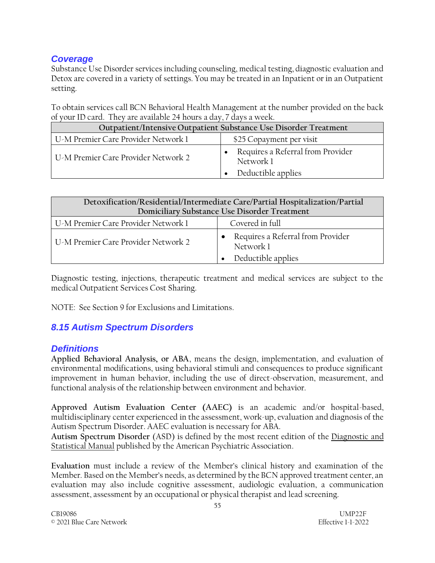### *Coverage*

Substance Use Disorder services including counseling, medical testing, diagnostic evaluation and Detox are covered in a variety of settings. You may be treated in an Inpatient or in an Outpatient setting.

To obtain services call BCN Behavioral Health Management at the number provided on the back of your ID card. They are available 24 hours a day, 7 days a week.

| Outpatient/Intensive Outpatient Substance Use Disorder Treatment     |  |
|----------------------------------------------------------------------|--|
| \$25 Copayment per visit                                             |  |
| Requires a Referral from Provider<br>Network 1<br>Deductible applies |  |
|                                                                      |  |

| Detoxification/Residential/Intermediate Care/Partial Hospitalization/Partial<br>Domiciliary Substance Use Disorder Treatment |                                                |
|------------------------------------------------------------------------------------------------------------------------------|------------------------------------------------|
| U-M Premier Care Provider Network 1                                                                                          | Covered in full                                |
| U-M Premier Care Provider Network 2                                                                                          | Requires a Referral from Provider<br>Network 1 |
|                                                                                                                              | Deductible applies                             |

Diagnostic testing, injections, therapeutic treatment and medical services are subject to the medical Outpatient Services Cost Sharing.

NOTE: See Section 9 for Exclusions and Limitations.

# *8.15 Autism Spectrum Disorders*

### *Definitions*

**Applied Behavioral Analysis, or ABA**, means the design, implementation, and evaluation of environmental modifications, using behavioral stimuli and consequences to produce significant improvement in human behavior, including the use of direct-observation, measurement, and functional analysis of the relationship between environment and behavior.

**Approved Autism Evaluation Center (AAEC)** is an academic and/or hospital-based, multidisciplinary center experienced in the assessment, work-up, evaluation and diagnosis of the Autism Spectrum Disorder. AAEC evaluation is necessary for ABA.

**Autism Spectrum Disorder** (ASD) is defined by the most recent edition of the Diagnostic and Statistical Manual published by the American Psychiatric Association.

**Evaluation** must include a review of the Member's clinical history and examination of the Member. Based on the Member's needs, as determined by the BCN approved treatment center, an evaluation may also include cognitive assessment, audiologic evaluation, a communication assessment, assessment by an occupational or physical therapist and lead screening.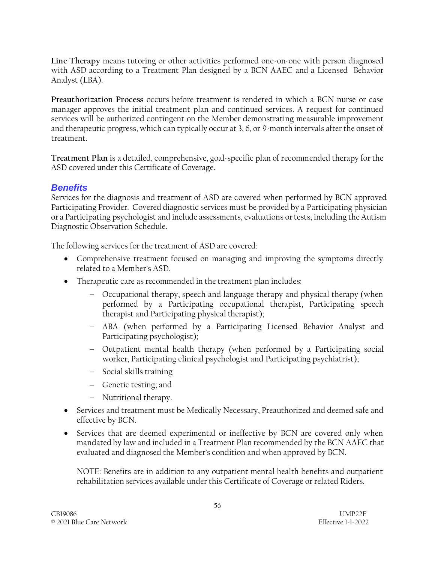**Line Therapy** means tutoring or other activities performed one-on-one with person diagnosed with ASD according to a Treatment Plan designed by a BCN AAEC and a Licensed Behavior Analyst (LBA).

**Preauthorization Process** occurs before treatment is rendered in which a BCN nurse or case manager approves the initial treatment plan and continued services. A request for continued services will be authorized contingent on the Member demonstrating measurable improvement and therapeutic progress, which can typically occur at 3, 6, or 9-month intervals after the onset of treatment.

**Treatment Plan** is a detailed, comprehensive, goal-specific plan of recommended therapy for the ASD covered under this Certificate of Coverage.

#### *Benefits*

Services for the diagnosis and treatment of ASD are covered when performed by BCN approved Participating Provider. Covered diagnostic services must be provided by a Participating physician or a Participating psychologist and include assessments, evaluations or tests, including the Autism Diagnostic Observation Schedule.

The following services for the treatment of ASD are covered:

- Comprehensive treatment focused on managing and improving the symptoms directly related to a Member's ASD.
- Therapeutic care as recommended in the treatment plan includes:
	- − Occupational therapy, speech and language therapy and physical therapy (when performed by a Participating occupational therapist, Participating speech therapist and Participating physical therapist);
	- − ABA (when performed by a Participating Licensed Behavior Analyst and Participating psychologist);
	- − Outpatient mental health therapy (when performed by a Participating social worker, Participating clinical psychologist and Participating psychiatrist);
	- − Social skills training
	- − Genetic testing; and
	- − Nutritional therapy.
- Services and treatment must be Medically Necessary, Preauthorized and deemed safe and effective by BCN.
- Services that are deemed experimental or ineffective by BCN are covered only when mandated by law and included in a Treatment Plan recommended by the BCN AAEC that evaluated and diagnosed the Member's condition and when approved by BCN.

NOTE: Benefits are in addition to any outpatient mental health benefits and outpatient rehabilitation services available under this Certificate of Coverage or related Riders.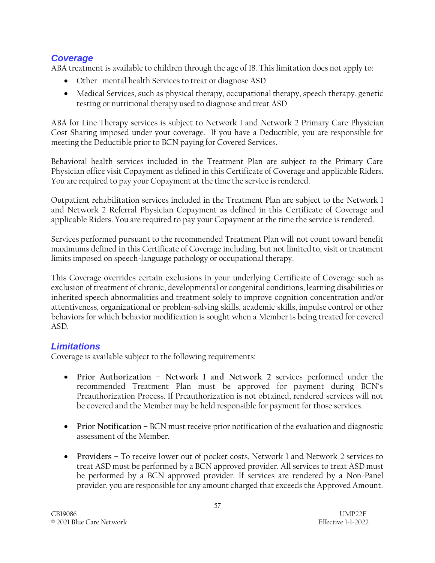### *Coverage*

ABA treatment is available to children through the age of 18. This limitation does not apply to:

- Other mental health Services to treat or diagnose ASD
- Medical Services, such as physical therapy, occupational therapy, speech therapy, genetic testing or nutritional therapy used to diagnose and treat ASD

ABA for Line Therapy services is subject to Network 1 and Network 2 Primary Care Physician Cost Sharing imposed under your coverage. If you have a Deductible, you are responsible for meeting the Deductible prior to BCN paying for Covered Services.

Behavioral health services included in the Treatment Plan are subject to the Primary Care Physician office visit Copayment as defined in this Certificate of Coverage and applicable Riders. You are required to pay your Copayment at the time the service is rendered.

Outpatient rehabilitation services included in the Treatment Plan are subject to the Network 1 and Network 2 Referral Physician Copayment as defined in this Certificate of Coverage and applicable Riders. You are required to pay your Copayment at the time the service is rendered.

Services performed pursuant to the recommended Treatment Plan will not count toward benefit maximums defined in this Certificate of Coverage including, but not limited to, visit or treatment limits imposed on speech-language pathology or occupational therapy.

This Coverage overrides certain exclusions in your underlying Certificate of Coverage such as exclusion of treatment of chronic, developmental or congenital conditions, learning disabilities or inherited speech abnormalities and treatment solely to improve cognition concentration and/or attentiveness, organizational or problem-solving skills, academic skills, impulse control or other behaviors for which behavior modification is sought when a Member is being treated for covered ASD.

# *Limitations*

Coverage is available subject to the following requirements:

- **Prior Authorization – Network 1 and Network 2** services performed under the recommended Treatment Plan must be approved for payment during BCN's Preauthorization Process. If Preauthorization is not obtained, rendered services will not be covered and the Member may be held responsible for payment for those services.
- **Prior Notification** BCN must receive prior notification of the evaluation and diagnostic assessment of the Member.
- **Providers** To receive lower out of pocket costs, Network 1 and Network 2 services to treat ASD must be performed by a BCN approved provider. All services to treat ASD must be performed by a BCN approved provider. If services are rendered by a Non-Panel provider, you are responsible for any amount charged that exceeds the Approved Amount.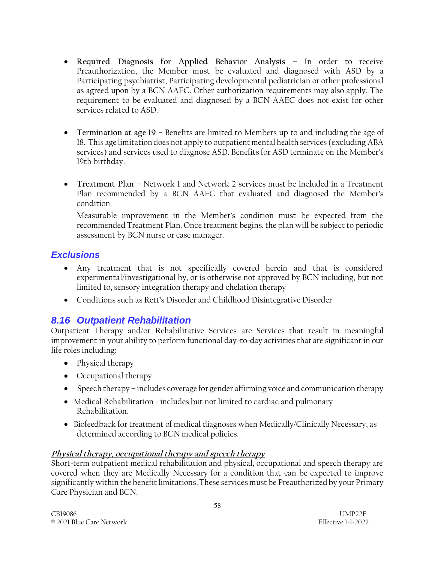- **Required Diagnosis for Applied Behavior Analysis** In order to receive Preauthorization, the Member must be evaluated and diagnosed with ASD by a Participating psychiatrist, Participating developmental pediatrician or other professional as agreed upon by a BCN AAEC. Other authorization requirements may also apply. The requirement to be evaluated and diagnosed by a BCN AAEC does not exist for other services related to ASD.
- **Termination at age 19** Benefits are limited to Members up to and including the age of 18. This age limitation does not apply to outpatient mental health services (excluding ABA services) and services used to diagnose ASD. Benefits for ASD terminate on the Member's 19th birthday.
- **Treatment Plan** Network 1 and Network 2 services must be included in a Treatment Plan recommended by a BCN AAEC that evaluated and diagnosed the Member's condition.

Measurable improvement in the Member's condition must be expected from the recommended Treatment Plan. Once treatment begins, the plan will be subject to periodic assessment by BCN nurse or case manager.

### *Exclusions*

- Any treatment that is not specifically covered herein and that is considered experimental/investigational by, or is otherwise not approved by BCN including, but not limited to, sensory integration therapy and chelation therapy
- Conditions such as Rett's Disorder and Childhood Disintegrative Disorder

# *8.16 Outpatient Rehabilitation*

Outpatient Therapy and/or Rehabilitative Services are Services that result in meaningful improvement in your ability to perform functional day-to-day activities that are significant in our life roles including:

- Physical therapy
- Occupational therapy
- Speech therapy includes coverage for gender affirming voice and communication therapy
- Medical Rehabilitation includes but not limited to cardiac and pulmonary Rehabilitation.
- Biofeedback for treatment of medical diagnoses when Medically/Clinically Necessary, as determined according to BCN medical policies.

### **Physical therapy, occupational therapy and speech therapy**

Short-term outpatient medical rehabilitation and physical, occupational and speech therapy are covered when they are Medically Necessary for a condition that can be expected to improve significantly within the benefit limitations. These services must be Preauthorized by your Primary Care Physician and BCN.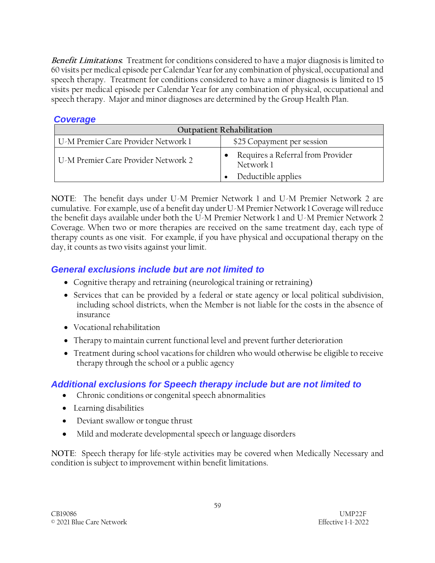**Benefit Limitations:** Treatment for conditions considered to have a major diagnosis is limited to 60 visits per medical episode per Calendar Year for any combination of physical, occupational and speech therapy. Treatment for conditions considered to have a minor diagnosis is limited to 15 visits per medical episode per Calendar Year for any combination of physical, occupational and speech therapy. Major and minor diagnoses are determined by the Group Health Plan.

#### *Coverage*

| <b>Outpatient Rehabilitation</b>    |                                                                      |
|-------------------------------------|----------------------------------------------------------------------|
| U-M Premier Care Provider Network 1 | \$25 Copayment per session                                           |
| U-M Premier Care Provider Network 2 | Requires a Referral from Provider<br>Network 1<br>Deductible applies |

**NOTE**: The benefit days under U-M Premier Network 1 and U-M Premier Network 2 are cumulative. For example, use of a benefit day under U-M Premier Network 1 Coverage will reduce the benefit days available under both the U-M Premier Network 1 and U-M Premier Network 2 Coverage. When two or more therapies are received on the same treatment day, each type of therapy counts as one visit. For example, if you have physical and occupational therapy on the day, it counts as two visits against your limit.

# *General exclusions include but are not limited to*

- Cognitive therapy and retraining (neurological training or retraining)
- Services that can be provided by a federal or state agency or local political subdivision, including school districts, when the Member is not liable for the costs in the absence of insurance
- Vocational rehabilitation
- Therapy to maintain current functional level and prevent further deterioration
- Treatment during school vacations for children who would otherwise be eligible to receive therapy through the school or a public agency

# *Additional exclusions for Speech therapy include but are not limited to*

- Chronic conditions or congenital speech abnormalities
- Learning disabilities
- Deviant swallow or tongue thrust
- Mild and moderate developmental speech or language disorders

**NOTE**: Speech therapy for life-style activities may be covered when Medically Necessary and condition is subject to improvement within benefit limitations.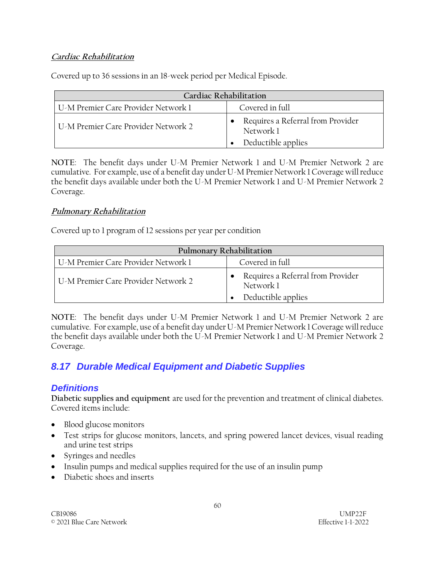#### **Cardiac Rehabilitation**

Covered up to 36 sessions in an 18-week period per Medical Episode.

| Cardiac Rehabilitation              |                                                |
|-------------------------------------|------------------------------------------------|
| U-M Premier Care Provider Network 1 | Covered in full                                |
| U-M Premier Care Provider Network 2 | Requires a Referral from Provider<br>Network 1 |
|                                     | Deductible applies                             |

**NOTE**: The benefit days under U-M Premier Network 1 and U-M Premier Network 2 are cumulative. For example, use of a benefit day under U-M Premier Network 1 Coverage will reduce the benefit days available under both the U-M Premier Network 1 and U-M Premier Network 2 Coverage.

#### **Pulmonary Rehabilitation**

Covered up to 1 program of 12 sessions per year per condition

| Pulmonary Rehabilitation            |                                                |
|-------------------------------------|------------------------------------------------|
| U-M Premier Care Provider Network 1 | Covered in full                                |
| U-M Premier Care Provider Network 2 | Requires a Referral from Provider<br>Network 1 |
|                                     | Deductible applies                             |

**NOTE**: The benefit days under U-M Premier Network 1 and U-M Premier Network 2 are cumulative. For example, use of a benefit day under U-M Premier Network 1 Coverage will reduce the benefit days available under both the U-M Premier Network 1 and U-M Premier Network 2 Coverage.

# *8.17 Durable Medical Equipment and Diabetic Supplies*

### *Definitions*

**Diabetic supplies and equipment** are used for the prevention and treatment of clinical diabetes. Covered items include:

- Blood glucose monitors
- Test strips for glucose monitors, lancets, and spring powered lancet devices, visual reading and urine test strips
- Syringes and needles
- Insulin pumps and medical supplies required for the use of an insulin pump
- Diabetic shoes and inserts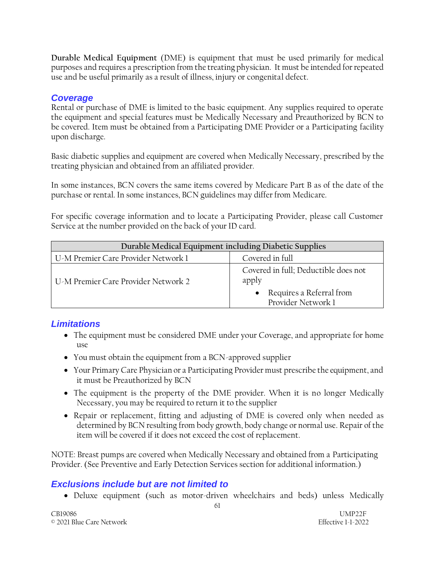**Durable Medical Equipment** (DME) is equipment that must be used primarily for medical purposes and requires a prescription from the treating physician. It must be intended for repeated use and be useful primarily as a result of illness, injury or congenital defect.

#### *Coverage*

Rental or purchase of DME is limited to the basic equipment. Any supplies required to operate the equipment and special features must be Medically Necessary and Preauthorized by BCN to be covered. Item must be obtained from a Participating DME Provider or a Participating facility upon discharge.

Basic diabetic supplies and equipment are covered when Medically Necessary, prescribed by the treating physician and obtained from an affiliated provider.

In some instances, BCN covers the same items covered by Medicare Part B as of the date of the purchase or rental. In some instances, BCN guidelines may differ from Medicare.

For specific coverage information and to locate a Participating Provider, please call Customer Service at the number provided on the back of your ID card.

| Durable Medical Equipment including Diabetic Supplies |  |
|-------------------------------------------------------|--|
| Covered in full                                       |  |
| Covered in full; Deductible does not<br>apply         |  |
| Requires a Referral from<br>Provider Network 1        |  |
|                                                       |  |

# *Limitations*

- The equipment must be considered DME under your Coverage, and appropriate for home use
- You must obtain the equipment from a BCN-approved supplier
- Your Primary Care Physician or a Participating Provider must prescribe the equipment, and it must be Preauthorized by BCN
- The equipment is the property of the DME provider. When it is no longer Medically Necessary, you may be required to return it to the supplier
- Repair or replacement, fitting and adjusting of DME is covered only when needed as determined by BCN resulting from body growth, body change or normal use. Repair of the item will be covered if it does not exceed the cost of replacement.

NOTE: Breast pumps are covered when Medically Necessary and obtained from a Participating Provider. (See Preventive and Early Detection Services section for additional information.)

# *Exclusions include but are not limited to*

• Deluxe equipment (such as motor-driven wheelchairs and beds) unless Medically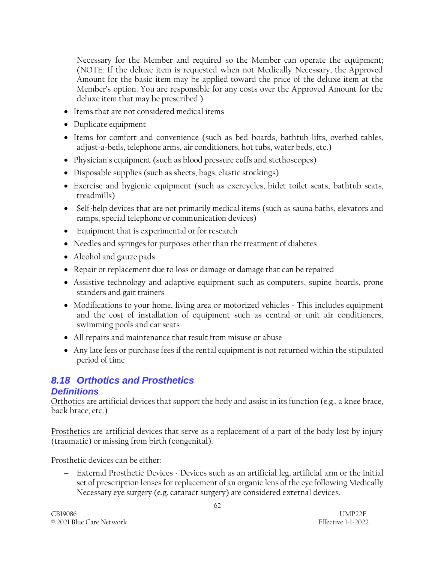Necessary for the Member and required so the Member can operate the equipment; (NOTE: If the deluxe item is requested when not Medically Necessary, the Approved Amount for the basic item may be applied toward the price of the deluxe item at the Member's option. You are responsible for any costs over the Approved Amount for the deluxe item that may be prescribed.)

- Items that are not considered medical items
- Duplicate equipment
- Items for comfort and convenience (such as bed boards, bathtub lifts, overbed tables, adjust-a-beds, telephone arms, air conditioners, hot tubs, water beds, etc.)
- Physician's equipment (such as blood pressure cuffs and stethoscopes)
- Disposable supplies (such as sheets, bags, elastic stockings)
- Exercise and hygienic equipment (such as exercycles, bidet toilet seats, bathtub seats, treadmills)
- Self-help devices that are not primarily medical items (such as sauna baths, elevators and ramps, special telephone or communication devices)
- Equipment that is experimental or for research
- Needles and syringes for purposes other than the treatment of diabetes
- Alcohol and gauze pads
- Repair or replacement due to loss or damage or damage that can be repaired
- Assistive technology and adaptive equipment such as computers, supine boards, prone standers and gait trainers
- Modifications to your home, living area or motorized vehicles This includes equipment and the cost of installation of equipment such as central or unit air conditioners, swimming pools and car seats
- All repairs and maintenance that result from misuse or abuse
- Any late fees or purchase fees if the rental equipment is not returned within the stipulated period of time

# *8.18 Orthotics and Prosthetics*

#### *Definitions*

Orthotics are artificial devices that support the body and assist in its function (e.g., a knee brace, back brace, etc.)

Prosthetics are artificial devices that serve as a replacement of a part of the body lost by injury (traumatic) or missing from birth (congenital).

Prosthetic devices can be either:

− External Prosthetic Devices - Devices such as an artificial leg, artificial arm or the initial set of prescription lenses for replacement of an organic lens of the eye following Medically Necessary eye surgery (e.g. cataract surgery) are considered external devices.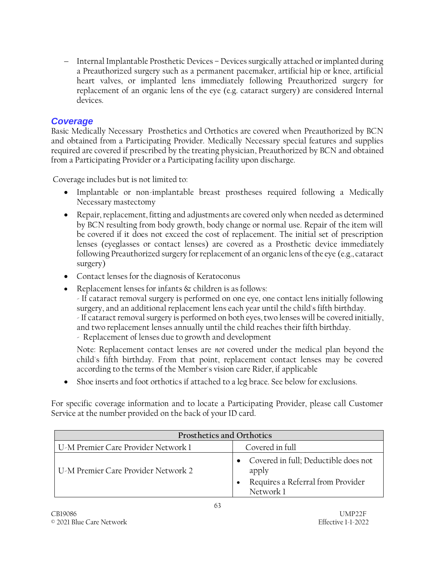− Internal Implantable Prosthetic Devices – Devices surgically attached or implanted during a Preauthorized surgery such as a permanent pacemaker, artificial hip or knee, artificial heart valves, or implanted lens immediately following Preauthorized surgery for replacement of an organic lens of the eye (e.g. cataract surgery) are considered Internal devices.

#### *Coverage*

Basic Medically Necessary Prosthetics and Orthotics are covered when Preauthorized by BCN and obtained from a Participating Provider. Medically Necessary special features and supplies required are covered if prescribed by the treating physician, Preauthorized by BCN and obtained from a Participating Provider or a Participating facility upon discharge.

Coverage includes but is not limited to:

- Implantable or non-implantable breast prostheses required following a Medically Necessary mastectomy
- Repair, replacement, fitting and adjustments are covered only when needed as determined by BCN resulting from body growth, body change or normal use. Repair of the item will be covered if it does not exceed the cost of replacement. The initial set of prescription lenses (eyeglasses or contact lenses) are covered as a Prosthetic device immediately following Preauthorized surgery for replacement of an organic lens of the eye (e.g., cataract surgery)
- Contact lenses for the diagnosis of Keratoconus
- Replacement lenses for infants & children is as follows:

- If cataract removal surgery is performed on one eye, one contact lens initially following surgery, and an additional replacement lens each year until the child's fifth birthday.

- If cataract removal surgery is performed on both eyes, two lenses will be covered initially, and two replacement lenses annually until the child reaches their fifth birthday.

- Replacement of lenses due to growth and development

Note: Replacement contact lenses are *not* covered under the medical plan beyond the child's fifth birthday. From that point, replacement contact lenses may be covered according to the terms of the Member's vision care Rider, if applicable

• Shoe inserts and foot orthotics if attached to a leg brace. See below for exclusions.

For specific coverage information and to locate a Participating Provider, please call Customer Service at the number provided on the back of your ID card.

| Prosthetics and Orthotics           |                                                                                                 |
|-------------------------------------|-------------------------------------------------------------------------------------------------|
| U-M Premier Care Provider Network 1 | Covered in full                                                                                 |
| U-M Premier Care Provider Network 2 | Covered in full; Deductible does not<br>apply<br>Requires a Referral from Provider<br>Network 1 |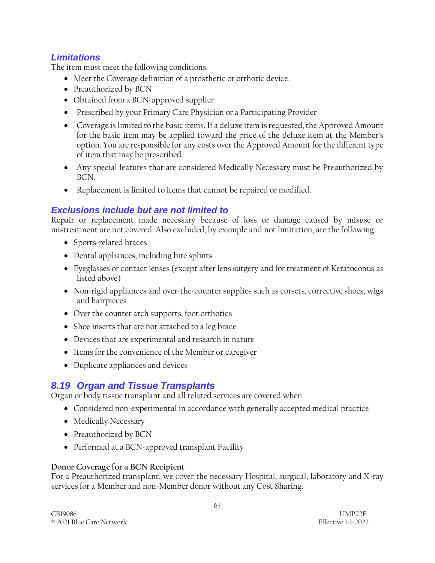# *Limitations*

The item must meet the following conditions.

- Meet the Coverage definition of a prosthetic or orthotic device.
- Preauthorized by BCN
- Obtained from a BCN-approved supplier
- Prescribed by your Primary Care Physician or a Participating Provider
- Coverage is limited to the basic items. If a deluxe item is requested, the Approved Amount for the basic item may be applied toward the price of the deluxe item at the Member's option. You are responsible for any costs over the Approved Amount for the different type of item that may be prescribed.
- Any special features that are considered Medically Necessary must be Preauthorized by BCN.
- Replacement is limited to items that cannot be repaired or modified.

### *Exclusions include but are not limited to*

Repair or replacement made necessary because of loss or damage caused by misuse or mistreatment are not covered. Also excluded, by example and not limitation, are the following:

- Sports-related braces
- Dental appliances, including bite splints
- Eyeglasses or contact lenses (except after lens surgery and for treatment of Keratoconus as listed above)
- Non-rigid appliances and over-the-counter supplies such as corsets, corrective shoes, wigs and hairpieces
- Over the counter arch supports, foot orthotics
- Shoe inserts that are not attached to a leg brace
- Devices that are experimental and research in nature
- Items for the convenience of the Member or caregiver
- Duplicate appliances and devices

# *8.19 Organ and Tissue Transplants*

Organ or body tissue transplant and all related services are covered when

- Considered non-experimental in accordance with generally accepted medical practice
- Medically Necessary
- Preauthorized by BCN
- Performed at a BCN-approved transplant Facility

#### **Donor Coverage for a BCN Recipient**

For a Preauthorized transplant, we cover the necessary Hospital, surgical, laboratory and X-ray services for a Member and non-Member donor without any Cost Sharing.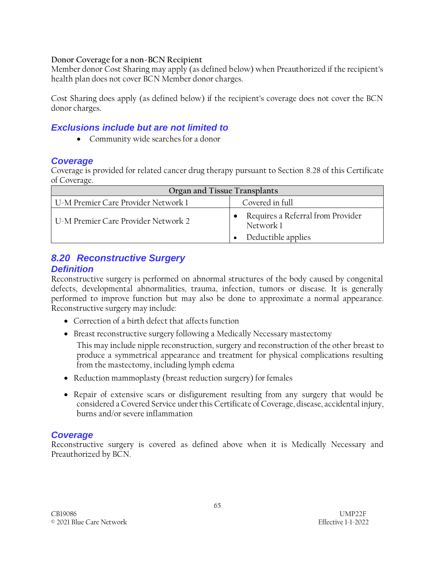#### **Donor Coverage for a non-BCN Recipient**

Member donor Cost Sharing may apply (as defined below) when Preauthorized if the recipient's health plan does not cover BCN Member donor charges.

Cost Sharing does apply (as defined below) if the recipient's coverage does not cover the BCN donor charges.

#### *Exclusions include but are not limited to*

• Community wide searches for a donor

#### *Coverage*

Coverage is provided for related cancer drug therapy pursuant to Section 8.28 of this Certificate of Coverage.

| Organ and Tissue Transplants        |                                                                      |
|-------------------------------------|----------------------------------------------------------------------|
| U-M Premier Care Provider Network 1 | Covered in full                                                      |
| U-M Premier Care Provider Network 2 | Requires a Referral from Provider<br>Network 1<br>Deductible applies |

#### *8.20 Reconstructive Surgery Definition*

Reconstructive surgery is performed on abnormal structures of the body caused by congenital defects, developmental abnormalities, trauma, infection, tumors or disease. It is generally performed to improve function but may also be done to approximate a normal appearance. Reconstructive surgery may include:

- Correction of a birth defect that affects function
- Breast reconstructive surgery following a Medically Necessary mastectomy

This may include nipple reconstruction, surgery and reconstruction of the other breast to produce a symmetrical appearance and treatment for physical complications resulting from the mastectomy, including lymph edema

- Reduction mammoplasty (breast reduction surgery) for females
- Repair of extensive scars or disfigurement resulting from any surgery that would be considered a Covered Service under this Certificate of Coverage, disease, accidental injury, burns and/or severe inflammation

### *Coverage*

Reconstructive surgery is covered as defined above when it is Medically Necessary and Preauthorized by BCN.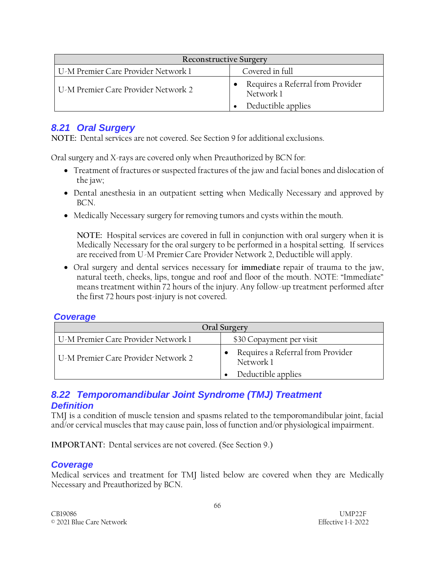| <b>Reconstructive Surgery</b>       |                                                |  |
|-------------------------------------|------------------------------------------------|--|
| U-M Premier Care Provider Network 1 | Covered in full                                |  |
| U-M Premier Care Provider Network 2 | Requires a Referral from Provider<br>Network 1 |  |
|                                     | Deductible applies                             |  |

### *8.21 Oral Surgery*

**NOTE:** Dental services are not covered. See Section 9 for additional exclusions.

Oral surgery and X-rays are covered only when Preauthorized by BCN for:

- Treatment of fractures or suspected fractures of the jaw and facial bones and dislocation of the jaw;
- Dental anesthesia in an outpatient setting when Medically Necessary and approved by BCN.
- Medically Necessary surgery for removing tumors and cysts within the mouth.

**NOTE:** Hospital services are covered in full in conjunction with oral surgery when it is Medically Necessary for the oral surgery to be performed in a hospital setting. If services are received from U-M Premier Care Provider Network 2, Deductible will apply.

• Oral surgery and dental services necessary for **immediate** repair of trauma to the jaw, natural teeth, cheeks, lips, tongue and roof and floor of the mouth. NOTE: "Immediate" means treatment within 72 hours of the injury. Any follow-up treatment performed after the first 72 hours post-injury is not covered.

#### *Coverage*

| <b>Oral Surgery</b>                 |                                                                      |
|-------------------------------------|----------------------------------------------------------------------|
| U-M Premier Care Provider Network 1 | \$30 Copayment per visit                                             |
| U-M Premier Care Provider Network 2 | Requires a Referral from Provider<br>Network 1<br>Deductible applies |

### *8.22 Temporomandibular Joint Syndrome (TMJ) Treatment Definition*

TMJ is a condition of muscle tension and spasms related to the temporomandibular joint, facial and/or cervical muscles that may cause pain, loss of function and/or physiological impairment.

**IMPORTANT:** Dental services are not covered. (See Section 9.)

#### *Coverage*

Medical services and treatment for TMJ listed below are covered when they are Medically Necessary and Preauthorized by BCN.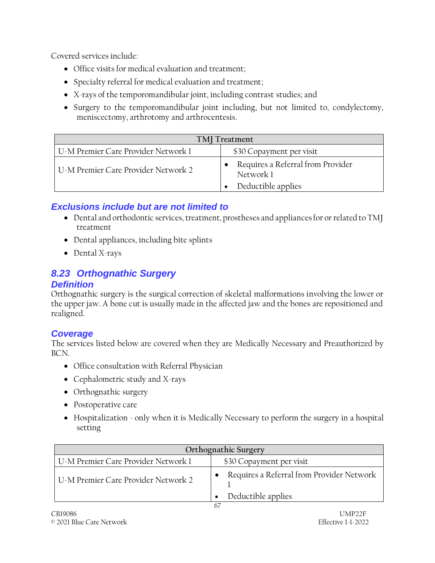Covered services include:

- Office visits for medical evaluation and treatment;
- Specialty referral for medical evaluation and treatment;
- X-rays of the temporomandibular joint, including contrast studies; and
- Surgery to the temporomandibular joint including, but not limited to, condylectomy, meniscectomy, arthrotomy and arthrocentesis.

| <b>TMI</b> Treatment                |                                                |  |
|-------------------------------------|------------------------------------------------|--|
| U-M Premier Care Provider Network 1 | \$30 Copayment per visit                       |  |
| U-M Premier Care Provider Network 2 | Requires a Referral from Provider<br>Network 1 |  |
|                                     | Deductible applies                             |  |

# *Exclusions include but are not limited to*

- Dental and orthodontic services, treatment, prostheses and appliances for or related to TMJ treatment
- Dental appliances, including bite splints
- Dental X-rays

#### *8.23 Orthognathic Surgery Definition*

Orthognathic surgery is the surgical correction of skeletal malformations involving the lower or the upper jaw. A bone cut is usually made in the affected jaw and the bones are repositioned and realigned.

### *Coverage*

The services listed below are covered when they are Medically Necessary and Preauthorized by BCN.

- Office consultation with Referral Physician
- Cephalometric study and X-rays
- Orthognathic surgery
- Postoperative care
- Hospitalization only when it is Medically Necessary to perform the surgery in a hospital setting

| Orthognathic Surgery                |                                           |
|-------------------------------------|-------------------------------------------|
| U-M Premier Care Provider Network 1 | \$30 Copayment per visit                  |
| U-M Premier Care Provider Network 2 | Requires a Referral from Provider Network |
|                                     | Deductible applies                        |
|                                     |                                           |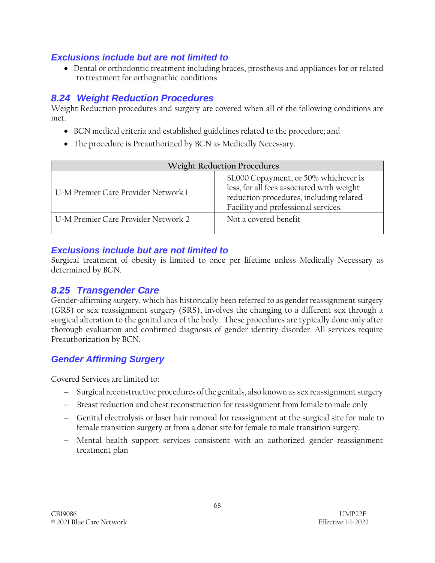### *Exclusions include but are not limited to*

• Dental or orthodontic treatment including braces, prosthesis and appliances for or related to treatment for orthognathic conditions

# *8.24 Weight Reduction Procedures*

Weight Reduction procedures and surgery are covered when all of the following conditions are met.

- BCN medical criteria and established guidelines related to the procedure; and
- The procedure is Preauthorized by BCN as Medically Necessary.

| <b>Weight Reduction Procedures</b>  |                                                                                                                                                                       |  |
|-------------------------------------|-----------------------------------------------------------------------------------------------------------------------------------------------------------------------|--|
| U-M Premier Care Provider Network 1 | \$1,000 Copayment, or 50% whichever is<br>less, for all fees associated with weight<br>reduction procedures, including related<br>Facility and professional services. |  |
| U-M Premier Care Provider Network 2 | Not a covered benefit                                                                                                                                                 |  |

### *Exclusions include but are not limited to*

Surgical treatment of obesity is limited to once per lifetime unless Medically Necessary as determined by BCN.

# *8.25 Transgender Care*

Gender-affirming surgery, which has historically been referred to as gender reassignment surgery (GRS) or sex reassignment surgery (SRS), involves the changing to a different sex through a surgical alteration to the genital area of the body. These procedures are typically done only after thorough evaluation and confirmed diagnosis of gender identity disorder. All services require Preauthorization by BCN.

# *Gender Affirming Surgery*

Covered Services are limited to:

- − Surgical reconstructive procedures of the genitals, also known as sex reassignment surgery
- − Breast reduction and chest reconstruction for reassignment from female to male only
- − Genital electrolysis or laser hair removal for reassignment at the surgical site for male to female transition surgery or from a donor site for female to male transition surgery.
- − Mental health support services consistent with an authorized gender reassignment treatment plan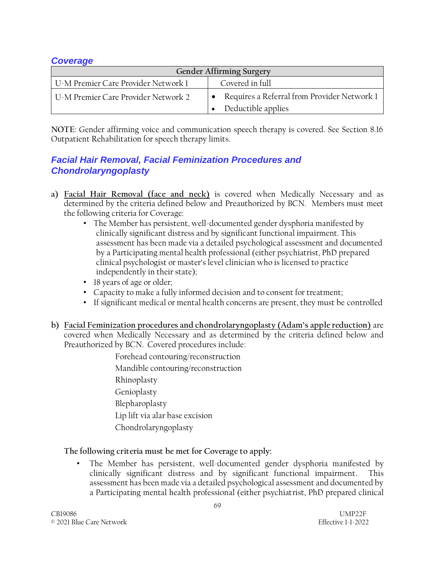#### *Coverage*

| Gender Affirming Surgery            |                                                                   |
|-------------------------------------|-------------------------------------------------------------------|
| U-M Premier Care Provider Network 1 | Covered in full                                                   |
| U-M Premier Care Provider Network 2 | Requires a Referral from Provider Network 1<br>Deductible applies |

**NOTE**: Gender affirming voice and communication speech therapy is covered. See Section 8.16 Outpatient Rehabilitation for speech therapy limits.

### *Facial Hair Removal, Facial Feminization Procedures and Chondrolaryngoplasty*

- **a) Facial Hair Removal (face and neck)** is covered when Medically Necessary and as determined by the criteria defined below and Preauthorized by BCN. Members must meet the following criteria for Coverage:
	- The Member has persistent, well-documented gender dysphoria manifested by clinically significant distress and by significant functional impairment. This assessment has been made via a detailed psychological assessment and documented by a Participating mental health professional (either psychiatrist, PhD prepared clinical psychologist or master's level clinician who is licensed to practice independently in their state);
	- 18 years of age or older;
	- Capacity to make a fully informed decision and to consent for treatment;
	- If significant medical or mental health concerns are present, they must be controlled
- **b) Facial Feminization procedures and chondrolaryngoplasty (Adam's apple reduction)** are covered when Medically Necessary and as determined by the criteria defined below and Preauthorized by BCN. Covered procedures include:
	- Forehead contouring/reconstruction Mandible contouring/reconstruction Rhinoplasty Genioplasty Blepharoplasty Lip lift via alar base excision Chondrolaryngoplasty

### **The following criteria must be met for Coverage to apply:**

• The Member has persistent, well-documented gender dysphoria manifested by clinically significant distress and by significant functional impairment. This assessment has been made via a detailed psychological assessment and documented by a Participating mental health professional (either psychiatrist, PhD prepared clinical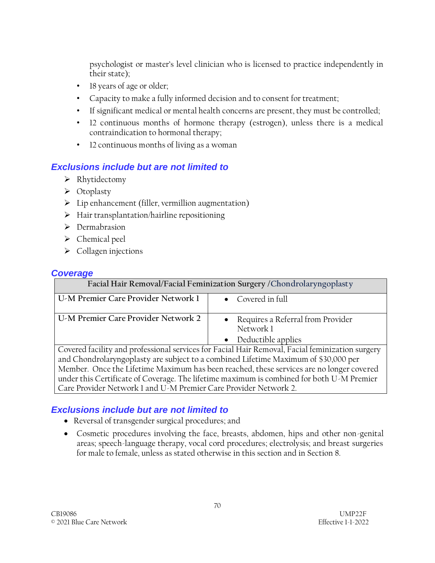psychologist or master's level clinician who is licensed to practice independently in their state);

- 18 years of age or older;
- Capacity to make a fully informed decision and to consent for treatment;
- If significant medical or mental health concerns are present, they must be controlled;
- 12 continuous months of hormone therapy (estrogen), unless there is a medical contraindication to hormonal therapy;
- 12 continuous months of living as a woman

# *Exclusions include but are not limited to*

- ➢ Rhytidectomy
- ➢ Otoplasty
- ➢ Lip enhancement (filler, vermillion augmentation)
- ➢ Hair transplantation/hairline repositioning
- ➢ Dermabrasion
- ➢ Chemical peel
- ➢ Collagen injections

#### *Coverage*

| Facial Hair Removal/Facial Feminization Surgery / Chondrolaryngoplasty                          |                                     |
|-------------------------------------------------------------------------------------------------|-------------------------------------|
| U-M Premier Care Provider Network 1                                                             | • Covered in full                   |
|                                                                                                 |                                     |
| U-M Premier Care Provider Network 2                                                             | • Requires a Referral from Provider |
|                                                                                                 | Network 1                           |
|                                                                                                 | • Deductible applies                |
| Covered facility and professional services for Facial Hair Removal, Facial feminization surgery |                                     |
| and Chondrolaryngoplasty are subject to a combined Lifetime Maximum of \$30,000 per             |                                     |
| Member. Once the Lifetime Maximum has been reached, these services are no longer covered        |                                     |
| under this Certificate of Coverage. The lifetime maximum is combined for both U-M Premier       |                                     |
| Care Provider Network 1 and U-M Premier Care Provider Network 2.                                |                                     |

### *Exclusions include but are not limited to*

- Reversal of transgender surgical procedures; and
- Cosmetic procedures involving the face, breasts, abdomen, hips and other non-genital areas; speech-language therapy, vocal cord procedures; electrolysis; and breast surgeries for male to female, unless as stated otherwise in this section and in Section 8.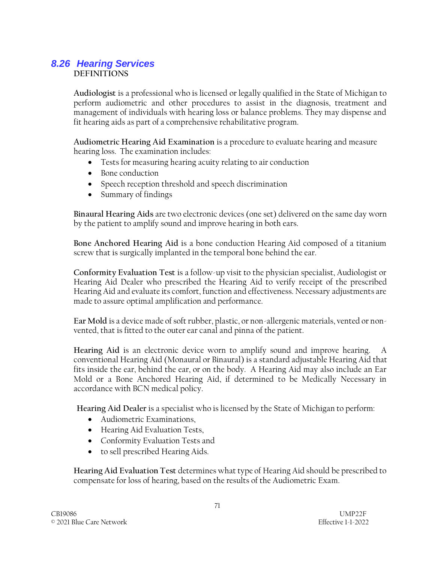#### *8.26 Hearing Services* **DEFINITIONS**

**Audiologist** is a professional who is licensed or legally qualified in the State of Michigan to perform audiometric and other procedures to assist in the diagnosis, treatment and management of individuals with hearing loss or balance problems. They may dispense and fit hearing aids as part of a comprehensive rehabilitative program.

**Audiometric Hearing Aid Examination** is a procedure to evaluate hearing and measure hearing loss. The examination includes:

- Tests for measuring hearing acuity relating to air conduction
- Bone conduction
- Speech reception threshold and speech discrimination
- Summary of findings

**Binaural Hearing Aids** are two electronic devices (one set) delivered on the same day worn by the patient to amplify sound and improve hearing in both ears.

**Bone Anchored Hearing Aid** is a bone conduction Hearing Aid composed of a titanium screw that is surgically implanted in the temporal bone behind the ear.

**Conformity Evaluation Test** is a follow-up visit to the physician specialist, Audiologist or Hearing Aid Dealer who prescribed the Hearing Aid to verify receipt of the prescribed Hearing Aid and evaluate its comfort, function and effectiveness. Necessary adjustments are made to assure optimal amplification and performance.

**Ear Mold** is a device made of soft rubber, plastic, or non-allergenic materials, vented or nonvented, that is fitted to the outer ear canal and pinna of the patient.

**Hearing Aid** is an electronic device worn to amplify sound and improve hearing. A conventional Hearing Aid (Monaural or Binaural) is a standard adjustable Hearing Aid that fits inside the ear, behind the ear, or on the body. A Hearing Aid may also include an Ear Mold or a Bone Anchored Hearing Aid, if determined to be Medically Necessary in accordance with BCN medical policy.

**Hearing Aid Dealer** is a specialist who is licensed by the State of Michigan to perform:

- Audiometric Examinations,
- Hearing Aid Evaluation Tests,
- Conformity Evaluation Tests and
- to sell prescribed Hearing Aids.

**Hearing Aid Evaluation Test** determines what type of Hearing Aid should be prescribed to compensate for loss of hearing, based on the results of the Audiometric Exam.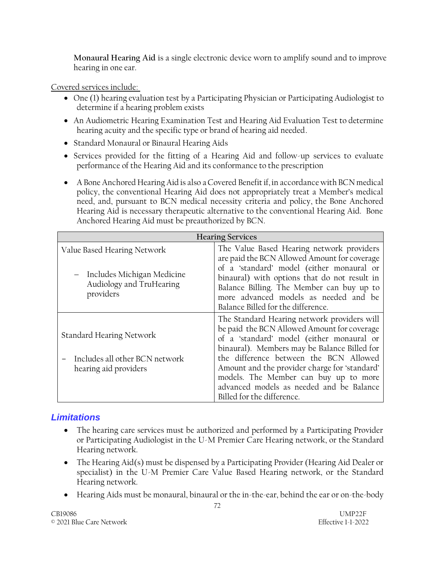**Monaural Hearing Aid** is a single electronic device worn to amplify sound and to improve hearing in one ear.

Covered services include:

- One (1) hearing evaluation test by a Participating Physician or Participating Audiologist to determine if a hearing problem exists
- An Audiometric Hearing Examination Test and Hearing Aid Evaluation Test to determine hearing acuity and the specific type or brand of hearing aid needed.
- Standard Monaural or Binaural Hearing Aids
- Services provided for the fitting of a Hearing Aid and follow-up services to evaluate performance of the Hearing Aid and its conformance to the prescription
- A Bone Anchored Hearing Aid is also a Covered Benefit if, in accordance with BCN medical policy, the conventional Hearing Aid does not appropriately treat a Member's medical need, and, pursuant to BCN medical necessity criteria and policy, the Bone Anchored Hearing Aid is necessary therapeutic alternative to the conventional Hearing Aid. Bone Anchored Hearing Aid must be preauthorized by BCN.

| <b>Hearing Services</b>                                                             |                                                                                                                                                                                                                                                                                                                             |
|-------------------------------------------------------------------------------------|-----------------------------------------------------------------------------------------------------------------------------------------------------------------------------------------------------------------------------------------------------------------------------------------------------------------------------|
| Value Based Hearing Network                                                         | The Value Based Hearing network providers<br>are paid the BCN Allowed Amount for coverage                                                                                                                                                                                                                                   |
| - Includes Michigan Medicine<br>Audiology and TruHearing<br>providers               | of a 'standard' model (either monaural or<br>binaural) with options that do not result in<br>Balance Billing. The Member can buy up to<br>more advanced models as needed and be<br>Balance Billed for the difference.                                                                                                       |
| Standard Hearing Network<br>Includes all other BCN network<br>hearing aid providers | The Standard Hearing network providers will<br>be paid the BCN Allowed Amount for coverage<br>of a 'standard' model (either monaural or<br>binaural). Members may be Balance Billed for<br>the difference between the BCN Allowed<br>Amount and the provider charge for 'standard'<br>models. The Member can buy up to more |
|                                                                                     | advanced models as needed and be Balance<br>Billed for the difference.                                                                                                                                                                                                                                                      |

# *Limitations*

- The hearing care services must be authorized and performed by a Participating Provider or Participating Audiologist in the U-M Premier Care Hearing network, or the Standard Hearing network.
- The Hearing Aid(s) must be dispensed by a Participating Provider (Hearing Aid Dealer or specialist) in the U-M Premier Care Value Based Hearing network, or the Standard Hearing network.
- Hearing Aids must be monaural, binaural or the in-the-ear, behind the ear or on-the-body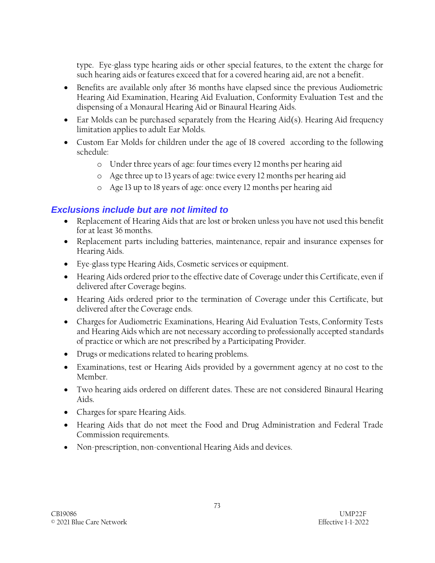type. Eye-glass type hearing aids or other special features, to the extent the charge for such hearing aids or features exceed that for a covered hearing aid, are not a benefit.

- Benefits are available only after 36 months have elapsed since the previous Audiometric Hearing Aid Examination, Hearing Aid Evaluation, Conformity Evaluation Test and the dispensing of a Monaural Hearing Aid or Binaural Hearing Aids.
- Ear Molds can be purchased separately from the Hearing Aid(s). Hearing Aid frequency limitation applies to adult Ear Molds.
- Custom Ear Molds for children under the age of 18 covered according to the following schedule:
	- o Under three years of age: four times every 12 months per hearing aid
	- o Age three up to 13 years of age: twice every 12 months per hearing aid
	- o Age 13 up to 18 years of age: once every 12 months per hearing aid

## *Exclusions include but are not limited to*

- Replacement of Hearing Aids that are lost or broken unless you have not used this benefit for at least 36 months.
- Replacement parts including batteries, maintenance, repair and insurance expenses for Hearing Aids.
- Eye-glass type Hearing Aids, Cosmetic services or equipment.
- Hearing Aids ordered prior to the effective date of Coverage under this Certificate, even if delivered after Coverage begins.
- Hearing Aids ordered prior to the termination of Coverage under this Certificate, but delivered after the Coverage ends.
- Charges for Audiometric Examinations, Hearing Aid Evaluation Tests, Conformity Tests and Hearing Aids which are not necessary according to professionally accepted standards of practice or which are not prescribed by a Participating Provider.
- Drugs or medications related to hearing problems.
- Examinations, test or Hearing Aids provided by a government agency at no cost to the Member.
- Two hearing aids ordered on different dates. These are not considered Binaural Hearing Aids.
- Charges for spare Hearing Aids.
- Hearing Aids that do not meet the Food and Drug Administration and Federal Trade Commission requirements.
- Non-prescription, non-conventional Hearing Aids and devices.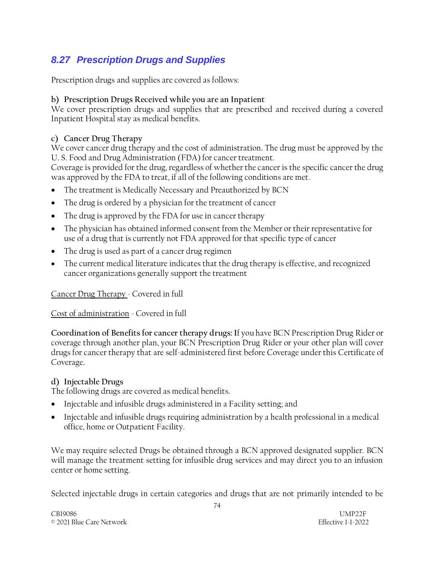# *8.27 Prescription Drugs and Supplies*

Prescription drugs and supplies are covered as follows:

#### **b) Prescription Drugs Received while you are an Inpatient**

We cover prescription drugs and supplies that are prescribed and received during a covered Inpatient Hospital stay as medical benefits.

#### **c) Cancer Drug Therapy**

We cover cancer drug therapy and the cost of administration. The drug must be approved by the U. S. Food and Drug Administration (FDA) for cancer treatment.

Coverage is provided for the drug, regardless of whether the cancer is the specific cancer the drug was approved by the FDA to treat, if all of the following conditions are met.

- The treatment is Medically Necessary and Preauthorized by BCN
- The drug is ordered by a physician for the treatment of cancer
- The drug is approved by the FDA for use in cancer therapy
- The physician has obtained informed consent from the Member or their representative for use of a drug that is currently not FDA approved for that specific type of cancer
- The drug is used as part of a cancer drug regimen
- The current medical literature indicates that the drug therapy is effective, and recognized cancer organizations generally support the treatment

Cancer Drug Therapy - Covered in full

Cost of administration - Covered in full

**Coordination of Benefits for cancer therapy drugs: I**f you have BCN Prescription Drug Rider or coverage through another plan, your BCN Prescription Drug Rider or your other plan will cover drugs for cancer therapy that are self-administered first before Coverage under this Certificate of Coverage**.**

#### **d) Injectable Drugs**

The following drugs are covered as medical benefits.

- Injectable and infusible drugs administered in a Facility setting; and
- Injectable and infusible drugs requiring administration by a health professional in a medical office, home or Outpatient Facility.

We may require selected Drugs be obtained through a BCN approved designated supplier. BCN will manage the treatment setting for infusible drug services and may direct you to an infusion center or home setting.

Selected injectable drugs in certain categories and drugs that are not primarily intended to be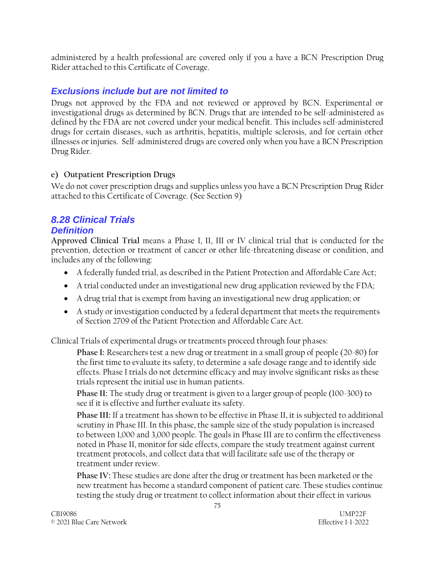administered by a health professional are covered only if you a have a BCN Prescription Drug Rider attached to this Certificate of Coverage.

#### *Exclusions include but are not limited to*

Drugs not approved by the FDA and not reviewed or approved by BCN. Experimental or investigational drugs as determined by BCN. Drugs that are intended to be self-administered as defined by the FDA are not covered under your medical benefit. This includes self-administered drugs for certain diseases, such as arthritis, hepatitis, multiple sclerosis, and for certain other illnesses or injuries. Self-administered drugs are covered only when you have a BCN Prescription Drug Rider.

#### **e) Outpatient Prescription Drugs**

We do not cover prescription drugs and supplies unless you have a BCN Prescription Drug Rider attached to this Certificate of Coverage. (See Section 9)

#### *8.28 Clinical Trials Definition*

**Approved Clinical Trial** means a Phase I, II, III or IV clinical trial that is conducted for the prevention, detection or treatment of cancer or other life-threatening disease or condition, and includes any of the following:

- A federally funded trial, as described in the Patient Protection and Affordable Care Act;
- A trial conducted under an investigational new drug application reviewed by the FDA;
- A drug trial that is exempt from having an investigational new drug application; or
- A study or investigation conducted by a federal department that meets the requirements of Section 2709 of the Patient Protection and Affordable Care Act.

Clinical Trials of experimental drugs or treatments proceed through four phases:

**Phase I:** Researchers test a new drug or treatment in a small group of people (20-80) for the first time to evaluate its safety, to determine a safe dosage range and to identify side effects. Phase I trials do not determine efficacy and may involve significant risks as these trials represent the initial use in human patients.

**Phase II:** The study drug or treatment is given to a larger group of people (100-300) to see if it is effective and further evaluate its safety.

**Phase III:** If a treatment has shown to be effective in Phase II, it is subjected to additional scrutiny in Phase III. In this phase, the sample size of the study population is increased to between 1,000 and 3,000 people. The goals in Phase III are to confirm the effectiveness noted in Phase II, monitor for side effects, compare the study treatment against current treatment protocols, and collect data that will facilitate safe use of the therapy or treatment under review.

**Phase IV:** These studies are done after the drug or treatment has been marketed or the new treatment has become a standard component of patient care. These studies continue testing the study drug or treatment to collect information about their effect in various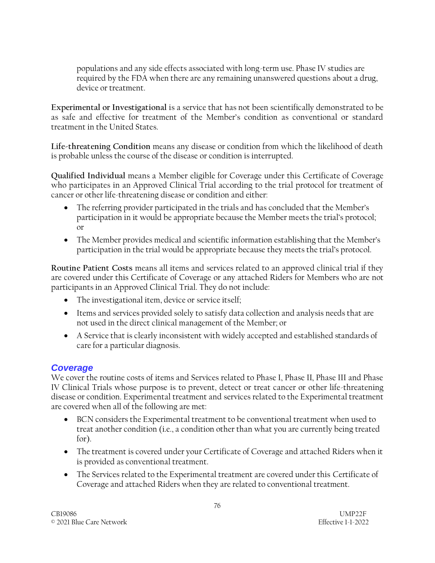populations and any side effects associated with long-term use. Phase IV studies are required by the FDA when there are any remaining unanswered questions about a drug, device or treatment.

**Experimental or Investigational** is a service that has not been scientifically demonstrated to be as safe and effective for treatment of the Member's condition as conventional or standard treatment in the United States.

**Life-threatening Condition** means any disease or condition from which the likelihood of death is probable unless the course of the disease or condition is interrupted.

**Qualified Individual** means a Member eligible for Coverage under this Certificate of Coverage who participates in an Approved Clinical Trial according to the trial protocol for treatment of cancer or other life-threatening disease or condition and either:

- The referring provider participated in the trials and has concluded that the Member's participation in it would be appropriate because the Member meets the trial's protocol; or
- The Member provides medical and scientific information establishing that the Member's participation in the trial would be appropriate because they meets the trial's protocol.

**Routine Patient Costs** means all items and services related to an approved clinical trial if they are covered under this Certificate of Coverage or any attached Riders for Members who are not participants in an Approved Clinical Trial. They do not include:

- The investigational item, device or service itself;
- Items and services provided solely to satisfy data collection and analysis needs that are not used in the direct clinical management of the Member; or
- A Service that is clearly inconsistent with widely accepted and established standards of care for a particular diagnosis.

#### *Coverage*

We cover the routine costs of items and Services related to Phase I, Phase II, Phase III and Phase IV Clinical Trials whose purpose is to prevent, detect or treat cancer or other life-threatening disease or condition. Experimental treatment and services related to the Experimental treatment are covered when all of the following are met:

- BCN considers the Experimental treatment to be conventional treatment when used to treat another condition (i.e., a condition other than what you are currently being treated for).
- The treatment is covered under your Certificate of Coverage and attached Riders when it is provided as conventional treatment.
- The Services related to the Experimental treatment are covered under this Certificate of Coverage and attached Riders when they are related to conventional treatment.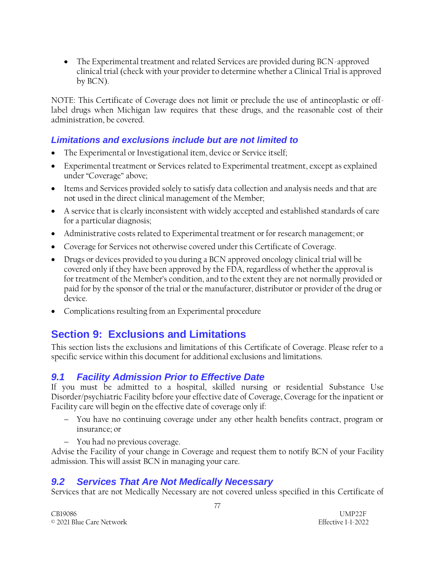• The Experimental treatment and related Services are provided during BCN-approved clinical trial (check with your provider to determine whether a Clinical Trial is approved by BCN).

NOTE: This Certificate of Coverage does not limit or preclude the use of antineoplastic or offlabel drugs when Michigan law requires that these drugs, and the reasonable cost of their administration, be covered.

### *Limitations and exclusions include but are not limited to*

- The Experimental or Investigational item, device or Service itself;
- Experimental treatment or Services related to Experimental treatment, except as explained under "Coverage" above;
- Items and Services provided solely to satisfy data collection and analysis needs and that are not used in the direct clinical management of the Member;
- A service that is clearly inconsistent with widely accepted and established standards of care for a particular diagnosis;
- Administrative costs related to Experimental treatment or for research management; or
- Coverage for Services not otherwise covered under this Certificate of Coverage.
- Drugs or devices provided to you during a BCN approved oncology clinical trial will be covered only if they have been approved by the FDA, regardless of whether the approval is for treatment of the Member's condition, and to the extent they are not normally provided or paid for by the sponsor of the trial or the manufacturer, distributor or provider of the drug or device.
- Complications resulting from an Experimental procedure

# **Section 9: Exclusions and Limitations**

This section lists the exclusions and limitations of this Certificate of Coverage. Please refer to a specific service within this document for additional exclusions and limitations.

#### *9.1 Facility Admission Prior to Effective Date*

If you must be admitted to a hospital, skilled nursing or residential Substance Use Disorder/psychiatric Facility before your effective date of Coverage, Coverage for the inpatient or Facility care will begin on the effective date of coverage only if:

- − You have no continuing coverage under any other health benefits contract, program or insurance; or
- − You had no previous coverage.

Advise the Facility of your change in Coverage and request them to notify BCN of your Facility admission. This will assist BCN in managing your care.

#### *9.2 Services That Are Not Medically Necessary*

Services that are not Medically Necessary are not covered unless specified in this Certificate of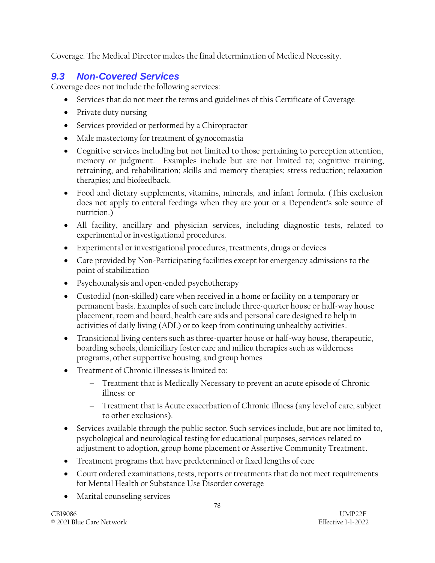Coverage. The Medical Director makes the final determination of Medical Necessity.

# *9.3 Non-Covered Services*

Coverage does not include the following services:

- Services that do not meet the terms and guidelines of this Certificate of Coverage
- Private duty nursing
- Services provided or performed by a Chiropractor
- Male mastectomy for treatment of gynocomastia
- Cognitive services including but not limited to those pertaining to perception attention, memory or judgment. Examples include but are not limited to; cognitive training, retraining, and rehabilitation; skills and memory therapies; stress reduction; relaxation therapies; and biofeedback.
- Food and dietary supplements, vitamins, minerals, and infant formula. (This exclusion does not apply to enteral feedings when they are your or a Dependent's sole source of nutrition.)
- All facility, ancillary and physician services, including diagnostic tests, related to experimental or investigational procedures.
- Experimental or investigational procedures, treatments, drugs or devices
- Care provided by Non-Participating facilities except for emergency admissions to the point of stabilization
- Psychoanalysis and open-ended psychotherapy
- Custodial (non-skilled) care when received in a home or facility on a temporary or permanent basis. Examples of such care include three-quarter house or half-way house placement, room and board, health care aids and personal care designed to help in activities of daily living (ADL) or to keep from continuing unhealthy activities.
- Transitional living centers such as three-quarter house or half-way house, therapeutic, boarding schools, domiciliary foster care and milieu therapies such as wilderness programs, other supportive housing, and group homes
- Treatment of Chronic illnesses is limited to:
	- − Treatment that is Medically Necessary to prevent an acute episode of Chronic illness: or
	- − Treatment that is Acute exacerbation of Chronic illness (any level of care, subject to other exclusions).
- Services available through the public sector. Such services include, but are not limited to, psychological and neurological testing for educational purposes, services related to adjustment to adoption, group home placement or Assertive Community Treatment.
- Treatment programs that have predetermined or fixed lengths of care
- Court ordered examinations, tests, reports or treatments that do not meet requirements for Mental Health or Substance Use Disorder coverage
- Marital counseling services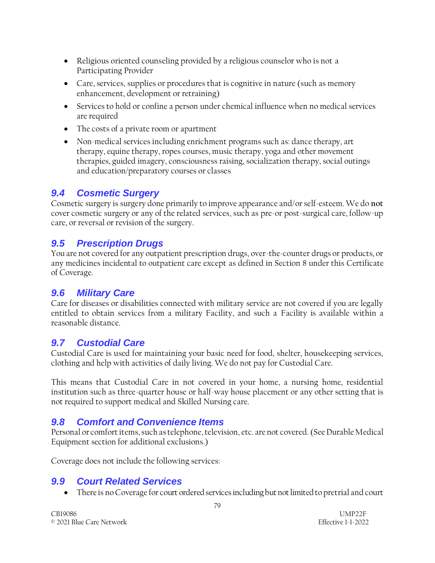- Religious oriented counseling provided by a religious counselor who is not a Participating Provider
- Care, services, supplies or procedures that is cognitive in nature (such as memory enhancement, development or retraining)
- Services to hold or confine a person under chemical influence when no medical services are required
- The costs of a private room or apartment
- Non-medical services including enrichment programs such as: dance therapy, art therapy, equine therapy, ropes courses, music therapy, yoga and other movement therapies, guided imagery, consciousness raising, socialization therapy, social outings and education/preparatory courses or classes

## *9.4 Cosmetic Surgery*

Cosmetic surgery is surgery done primarily to improve appearance and/or self-esteem. We do **not**  cover cosmetic surgery or any of the related services, such as pre-or post-surgical care, follow-up care, or reversal or revision of the surgery.

#### *9.5 Prescription Drugs*

You are not covered for any outpatient prescription drugs, over-the-counter drugs or products, or any medicines incidental to outpatient care except as defined in Section 8 under this Certificate of Coverage.

#### *9.6 Military Care*

Care for diseases or disabilities connected with military service are not covered if you are legally entitled to obtain services from a military Facility, and such a Facility is available within a reasonable distance.

#### *9.7 Custodial Care*

Custodial Care is used for maintaining your basic need for food, shelter, housekeeping services, clothing and help with activities of daily living. We do not pay for Custodial Care.

This means that Custodial Care in not covered in your home, a nursing home, residential institution such as three-quarter house or half-way house placement or any other setting that is not required to support medical and Skilled Nursing care.

#### *9.8 Comfort and Convenience Items*

Personal or comfort items, such as telephone, television, etc. are not covered. (See Durable Medical Equipment section for additional exclusions.)

Coverage does not include the following services:

#### *9.9 Court Related Services*

• There is no Coverage for court ordered services including but not limited to pretrial and court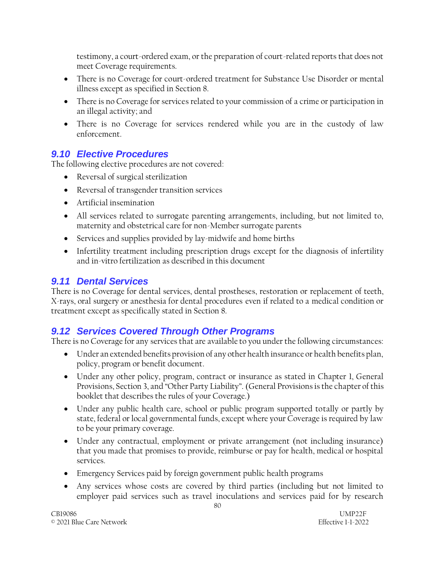testimony, a court-ordered exam, or the preparation of court-related reports that does not meet Coverage requirements.

- There is no Coverage for court-ordered treatment for Substance Use Disorder or mental illness except as specified in Section 8.
- There is no Coverage for services related to your commission of a crime or participation in an illegal activity; and
- There is no Coverage for services rendered while you are in the custody of law enforcement.

## *9.10 Elective Procedures*

The following elective procedures are not covered:

- Reversal of surgical sterilization
- Reversal of transgender transition services
- Artificial insemination
- All services related to surrogate parenting arrangements, including, but not limited to, maternity and obstetrical care for non-Member surrogate parents
- Services and supplies provided by lay-midwife and home births
- Infertility treatment including prescription drugs except for the diagnosis of infertility and in-vitro fertilization as described in this document

### *9.11 Dental Services*

There is no Coverage for dental services, dental prostheses, restoration or replacement of teeth, X-rays, oral surgery or anesthesia for dental procedures even if related to a medical condition or treatment except as specifically stated in Section 8.

## *9.12 Services Covered Through Other Programs*

There is no Coverage for any services that are available to you under the following circumstances:

- Under an extended benefits provision of any other health insurance or health benefits plan, policy, program or benefit document.
- Under any other policy, program, contract or insurance as stated in Chapter 1, General Provisions, Section 3, and "Other Party Liability". (General Provisions is the chapter of this booklet that describes the rules of your Coverage.)
- Under any public health care, school or public program supported totally or partly by state, federal or local governmental funds, except where your Coverage is required by law to be your primary coverage.
- Under any contractual, employment or private arrangement (not including insurance) that you made that promises to provide, reimburse or pay for health, medical or hospital services.
- Emergency Services paid by foreign government public health programs
- Any services whose costs are covered by third parties (including but not limited to employer paid services such as travel inoculations and services paid for by research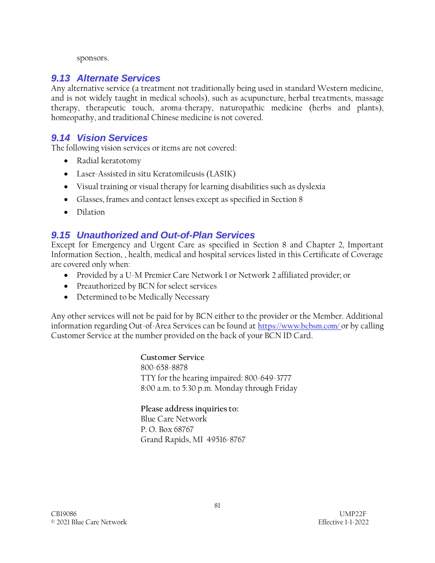sponsors.

#### *9.13 Alternate Services*

Any alternative service (a treatment not traditionally being used in standard Western medicine, and is not widely taught in medical schools), such as acupuncture, herbal treatments, massage therapy, therapeutic touch, aroma-therapy, naturopathic medicine (herbs and plants), homeopathy, and traditional Chinese medicine is not covered.

## *9.14 Vision Services*

The following vision services or items are not covered:

- Radial keratotomy
- Laser-Assisted in situ Keratomileusis (LASIK)
- Visual training or visual therapy for learning disabilities such as dyslexia
- Glasses, frames and contact lenses except as specified in Section 8
- Dilation

#### *9.15 Unauthorized and Out-of-Plan Services*

Except for Emergency and Urgent Care as specified in Section 8 and Chapter 2, Important Information Section, , health, medical and hospital services listed in this Certificate of Coverage are covered only when:

- Provided by a U-M Premier Care Network 1 or Network 2 affiliated provider; or
- Preauthorized by BCN for select services
- Determined to be Medically Necessary

Any other services will not be paid for by BCN either to the provider or the Member. Additional information regarding Out-of-Area Services can be found at <https://www.bcbsm.com/> or by calling Customer Service at the number provided on the back of your BCN ID Card.

> **Customer Service** 800-658-8878 TTY for the hearing impaired: 800-649-3777 8:00 a.m. to 5:30 p.m. Monday through Friday

**Please address inquiries to:** Blue Care Network P. O. Box 68767 Grand Rapids, MI 49516-8767